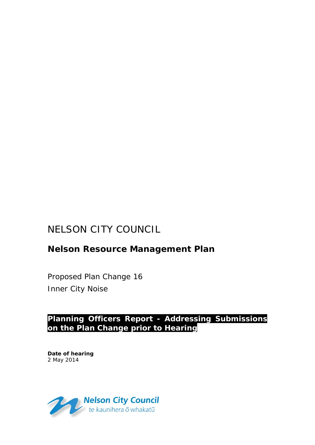# NELSON CITY COUNCIL

# **Nelson Resource Management Plan**

Proposed Plan Change 16 Inner City Noise

# **Planning Officers Report - Addressing Submissions on the Plan Change prior to Hearing**

**Date of hearing** 2 May 2014

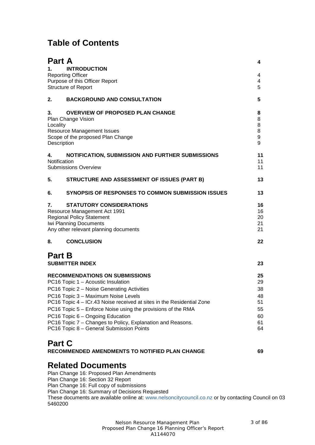# **Table of Contents**

| Part A        |                                                                                                     | 4                     |
|---------------|-----------------------------------------------------------------------------------------------------|-----------------------|
| 1.            | <b>INTRODUCTION</b>                                                                                 |                       |
|               | <b>Reporting Officer</b>                                                                            | 4                     |
|               | Purpose of this Officer Report                                                                      | 4                     |
|               | <b>Structure of Report</b>                                                                          | 5                     |
| 2.            | <b>BACKGROUND AND CONSULTATION</b>                                                                  | 5                     |
| 3.            | <b>OVERVIEW OF PROPOSED PLAN CHANGE</b>                                                             | 8                     |
|               | Plan Change Vision                                                                                  | 8                     |
| Locality      |                                                                                                     | 8                     |
|               | <b>Resource Management Issues</b>                                                                   | 8                     |
| Description   | Scope of the proposed Plan Change                                                                   | $\boldsymbol{9}$<br>9 |
|               |                                                                                                     |                       |
| 4.            | NOTIFICATION, SUBMISSION AND FURTHER SUBMISSIONS                                                    | 11                    |
| Notification  | <b>Submissions Overview</b>                                                                         | 11<br>11              |
|               |                                                                                                     |                       |
| 5.            | STRUCTURE AND ASSESSMENT OF ISSUES (PART B)                                                         | 13                    |
| 6.            | SYNOPSIS OF RESPONSES TO COMMON SUBMISSION ISSUES                                                   | 13                    |
| 7.            | <b>STATUTORY CONSIDERATIONS</b>                                                                     | 16                    |
|               | Resource Management Act 1991                                                                        | 16                    |
|               | <b>Regional Policy Statement</b>                                                                    | 20                    |
|               | Iwi Planning Documents                                                                              | 21                    |
|               | Any other relevant planning documents                                                               | 21                    |
| 8.            | <b>CONCLUSION</b>                                                                                   | 22                    |
| <b>Part B</b> |                                                                                                     |                       |
|               | <b>SUBMITTER INDEX</b>                                                                              | 23                    |
|               | <b>RECOMMENDATIONS ON SUBMISSIONS</b>                                                               | 25                    |
|               | PC16 Topic 1 - Acoustic Insulation                                                                  | 29                    |
|               | PC16 Topic 2 - Noise Generating Activities                                                          | 38                    |
|               | PC16 Topic 3 - Maximum Noise Levels                                                                 | 48                    |
|               | PC16 Topic 4 – ICr.43 Noise received at sites in the Residential Zone                               | 51                    |
|               | PC16 Topic 5 – Enforce Noise using the provisions of the RMA                                        | 55                    |
|               | PC16 Topic 6 - Ongoing Education                                                                    | 60                    |
|               | PC16 Topic 7 - Changes to Policy, Explanation and Reasons.                                          | 61                    |
|               | PC16 Topic 8 - General Submission Points                                                            | 64                    |
| <b>Part C</b> |                                                                                                     |                       |
|               | RECOMMENDED AMENDMENTS TO NOTIFIED PLAN CHANGE                                                      | 69                    |
|               | <b>Related Documents</b>                                                                            |                       |
|               | Plan Change 16: Proposed Plan Amendments                                                            |                       |
|               | Plan Change 16: Section 32 Report                                                                   |                       |
|               | Plan Change 16: Full copy of submissions                                                            |                       |
|               | Plan Change 16: Summary of Decisions Requested                                                      |                       |
|               | These documents are available online at: www.nelsoncitycouncil.co.nz or by contacting Council on 03 |                       |
| 5460200       |                                                                                                     |                       |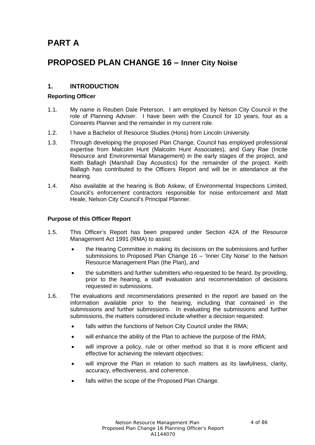# **PART A**

# **PROPOSED PLAN CHANGE 16 – Inner City Noise**

## **1. INTRODUCTION**

## **Reporting Officer**

- 1.1. My name is Reuben Dale Peterson. I am employed by Nelson City Council in the role of Planning Adviser. I have been with the Council for 10 years, four as a Consents Planner and the remainder in my current role.
- 1.2. I have a Bachelor of Resource Studies (Hons) from Lincoln University.
- 1.3. Through developing the proposed Plan Change, Council has employed professional expertise from Malcolm Hunt (Malcolm Hunt Associates), and Gary Rae (Incite Resource and Environmental Management) in the early stages of the project, and Keith Ballagh (Marshall Day Acoustics) for the remainder of the project. Keith Ballagh has contributed to the Officers Report and will be in attendance at the hearing.
- 1.4. Also available at the hearing is Bob Askew, of Environmental Inspections Limited, Council's enforcement contractors responsible for noise enforcement and Matt Heale, Nelson City Council's Principal Planner.

## **Purpose of this Officer Report**

- 1.5. This Officer's Report has been prepared under Section 42A of the Resource Management Act 1991 (RMA) to assist:
	- the Hearing Committee in making its decisions on the submissions and further submissions to Proposed Plan Change 16 – 'Inner City Noise' to the Nelson Resource Management Plan (the Plan), and
	- the submitters and further submitters who requested to be heard, by providing, prior to the hearing, a staff evaluation and recommendation of decisions requested in submissions.
- 1.6. The evaluations and recommendations presented in the report are based on the information available prior to the hearing, including that contained in the submissions and further submissions. In evaluating the submissions and further submissions, the matters considered include whether a decision requested:
	- falls within the functions of Nelson City Council under the RMA;
	- will enhance the ability of the Plan to achieve the purpose of the RMA;
	- will improve a policy, rule or other method so that it is more efficient and effective for achieving the relevant objectives;
	- will improve the Plan in relation to such matters as its lawfulness, clarity, accuracy, effectiveness, and coherence.
	- falls within the scope of the Proposed Plan Change.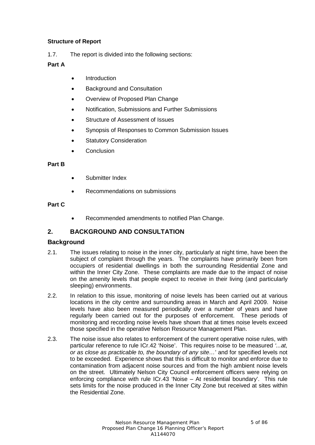## **Structure of Report**

1.7. The report is divided into the following sections:

## **Part A**

- **Introduction**
- Background and Consultation
- Overview of Proposed Plan Change
- Notification, Submissions and Further Submissions
- Structure of Assessment of Issues
- Synopsis of Responses to Common Submission Issues
- Statutory Consideration
- **Conclusion**

## **Part B**

- Submitter Index
- Recommendations on submissions

## **Part C**

• Recommended amendments to notified Plan Change.

## **2. BACKGROUND AND CONSULTATION**

## **Background**

- 2.1. The issues relating to noise in the inner city, particularly at night time, have been the subject of complaint through the years. The complaints have primarily been from occupiers of residential dwellings in both the surrounding Residential Zone and within the Inner City Zone. These complaints are made due to the impact of noise on the amenity levels that people expect to receive in their living (and particularly sleeping) environments.
- 2.2. In relation to this issue, monitoring of noise levels has been carried out at various locations in the city centre and surrounding areas in March and April 2009. Noise levels have also been measured periodically over a number of years and have regularly been carried out for the purposes of enforcement. These periods of monitoring and recording noise levels have shown that at times noise levels exceed those specified in the operative Nelson Resource Management Plan.
- 2.3. The noise issue also relates to enforcement of the current operative noise rules, with particular reference to rule ICr.42 'Noise'. This requires noise to be measured *'...at, or as close as practicable to, the boundary of any site…*' and for specified levels not to be exceeded. Experience shows that this is difficult to monitor and enforce due to contamination from adjacent noise sources and from the high ambient noise levels on the street. Ultimately Nelson City Council enforcement officers were relying on enforcing compliance with rule ICr.43 'Noise – At residential boundary'. This rule sets limits for the noise produced in the Inner City Zone but received at sites within the Residential Zone.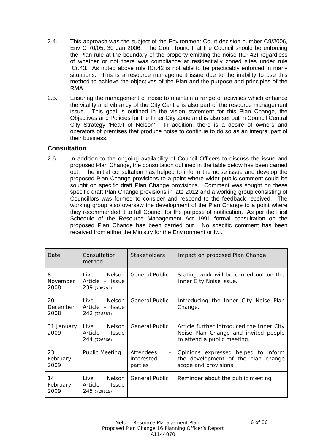- 2.4. This approach was the subject of the Environment Court decision number C9/2006, Env C 70/05, 30 Jan 2006. The Court found that the Council should be enforcing the Plan rule at the boundary of the property emitting the noise (ICr.42) regardless of whether or not there was compliance at residentially zoned sites under rule ICr.43. As noted above rule ICr.42 is not able to be practicably enforced in many situations. This is a resource management issue due to the inability to use this method to achieve the objectives of the Plan and the purpose and principles of the RMA.
- 2.5. Ensuring the management of noise to maintain a range of activities which enhance the vitality and vibrancy of the City Centre is also part of the resource management issue. This goal is outlined in the vision statement for this Plan Change, the Objectives and Policies for the Inner City Zone and is also set out in Council Central City Strategy 'Heart of Nelson'. In addition, there is a desire of owners and operators of premises that produce noise to continue to do so as an integral part of their business.

## **Consultation**

2.6. In addition to the ongoing availability of Council Officers to discuss the issue and proposed Plan Change, the consultation outlined in the table below has been carried out. The initial consultation has helped to inform the noise issue and develop the proposed Plan Change provisions to a point where wider public comment could be sought on specific draft Plan Change provisions. Comment was sought on these specific draft Plan Change provisions in late 2012 and a working group consisting of Councillors was formed to consider and respond to the feedback received. The working group also oversaw the development of the Plan Change to a point where they recommended it to full Council for the purpose of notification. As per the First Schedule of the Resource Management Act 1991 formal consultation on the proposed Plan Change has been carried out. No specific comment has been received from either the Ministry for the Environment or Iwi.

| Date                         | Consultation<br>method                         | <b>Stakeholders</b>                                     | Impact on proposed Plan Change                                                                                   |  |
|------------------------------|------------------------------------------------|---------------------------------------------------------|------------------------------------------------------------------------------------------------------------------|--|
| 8<br><b>November</b><br>2008 | Live Nelson<br>Article - Issue<br>239 (706282) | <b>General Public</b>                                   | Stating work will be carried out on the<br>Inner City Noise issue.                                               |  |
| 20<br>December<br>2008       | Live Nelson<br>Article - Issue<br>242 (718681) | <b>General Public</b>                                   | Introducing the Inner City Noise Plan<br>Change.                                                                 |  |
| 31 January<br>2009           | Live Nelson<br>Article - Issue<br>244 (726366) | <b>General Public</b>                                   | Article further introduced the Inner City<br>Noise Plan Change and invited people<br>to attend a public meeting. |  |
| 23<br>February<br>2009       | <b>Public Meeting</b>                          | Attendees<br>$\qquad \qquad -$<br>interested<br>parties | Opinions expressed helped to inform<br>the development of the plan change<br>scope and provisions.               |  |
| 14<br>February<br>2009       | Live Nelson<br>Article - Issue<br>245 (729615) | <b>General Public</b>                                   | Reminder about the public meeting                                                                                |  |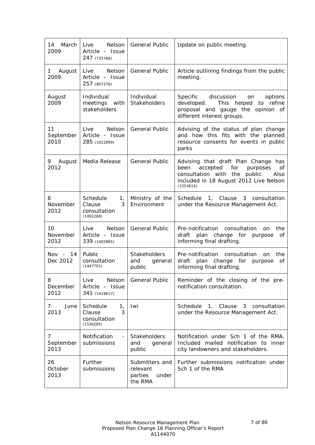| March<br>14<br>2009     | Nelson<br>Live<br>Article - Issue<br>247 (735766)                      | <b>General Public</b>                                     | Update on public meeting                                                                                                                                                            |
|-------------------------|------------------------------------------------------------------------|-----------------------------------------------------------|-------------------------------------------------------------------------------------------------------------------------------------------------------------------------------------|
| August<br>1<br>2009     | Nelson<br>Live<br>Article - Issue<br>257 (807276)                      | <b>General Public</b>                                     | Article outlining findings from the public<br>meeting.                                                                                                                              |
| August<br>2009          | Individual<br>meetings with<br>stakeholders                            | Individual<br><b>Stakeholders</b>                         | Specific discussion<br>options<br>on<br>to refine<br>developed.<br>This helped<br>proposal and gauge the opinion of<br>different interest groups.                                   |
| 11<br>September<br>2010 | Nelson<br>Live<br>Article - Issue<br>285 (1022899)                     | <b>General Public</b>                                     | Advising of the status of plan change<br>and how this fits with the planned<br>resource consents for events in public<br>parks                                                      |
| 9.<br>August<br>2012    | Media Release                                                          | <b>General Public</b>                                     | Advising that draft Plan Change has<br>been<br>accepted<br>for<br>purposes<br>οf<br>consultation with the<br>public.<br>Also<br>included in 18 August 2012 Live Nelson<br>(1353614) |
| 6<br>November<br>2012   | Schedule<br>1 <sub>r</sub><br>3<br>Clause<br>consultation<br>(1402288) | Ministry of the<br>Environment                            | Schedule 1, Clause 3 consultation<br>under the Resource Management Act.                                                                                                             |
| 10<br>November<br>2012  | Nelson<br>Live<br>Article - Issue<br>339 (1402865)                     | <b>General Public</b>                                     | the<br>Pre-notification<br>consultation<br><b>on</b><br>plan change for<br>draft<br>purpose<br>οf<br>informing final drafting.                                                      |
| Nov $-14$<br>Dec 2012   | Public<br>consultation<br>(1447701)                                    | Stakeholders<br>and<br>general<br>public                  | Pre-notification consultation<br>the<br><b>on</b><br>draft<br>plan change for<br>purpose<br>οf<br>informing final drafting.                                                         |
| 8<br>December<br>2012   | Nelson<br>Live<br>Article - Issue<br>341 (1419617)                     | General Public                                            | Reminder of the closing of the pre-<br>notification consultation.                                                                                                                   |
| June<br>7<br>2013       | Schedule<br>1,<br>3<br>Clause<br>consultation<br>(1530285)             | Iwi                                                       | Schedule 1, Clause 3<br>consultation<br>under the Resource Management Act.                                                                                                          |
| 7<br>September<br>2013  | Notification<br>$\equiv$<br>submissions                                | <b>Stakeholders</b><br>and<br>general<br>public           | Notification under Sch 1 of the RMA.<br>Included mailed notification to inner<br>city landowners and stakeholders.                                                                  |
| 26<br>October<br>2013   | Further<br>submissions                                                 | Submitters and<br>relevant<br>parties<br>under<br>the RMA | Further submissions notification under<br>Sch 1 of the RMA                                                                                                                          |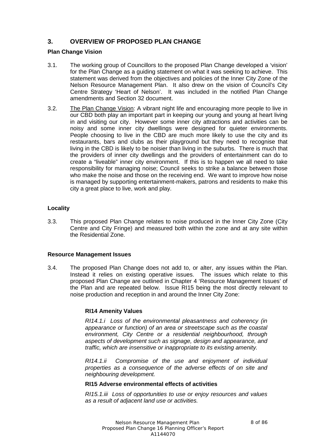## **3. OVERVIEW OF PROPOSED PLAN CHANGE**

## **Plan Change Vision**

- 3.1. The working group of Councillors to the proposed Plan Change developed a 'vision' for the Plan Change as a guiding statement on what it was seeking to achieve. This statement was derived from the objectives and policies of the Inner City Zone of the Nelson Resource Management Plan. It also drew on the vision of Council's City Centre Strategy 'Heart of Nelson'. It was included in the notified Plan Change amendments and Section 32 document.
- 3.2. The Plan Change Vision: A vibrant night life and encouraging more people to live in our CBD both play an important part in keeping our young and young at heart living in and visiting our city. However some inner city attractions and activities can be noisy and some inner city dwellings were designed for quieter environments. People choosing to live in the CBD are much more likely to use the city and its restaurants, bars and clubs as their playground but they need to recognise that living in the CBD is likely to be noisier than living in the suburbs. There is much that the providers of inner city dwellings and the providers of entertainment can do to create a "liveable" inner city environment. If this is to happen we all need to take responsibility for managing noise; Council seeks to strike a balance between those who make the noise and those on the receiving end. We want to improve how noise is managed by supporting entertainment-makers, patrons and residents to make this city a great place to live, work and play.

## **Locality**

3.3. This proposed Plan Change relates to noise produced in the Inner City Zone (City Centre and City Fringe) and measured both within the zone and at any site within the Residential Zone.

## **Resource Management Issues**

3.4. The proposed Plan Change does not add to, or alter, any issues within the Plan. Instead it relies on existing operative issues. The issues which relate to this proposed Plan Change are outlined in Chapter 4 'Resource Management Issues' of the Plan and are repeated below. Issue RI15 being the most directly relevant to noise production and reception in and around the Inner City Zone:

## **RI14 Amenity Values**

*RI14.1.i Loss of the environmental pleasantness and coherency (in appearance or function) of an area or streetscape such as the coastal environment, City Centre or a residential neighbourhood, through aspects of development such as signage, design and appearance, and traffic, which are insensitive or inappropriate to its existing amenity.*

*RI14.1.ii Compromise of the use and enjoyment of individual properties as a consequence of the adverse effects of on site and neighbouring development.*

## **RI15 Adverse environmental effects of activities**

*RI15.1.iii Loss of opportunities to use or enjoy resources and values as a result of adjacent land use or activities.*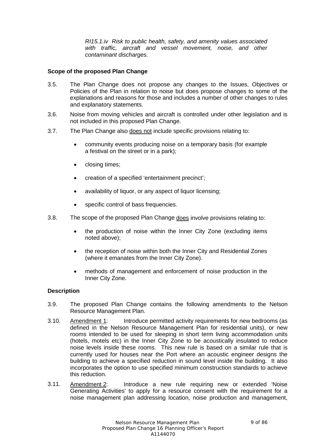*RI15.1.iv Risk to public health, safety, and amenity values associated with traffic, aircraft and vessel movement, noise, and other contaminant discharges.*

## **Scope of the proposed Plan Change**

- 3.5. The Plan Change does not propose any changes to the Issues, Objectives or Policies of the Plan in relation to noise but does propose changes to some of the explanations and reasons for those and includes a number of other changes to rules and explanatory statements.
- 3.6. Noise from moving vehicles and aircraft is controlled under other legislation and is not included in this proposed Plan Change.
- 3.7. The Plan Change also does not include specific provisions relating to:
	- community events producing noise on a temporary basis (for example a festival on the street or in a park);
	- closing times;
	- creation of a specified 'entertainment precinct';
	- availability of liquor, or any aspect of liquor licensing;
	- specific control of bass frequencies.
- 3.8. The scope of the proposed Plan Change does involve provisions relating to:
	- the production of noise within the Inner City Zone (excluding items noted above);
	- the reception of noise within both the Inner City and Residential Zones (where it emanates from the Inner City Zone).
	- methods of management and enforcement of noise production in the Inner City Zone.

#### **Description**

- 3.9. The proposed Plan Change contains the following amendments to the Nelson Resource Management Plan.
- 3.10. Amendment 1: Introduce permitted activity requirements for new bedrooms (as defined in the Nelson Resource Management Plan for residential units), or new rooms intended to be used for sleeping in short term living accommodation units (hotels, motels etc) in the Inner City Zone to be acoustically insulated to reduce noise levels inside these rooms. This new rule is based on a similar rule that is currently used for houses near the Port where an acoustic engineer designs the building to achieve a specified reduction in sound level inside the building. It also incorporates the option to use specified minimum construction standards to achieve this reduction.
- 3.11. Amendment 2: Introduce a new rule requiring new or extended 'Noise Generating Activities' to apply for a resource consent with the requirement for a noise management plan addressing location, noise production and management,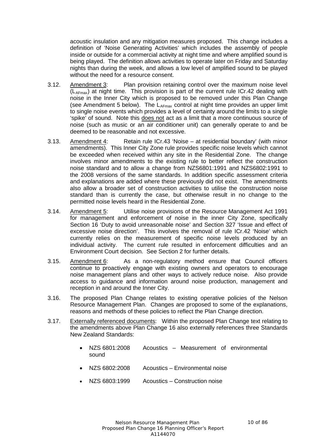acoustic insulation and any mitigation measures proposed. This change includes a definition of 'Noise Generating Activities' which includes the assembly of people inside or outside for a commercial activity at night time and where amplified sound is being played. The definition allows activities to operate later on Friday and Saturday nights than during the week, and allows a low level of amplified sound to be played without the need for a resource consent.

- 3.12. Amendment 3: Plan provision retaining control over the maximum noise level  $(L_{\text{AFmax}})$  at night time. This provision is part of the current rule ICr.42 dealing with noise in the Inner City which is proposed to be removed under this Plan Change (see Amendment 5 below). The  $L_{A_{\text{Fmax}}}$  control at night time provides an upper limit to single noise events which provides a level of certainty around the limits to a single 'spike' of sound. Note this does not act as a limit that a more continuous source of noise (such as music or an air conditioner unit) can generally operate to and be deemed to be reasonable and not excessive.
- 3.13. Amendment 4: Retain rule ICr.43 'Noise at residential boundary' (with minor amendments). This Inner City Zone rule provides specific noise levels which cannot be exceeded when received within any site in the Residential Zone. The change involves minor amendments to the existing rule to better reflect the construction noise standard and to allow a change from NZS6801:1991 and NZS6802:1991 to the 2008 versions of the same standards. In addition specific assessment criteria and explanations are added where these previously did not exist. The amendments also allow a broader set of construction activities to utilise the construction noise standard than is currently the case, but otherwise result in no change to the permitted noise levels heard in the Residential Zone.
- 3.14. Amendment 5: Utilise noise provisions of the Resource Management Act 1991 for management and enforcement of noise in the inner City Zone, specifically Section 16 'Duty to avoid unreasonable noise' and Section 327 'Issue and effect of excessive noise direction'. This involves the removal of rule ICr.42 'Noise' which currently relies on the measurement of specific noise levels produced by an individual activity. The current rule resulted in enforcement difficulties and an Environment Court decision. See Section 2 for further details.
- 3.15. Amendment 6: As a non-regulatory method ensure that Council officers continue to proactively engage with existing owners and operators to encourage noise management plans and other ways to actively reduce noise. Also provide access to guidance and information around noise production, management and reception in and around the Inner City.
- 3.16. The proposed Plan Change relates to existing operative policies of the Nelson Resource Management Plan. Changes are proposed to some of the explanations, reasons and methods of these policies to reflect the Plan Change direction.
- 3.17. Externally referenced documents: Within the proposed Plan Change text relating to the amendments above Plan Change 16 also externally references three Standards New Zealand Standards:
	- NZS 6801:2008 Acoustics Measurement of environmental sound
	- NZS 6802:2008 Acoustics Environmental noise
	- NZS 6803:1999 Acoustics Construction noise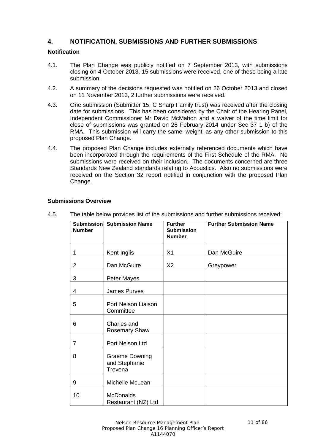## **4. NOTIFICATION, SUBMISSIONS AND FURTHER SUBMISSIONS**

#### **Notification**

- 4.1. The Plan Change was publicly notified on 7 September 2013, with submissions closing on 4 October 2013, 15 submissions were received, one of these being a late submission.
- 4.2. A summary of the decisions requested was notified on 26 October 2013 and closed on 11 November 2013, 2 further submissions were received.
- 4.3. One submission (Submitter 15, C Sharp Family trust) was received after the closing date for submissions. This has been considered by the Chair of the Hearing Panel, Independent Commissioner Mr David McMahon and a waiver of the time limit for close of submissions was granted on 28 February 2014 under Sec 37 1 b) of the RMA. This submission will carry the same 'weight' as any other submission to this proposed Plan Change.
- 4.4. The proposed Plan Change includes externally referenced documents which have been incorporated through the requirements of the First Schedule of the RMA. No submissions were received on their inclusion. The documents concerned are three Standards New Zealand standards relating to Acoustics. Also no submissions were received on the Section 32 report notified in conjunction with the proposed Plan Change.

# **Submission Number Submission Name Further Submission Number Further Submission Name** 1 Kent Inglis | X1 | Dan McGuire 2 Dan McGuire X2 Greypower 3 Peter Mayes 4 James Purves 5 Port Nelson Liaison **Committee** 6 Charles and Rosemary Shaw 7 Port Nelson Ltd 8 Graeme Downing and Stephanie **Trevena** 9 Michelle McLean 10 McDonalds Restaurant (NZ) Ltd

## **Submissions Overview**

4.5. The table below provides list of the submissions and further submissions received: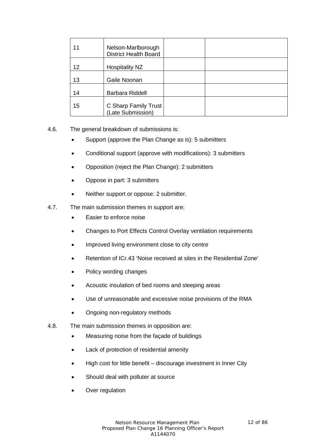| 11 | Nelson-Marlborough<br><b>District Health Board</b> |  |
|----|----------------------------------------------------|--|
| 12 | Hospitality NZ                                     |  |
| 13 | Gaile Noonan                                       |  |
| 14 | <b>Barbara Riddell</b>                             |  |
| 15 | C Sharp Family Trust<br>(Late Submission)          |  |

- 4.6. The general breakdown of submissions is:
	- Support (approve the Plan Change as is): 5 submitters
	- Conditional support (approve with modifications): 3 submitters
	- Opposition (reject the Plan Change): 2 submitters
	- Oppose in part: 3 submitters
	- Neither support or oppose: 2 submitter.
- 4.7. The main submission themes in support are:
	- Easier to enforce noise
	- Changes to Port Effects Control Overlay ventilation requirements
	- Improved living environment close to city centre
	- Retention of ICr.43 'Noise received at sites in the Residential Zone'
	- Policy wording changes
	- Acoustic insulation of bed rooms and sleeping areas
	- Use of unreasonable and excessive noise provisions of the RMA
	- Ongoing non-regulatory methods
- 4.8. The main submission themes in opposition are:
	- Measuring noise from the façade of buildings
	- Lack of protection of residential amenity
	- High cost for little benefit discourage investment in Inner City
	- Should deal with polluter at source
	- Over regulation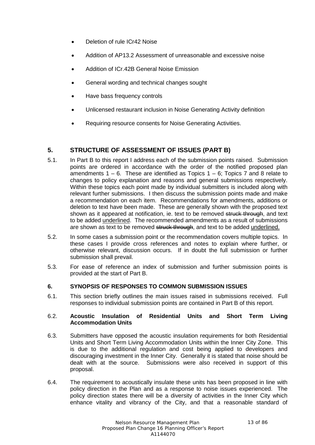- Deletion of rule ICr42 Noise
- Addition of AP13.2 Assessment of unreasonable and excessive noise
- Addition of ICr.42B General Noise Emission
- General wording and technical changes sought
- Have bass frequency controls
- Unlicensed restaurant inclusion in Noise Generating Activity definition
- Requiring resource consents for Noise Generating Activities.

## **5. STRUCTURE OF ASSESSMENT OF ISSUES (PART B)**

- 5.1. In Part B to this report I address each of the submission points raised. Submission points are ordered in accordance with the order of the notified proposed plan amendments  $1 - 6$ . These are identified as Topics  $1 - 6$ ; Topics 7 and 8 relate to changes to policy explanation and reasons and general submissions respectively. Within these topics each point made by individual submitters is included along with relevant further submissions. I then discuss the submission points made and make a recommendation on each item. Recommendations for amendments, additions or deletion to text have been made. These are generally shown with the proposed text shown as it appeared at notification, ie. text to be removed struck through, and text to be added underlined. The recommended amendments as a result of submissions are shown as text to be removed struck through, and text to be added underlined.
- 5.2. In some cases a submission point or the recommendation covers multiple topics. In these cases I provide cross references and notes to explain where further, or otherwise relevant, discussion occurs. If in doubt the full submission or further submission shall prevail.
- 5.3. For ease of reference an index of submission and further submission points is provided at the start of Part B.

## **6. SYNOPSIS OF RESPONSES TO COMMON SUBMISSION ISSUES**

6.1. This section briefly outlines the main issues raised in submissions received. Full responses to individual submission points are contained in Part B of this report.

## 6.2. **Acoustic Insulation of Residential Units and Short Term Living Accommodation Units**

- 6.3. Submitters have opposed the acoustic insulation requirements for both Residential Units and Short Term Living Accommodation Units within the Inner City Zone. This is due to the additional regulation and cost being applied to developers and discouraging investment in the Inner City. Generally it is stated that noise should be dealt with at the source. Submissions were also received in support of this proposal.
- 6.4. The requirement to acoustically insulate these units has been proposed in line with policy direction in the Plan and as a response to noise issues experienced. The policy direction states there will be a diversity of activities in the Inner City which enhance vitality and vibrancy of the City, and that a reasonable standard of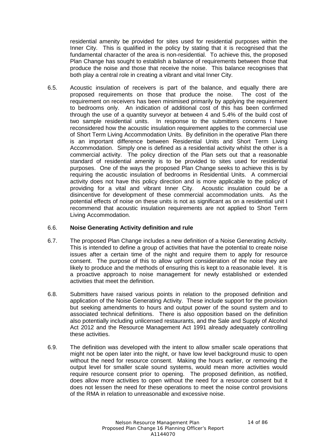residential amenity be provided for sites used for residential purposes within the Inner City. This is qualified in the policy by stating that it is recognised that the fundamental character of the area is non-residential. To achieve this, the proposed Plan Change has sought to establish a balance of requirements between those that produce the noise and those that receive the noise. This balance recognises that both play a central role in creating a vibrant and vital Inner City.

6.5. Acoustic insulation of receivers is part of the balance, and equally there are proposed requirements on those that produce the noise. The cost of the requirement on receivers has been minimised primarily by applying the requirement to bedrooms only. An indication of additional cost of this has been confirmed through the use of a quantity surveyor at between 4 and 5.4% of the build cost of two sample residential units. In response to the submitters concerns I have reconsidered how the acoustic insulation requirement applies to the commercial use of Short Term Living Accommodation Units. By definition in the operative Plan there is an important difference between Residential Units and Short Term Living Accommodation. Simply one is defined as a residential activity whilst the other is a commercial activity. The policy direction of the Plan sets out that a reasonable standard of residential amenity is to be provided to sites used for residential purposes. One of the ways the proposed Plan Change seeks to achieve this is by requiring the acoustic insulation of bedrooms in Residential Units. A commercial activity does not have this policy direction and is more applicable to the policy of providing for a vital and vibrant Inner City. Acoustic insulation could be a disincentive for development of these commercial accommodation units. As the potential effects of noise on these units is not as significant as on a residential unit I recommend that acoustic insulation requirements are not applied to Short Term Living Accommodation.

## 6.6. **Noise Generating Activity definition and rule**

- 6.7. The proposed Plan Change includes a new definition of a Noise Generating Activity. This is intended to define a group of activities that have the potential to create noise issues after a certain time of the night and require them to apply for resource consent. The purpose of this to allow upfront consideration of the noise they are likely to produce and the methods of ensuring this is kept to a reasonable level. It is a proactive approach to noise management for newly established or extended activities that meet the definition.
- 6.8. Submitters have raised various points in relation to the proposed definition and application of the Noise Generating Activity. These include support for the provision but seeking amendments to hours and output power of the sound system and to associated technical definitions. There is also opposition based on the definition also potentially including unlicensed restaurants, and the Sale and Supply of Alcohol Act 2012 and the Resource Management Act 1991 already adequately controlling these activities.
- 6.9. The definition was developed with the intent to allow smaller scale operations that might not be open later into the night, or have low level background music to open without the need for resource consent. Making the hours earlier, or removing the output level for smaller scale sound systems, would mean more activities would require resource consent prior to opening. The proposed definition, as notified, does allow more activities to open without the need for a resource consent but it does not lessen the need for these operations to meet the noise control provisions of the RMA in relation to unreasonable and excessive noise.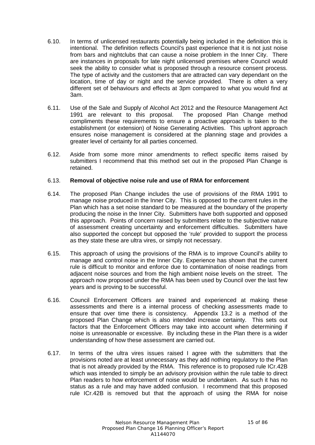- 6.10. In terms of unlicensed restaurants potentially being included in the definition this is intentional. The definition reflects Council's past experience that it is not just noise from bars and nightclubs that can cause a noise problem in the Inner City. There are instances in proposals for late night unlicensed premises where Council would seek the ability to consider what is proposed through a resource consent process. The type of activity and the customers that are attracted can vary dependant on the location, time of day or night and the service provided. There is often a very different set of behaviours and effects at 3pm compared to what you would find at 3am.
- 6.11. Use of the Sale and Supply of Alcohol Act 2012 and the Resource Management Act The proposed Plan Change method compliments these requirements to ensure a proactive approach is taken to the establishment (or extension) of Noise Generating Activities. This upfront approach ensures noise management is considered at the planning stage and provides a greater level of certainty for all parties concerned.
- 6.12. Aside from some more minor amendments to reflect specific items raised by submitters I recommend that this method set out in the proposed Plan Change is retained.

#### 6.13. **Removal of objective noise rule and use of RMA for enforcement**

- 6.14. The proposed Plan Change includes the use of provisions of the RMA 1991 to manage noise produced in the Inner City. This is opposed to the current rules in the Plan which has a set noise standard to be measured at the boundary of the property producing the noise in the Inner City. Submitters have both supported and opposed this approach. Points of concern raised by submitters relate to the subjective nature of assessment creating uncertainty and enforcement difficulties. Submitters have also supported the concept but opposed the 'rule' provided to support the process as they state these are ultra vires, or simply not necessary.
- 6.15. This approach of using the provisions of the RMA is to improve Council's ability to manage and control noise in the Inner City. Experience has shown that the current rule is difficult to monitor and enforce due to contamination of noise readings from adjacent noise sources and from the high ambient noise levels on the street. The approach now proposed under the RMA has been used by Council over the last few years and is proving to be successful.
- 6.16. Council Enforcement Officers are trained and experienced at making these assessments and there is a internal process of checking assessments made to ensure that over time there is consistency. Appendix 13.2 is a method of the proposed Plan Change which is also intended increase certainty. This sets out factors that the Enforcement Officers may take into account when determining if noise is unreasonable or excessive. By including these in the Plan there is a wider understanding of how these assessment are carried out.
- 6.17. In terms of the ultra vires issues raised I agree with the submitters that the provisions noted are at least unnecessary as they add nothing regulatory to the Plan that is not already provided by the RMA. This reference is to proposed rule ICr.42B which was intended to simply be an advisory provision within the rule table to direct Plan readers to how enforcement of noise would be undertaken. As such it has no status as a rule and may have added confusion. I recommend that this proposed rule ICr.42B is removed but that the approach of using the RMA for noise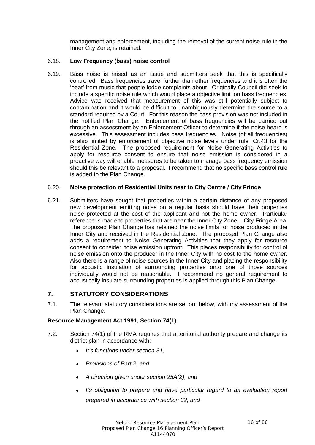management and enforcement, including the removal of the current noise rule in the Inner City Zone, is retained.

## 6.18. **Low Frequency (bass) noise control**

6.19. Bass noise is raised as an issue and submitters seek that this is specifically controlled. Bass frequencies travel further than other frequencies and it is often the 'beat' from music that people lodge complaints about. Originally Council did seek to include a specific noise rule which would place a objective limit on bass frequencies. Advice was received that measurement of this was still potentially subject to contamination and it would be difficult to unambiguously determine the source to a standard required by a Court. For this reason the bass provision was not included in the notified Plan Change. Enforcement of bass frequencies will be carried out through an assessment by an Enforcement Officer to determine if the noise heard is excessive. This assessment includes bass frequencies. Noise (of all frequencies) is also limited by enforcement of objective noise levels under rule ICr.43 for the Residential Zone. The proposed requirement for Noise Generating Activities to apply for resource consent to ensure that noise emission is considered in a proactive way will enable measures to be taken to manage bass frequency emission should this be relevant to a proposal. I recommend that no specific bass control rule is added to the Plan Change.

## 6.20. **Noise protection of Residential Units near to City Centre / City Fringe**

6.21. Submitters have sought that properties within a certain distance of any proposed new development emitting noise on a regular basis should have their properties noise protected at the cost of the applicant and not the home owner. Particular reference is made to properties that are near the Inner City Zone – City Fringe Area. The proposed Plan Change has retained the noise limits for noise produced in the Inner City and received in the Residential Zone. The proposed Plan Change also adds a requirement to Noise Generating Activities that they apply for resource consent to consider noise emission upfront. This places responsibility for control of noise emission onto the producer in the Inner City with no cost to the home owner. Also there is a range of noise sources in the Inner City and placing the responsibility for acoustic insulation of surrounding properties onto one of those sources individually would not be reasonable. I recommend no general requirement to acoustically insulate surrounding properties is applied through this Plan Change.

## **7. STATUTORY CONSIDERATIONS**

7.1. The relevant statutory considerations are set out below, with my assessment of the Plan Change.

## **Resource Management Act 1991, Section 74(1)**

- 7.2. Section 74(1) of the RMA requires that a territorial authority prepare and change its district plan in accordance with:
	- *It's functions under section 31,*
	- *Provisions of Part 2, and*
	- *A direction given under section 25A(2), and*
	- *Its obligation to prepare and have particular regard to an evaluation report prepared in accordance with section 32, and*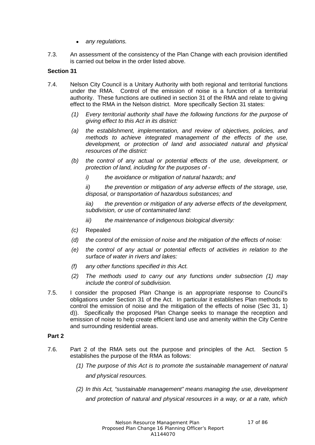- *any regulations.*
- 7.3. An assessment of the consistency of the Plan Change with each provision identified is carried out below in the order listed above.

## **Section 31**

- 7.4. Nelson City Council is a Unitary Authority with both regional and territorial functions under the RMA. Control of the emission of noise is a function of a territorial authority. These functions are outlined in section 31 of the RMA and relate to giving effect to the RMA in the Nelson district. More specifically Section 31 states:
	- *(1) Every territorial authority shall have the following functions for the purpose of giving effect to this Act in its district:*
	- *(a) the establishment, implementation, and review of objectives, policies, and methods to achieve integrated management of the effects of the use, development, or protection of land and associated natural and physical resources of the district:*
	- *(b) the control of any actual or potential effects of the use, development, or protection of land, including for the purposes of* 
		- *i) the avoidance or mitigation of natural hazards; and*

*ii) the prevention or mitigation of any adverse effects of the storage, use, disposal, or transportation of hazardous substances; and*

*iia) the prevention or mitigation of any adverse effects of the development, subdivision, or use of contaminated land:*

- *iii) the maintenance of indigenous biological diversity:*
- *(c)* Repealed
- *(d) the control of the emission of noise and the mitigation of the effects of noise:*
- *(e) the control of any actual or potential effects of activities in relation to the surface of water in rivers and lakes:*
- *(f) any other functions specified in this Act.*
- *(2) The methods used to carry out any functions under subsection (1) may include the control of subdivision.*
- 7.5. I consider the proposed Plan Change is an appropriate response to Council's obligations under Section 31 of the Act. In particular it establishes Plan methods to control the emission of noise and the mitigation of the effects of noise (Sec 31, 1) d)). Specifically the proposed Plan Change seeks to manage the reception and emission of noise to help create efficient land use and amenity within the City Centre and surrounding residential areas.

## **Part 2**

- 7.6. Part 2 of the RMA sets out the purpose and principles of the Act. Section 5 establishes the purpose of the RMA as follows:
	- *(1) The purpose of this Act is to promote the sustainable management of natural and physical resources.*
	- *(2) In this Act, "sustainable management" means managing the use, development and protection of natural and physical resources in a way, or at a rate, which*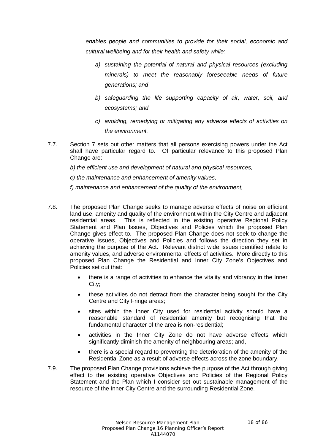*enables people and communities to provide for their social, economic and cultural wellbeing and for their health and safety while:*

- *a) sustaining the potential of natural and physical resources (excluding minerals) to meet the reasonably foreseeable needs of future generations; and*
- *b) safeguarding the life supporting capacity of air, water, soil, and ecosystems; and*
- *c) avoiding, remedying or mitigating any adverse effects of activities on the environment.*
- 7.7. Section 7 sets out other matters that all persons exercising powers under the Act shall have particular regard to. Of particular relevance to this proposed Plan Change are:

*b) the efficient use and development of natural and physical resources,*

*c) the maintenance and enhancement of amenity values,*

*f) maintenance and enhancement of the quality of the environment,*

- 7.8. The proposed Plan Change seeks to manage adverse effects of noise on efficient land use, amenity and quality of the environment within the City Centre and adjacent residential areas. This is reflected in the existing operative Regional Policy Statement and Plan Issues, Objectives and Policies which the proposed Plan Change gives effect to. The proposed Plan Change does not seek to change the operative Issues, Objectives and Policies and follows the direction they set in achieving the purpose of the Act. Relevant district wide issues identified relate to amenity values, and adverse environmental effects of activities. More directly to this proposed Plan Change the Residential and Inner City Zone's Objectives and Policies set out that:
	- there is a range of activities to enhance the vitality and vibrancy in the Inner City;
	- these activities do not detract from the character being sought for the City Centre and City Fringe areas;
	- sites within the Inner City used for residential activity should have a reasonable standard of residential amenity but recognising that the fundamental character of the area is non-residential;
	- activities in the Inner City Zone do not have adverse effects which significantly diminish the amenity of neighbouring areas; and,
	- there is a special regard to preventing the deterioration of the amenity of the Residential Zone as a result of adverse effects across the zone boundary.
- 7.9. The proposed Plan Change provisions achieve the purpose of the Act through giving effect to the existing operative Objectives and Policies of the Regional Policy Statement and the Plan which I consider set out sustainable management of the resource of the Inner City Centre and the surrounding Residential Zone.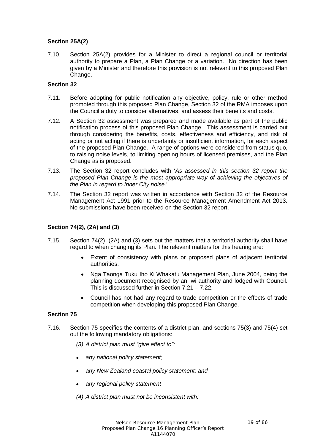## **Section 25A(2)**

7.10. Section 25A(2) provides for a Minister to direct a regional council or territorial authority to prepare a Plan, a Plan Change or a variation. No direction has been given by a Minister and therefore this provision is not relevant to this proposed Plan Change.

## **Section 32**

- 7.11. Before adopting for public notification any objective, policy, rule or other method promoted through this proposed Plan Change, Section 32 of the RMA imposes upon the Council a duty to consider alternatives, and assess their benefits and costs.
- 7.12. A Section 32 assessment was prepared and made available as part of the public notification process of this proposed Plan Change. This assessment is carried out through considering the benefits, costs, effectiveness and efficiency, and risk of acting or not acting if there is uncertainty or insufficient information, for each aspect of the proposed Plan Change. A range of options were considered from status quo, to raising noise levels, to limiting opening hours of licensed premises, and the Plan Change as is proposed.
- 7.13. The Section 32 report concludes with '*As assessed in this section 32 report the proposed Plan Change is the most appropriate way of achieving the objectives of the Plan in regard to Inner City noise.*'
- 7.14. The Section 32 report was written in accordance with Section 32 of the Resource Management Act 1991 prior to the Resource Management Amendment Act 2013. No submissions have been received on the Section 32 report.

## **Section 74(2), (2A) and (3)**

- 7.15. Section 74(2), (2A) and (3) sets out the matters that a territorial authority shall have regard to when changing its Plan. The relevant matters for this hearing are:
	- Extent of consistency with plans or proposed plans of adjacent territorial authorities.
	- Nga Taonga Tuku Iho Ki Whakatu Management Plan, June 2004, being the planning document recognised by an Iwi authority and lodged with Council. This is discussed further in Section 7.21 – 7.22.
	- Council has not had any regard to trade competition or the effects of trade competition when developing this proposed Plan Change.

#### **Section 75**

- 7.16. Section 75 specifies the contents of a district plan, and sections 75(3) and 75(4) set out the following mandatory obligations:
	- *(3) A district plan must "give effect to":*
	- *any national policy statement;*
	- *any New Zealand coastal policy statement; and*
	- *any regional policy statement*
	- *(4) A district plan must not be inconsistent with:*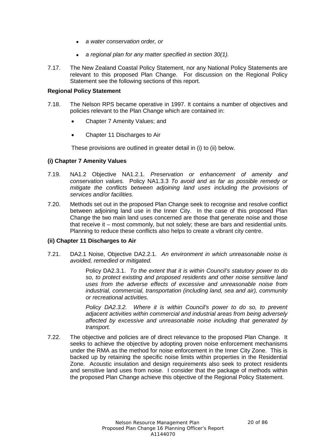- *a water conservation order, or*
- *a regional plan for any matter specified in section 30(1).*
- 7.17. The New Zealand Coastal Policy Statement, nor any National Policy Statements are relevant to this proposed Plan Change. For discussion on the Regional Policy Statement see the following sections of this report.

#### **Regional Policy Statement**

- 7.18. The Nelson RPS became operative in 1997. It contains a number of objectives and policies relevant to the Plan Change which are contained in:
	- Chapter 7 Amenity Values; and
	- Chapter 11 Discharges to Air

These provisions are outlined in greater detail in (i) to (ii) below.

#### **(i) Chapter 7 Amenity Values**

- 7.19. NA1.2 Objective NA1.2.1. *Preservation or enhancement of amenity and conservation values.* Policy NA1.3.3 *To avoid and as far as possible remedy or mitigate the conflicts between adjoining land uses including the provisions of services and/or facilities.*
- 7.20. Methods set out in the proposed Plan Change seek to recognise and resolve conflict between adjoining land use in the Inner City. In the case of this proposed Plan Change the two main land uses concerned are those that generate noise and those that receive it – most commonly, but not solely; these are bars and residential units. Planning to reduce these conflicts also helps to create a vibrant city centre.

#### **(ii) Chapter 11 Discharges to Air**

7.21. DA2.1 Noise, Objective DA2.2.1. *An environment in which unreasonable noise is avoided, remedied or mitigated.*

> Policy DA2.3.1. *To the extent that it is within Council's statutory power to do so, to protect existing and proposed residents and other noise sensitive land uses from the adverse effects of excessive and unreasonable noise from industrial, commercial, transportation (including land, sea and air), community or recreational activities.*

> *Policy DA2.3.2. Where it is within Council's power to do so, to prevent adjacent activities within commercial and industrial areas from being adversely affected by excessive and unreasonable noise including that generated by transport.*

7.22. The objective and policies are of direct relevance to the proposed Plan Change. It seeks to achieve the objective by adopting proven noise enforcement mechanisms under the RMA as the method for noise enforcement in the Inner City Zone. This is backed up by retaining the specific noise limits within properties in the Residential Zone. Acoustic insulation and design requirements also seek to protect residents and sensitive land uses from noise. I consider that the package of methods within the proposed Plan Change achieve this objective of the Regional Policy Statement.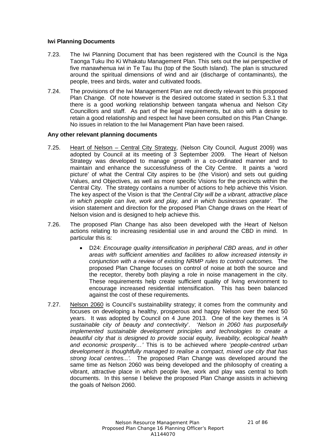#### **Iwi Planning Documents**

- 7.23. The Iwi Planning Document that has been registered with the Council is the Nga Taonga Tuku Iho Ki Whakatu Management Plan. This sets out the iwi perspective of five manawhenua iwi in Te Tau Ihu (top of the South Island). The plan is structured around the spiritual dimensions of wind and air (discharge of contaminants), the people, trees and birds, water and cultivated foods.
- 7.24. The provisions of the Iwi Management Plan are not directly relevant to this proposed Plan Change. Of note however is the desired outcome stated in section 5.3.1 that there is a good working relationship between tangata whenua and Nelson City Councillors and staff. As part of the legal requirements, but also with a desire to retain a good relationship and respect Iwi have been consulted on this Plan Change. No issues in relation to the Iwi Management Plan have been raised.

#### **Any other relevant planning documents**

- 7.25. Heart of Nelson Central City Strategy, (Nelson City Council, August 2009) was adopted by Council at its meeting of 3 September 2009. The Heart of Nelson Strategy was developed to manage growth in a co-ordinated manner and to maintain and enhance the successfulness of the City Centre. It paints a 'word picture' of what the Central City aspires to be (the Vision) and sets out guiding Values, and Objectives, as well as more specific Visions for the precincts within the Central City. The strategy contains a number of actions to help achieve this Vision. The key aspect of the Vision is that *'the Central City will be a vibrant, attractive place in which people can live, work and play, and in which businesses operate'*. The vision statement and direction for the proposed Plan Change draws on the Heart of Nelson vision and is designed to help achieve this.
- 7.26. The proposed Plan Change has also been developed with the Heart of Nelson actions relating to increasing residential use in and around the CBD in mind. In particular this is:
	- D24: *Encourage quality intensification in peripheral CBD areas, and in other areas with sufficient amenities and facilities to allow increased intensity in conjunction with a review of existing NRMP rules to control outcomes.* The proposed Plan Change focuses on control of noise at both the source and the receptor, thereby both playing a role in noise management in the city. These requirements help create sufficient quality of living environment to encourage increased residential intensification. This has been balanced against the cost of these requirements.
- 7.27. Nelson 2060 is Council's sustainability strategy; it comes from the community and focuses on developing a healthy, prosperous and happy Nelson over the next 50 years. It was adopted by Council on 4 June 2013. One of the key themes is '*A sustainable city of beauty and connectivity*'. '*Nelson in 2060 has purposefully implemented sustainable development principles and technologies to create a beautiful city that is designed to provide social equity, liveability, ecological health and economic prosperity…'* This is to be achieved where '*people-centred urban development is thoughtfully managed to realise a compact, mixed use city that has strong local centres...'.* The proposed Plan Change was developed around the same time as Nelson 2060 was being developed and the philosophy of creating a vibrant, attractive place in which people live, work and play was central to both documents. In this sense I believe the proposed Plan Change assists in achieving the goals of Nelson 2060.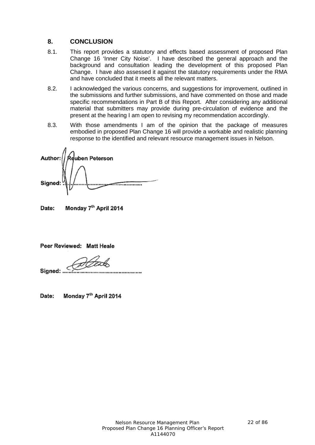## **8. CONCLUSION**

- 8.1. This report provides a statutory and effects based assessment of proposed Plan Change 16 'Inner City Noise'. I have described the general approach and the background and consultation leading the development of this proposed Plan Change. I have also assessed it against the statutory requirements under the RMA and have concluded that it meets all the relevant matters.
- 8.2. I acknowledged the various concerns, and suggestions for improvement, outlined in the submissions and further submissions, and have commented on those and made specific recommendations in Part B of this Report. After considering any additional material that submitters may provide during pre-circulation of evidence and the present at the hearing I am open to revising my recommendation accordingly.
- 8.3. With those amendments I am of the opinion that the package of measures embodied in proposed Plan Change 16 will provide a workable and realistic planning response to the identified and relevant resource management issues in Nelson.

euben Peterson Author Signed

Monday 7th April 2014 Date:

Peer Reviewed: Matt Heale

Signed:

Monday 7<sup>th</sup> April 2014 Date: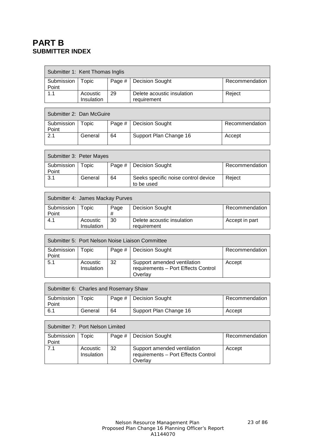## **PART B SUBMITTER INDEX**

 $\Gamma$ 

|                     | Submitter 1: Kent Thomas Inglis |    |                                           |                |  |  |  |
|---------------------|---------------------------------|----|-------------------------------------------|----------------|--|--|--|
| Submission<br>Point | Topic                           |    | Page #   Decision Sought                  | Recommendation |  |  |  |
| 1.1                 | Acoustic<br><b>Insulation</b>   | 29 | Delete acoustic insulation<br>requirement | Reject         |  |  |  |

|                     | Submitter 2: Dan McGuire |    |                          |                |  |  |  |
|---------------------|--------------------------|----|--------------------------|----------------|--|--|--|
| Submission<br>Point | Topic                    |    | Page #   Decision Sought | Recommendation |  |  |  |
| 2.1                 | General                  | 64 | Support Plan Change 16   | Accept         |  |  |  |

| Submitter 3: Peter Mayes |         |    |                                                   |                |  |  |
|--------------------------|---------|----|---------------------------------------------------|----------------|--|--|
| Submission<br>Point      | Topic   |    | Page #   Decision Sought                          | Recommendation |  |  |
| 3.1                      | General | 64 | Seeks specific noise control device<br>to be used | Reject         |  |  |

| Submitter 4: James Mackay Purves |                               |           |                                           |                |  |  |
|----------------------------------|-------------------------------|-----------|-------------------------------------------|----------------|--|--|
| Submission<br>Point              | opic-                         | Page<br># | Decision Sought                           | Recommendation |  |  |
| 4.1                              | Acoustic<br><b>Insulation</b> | 30        | Delete acoustic insulation<br>requirement | Accept in part |  |  |

| Submitter 5: Port Nelson Noise Liaison Committee |            |          |                                     |                |  |  |
|--------------------------------------------------|------------|----------|-------------------------------------|----------------|--|--|
| Submission                                       | opic:      | Page $#$ | <b>Decision Sought</b>              | Recommendation |  |  |
| Point                                            |            |          |                                     |                |  |  |
| 5.1                                              | Acoustic   | 32       | Support amended ventilation         | Accept         |  |  |
|                                                  | Insulation |          | requirements - Port Effects Control |                |  |  |
|                                                  |            |          | Overlay                             |                |  |  |

| Submitter 6: Charles and Rosemary Shaw |         |    |                          |                |  |  |
|----------------------------------------|---------|----|--------------------------|----------------|--|--|
| Submission                             | Topic   |    | Page #   Decision Sought | Recommendation |  |  |
| Point                                  |         |    |                          |                |  |  |
| 6.1                                    | General | 64 | Support Plan Change 16   | Accept         |  |  |

|            | Submitter 7: Port Nelson Limited |        |                                                                               |                |  |  |  |
|------------|----------------------------------|--------|-------------------------------------------------------------------------------|----------------|--|--|--|
| Submission | Горіс.                           | Page # | Decision Sought                                                               | Recommendation |  |  |  |
| Point      |                                  |        |                                                                               |                |  |  |  |
| 7.1        | Acoustic<br><b>Insulation</b>    | 32     | Support amended ventilation<br>requirements - Port Effects Control<br>Overlay | Accept         |  |  |  |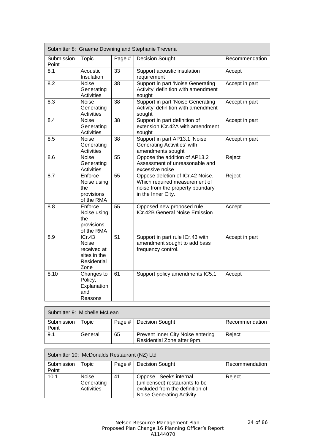|                     |                                                                       |                 | Submitter 8: Graeme Downing and Stephanie Trevena                                                                           |                |
|---------------------|-----------------------------------------------------------------------|-----------------|-----------------------------------------------------------------------------------------------------------------------------|----------------|
| Submission<br>Point | Topic                                                                 | Page #          | <b>Decision Sought</b>                                                                                                      | Recommendation |
| 8.1                 | Acoustic<br>Insulation                                                | $\overline{3}3$ | Support acoustic insulation<br>requirement                                                                                  | Accept         |
| 8.2                 | Noise<br>Generating<br><b>Activities</b>                              | $\overline{38}$ | Support in part 'Noise Generating<br>Activity' definition with amendment<br>sought                                          | Accept in part |
| 8.3                 | Noise<br>Generating<br><b>Activities</b>                              | 38              | Support in part 'Noise Generating<br>Activity' definition with amendment<br>sought                                          | Accept in part |
| 8.4                 | <b>Noise</b><br>Generating<br><b>Activities</b>                       | 38              | Support in part definition of<br>extension ICr.42A with amendment<br>sought                                                 | Accept in part |
| 8.5                 | Noise<br>Generating<br><b>Activities</b>                              | $\overline{38}$ | Support in part AP13.1 'Noise<br>Generating Activities' with<br>amendments sought                                           | Accept in part |
| 8.6                 | Noise<br>Generating<br>Activities                                     | 55              | Oppose the addition of AP13.2<br>Assessment of unreasonable and<br>excessive noise                                          | Reject         |
| 8.7                 | Enforce<br>Noise using<br>the<br>provisions<br>of the RMA             | 55              | Oppose deletion of ICr.42 Noise.<br>Which required measurement of<br>noise from the property boundary<br>in the Inner City. | Reject         |
| 8.8                 | Enforce<br>Noise using<br>the<br>provisions<br>of the RMA             | 55              | Opposed new proposed rule<br>ICr.42B General Noise Emission                                                                 | Accept         |
| 8.9                 | ICr.43<br>Noise<br>received at<br>sites in the<br>Residential<br>Zone | 51              | Support in part rule ICr.43 with<br>amendment sought to add bass<br>frequency control.                                      | Accept in part |
| 8.10                | Changes to<br>Policy,<br>Explanation<br>and<br>Reasons                | 61              | Support policy amendments IC5.1                                                                                             | Accept         |

| Submitter 9: Michelle McLean |         |    |                                                                  |                |  |
|------------------------------|---------|----|------------------------------------------------------------------|----------------|--|
| Submission<br>Point          | Topic   |    | Page #   Decision Sought                                         | Recommendation |  |
| 9.1                          | General | 65 | Prevent Inner City Noise entering<br>Residential Zone after 9pm. | Reiect         |  |

| Submitter 10: McDonalds Restaurant (NZ) Ltd |              |        |                                 |                |  |  |
|---------------------------------------------|--------------|--------|---------------------------------|----------------|--|--|
| Submission                                  | opic:        | Page # | <b>Decision Sought</b>          | Recommendation |  |  |
| Point                                       |              |        |                                 |                |  |  |
| 10.1                                        | <b>Noise</b> | 41     | Oppose. Seeks internal          | Reject         |  |  |
|                                             | Generating   |        | (unlicensed) restaurants to be  |                |  |  |
|                                             | Activities   |        | excluded from the definition of |                |  |  |
|                                             |              |        | Noise Generating Activity.      |                |  |  |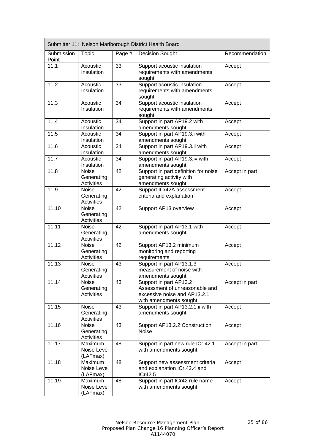|                     |                                                 |        | Submitter 11: Nelson Marlborough District Health Board                                                             |                |
|---------------------|-------------------------------------------------|--------|--------------------------------------------------------------------------------------------------------------------|----------------|
| Submission<br>Point | <b>Topic</b>                                    | Page # | <b>Decision Sought</b>                                                                                             | Recommendation |
| 11.1                | Acoustic<br>Insulation                          | 33     | Support acoustic insulation<br>requirements with amendments<br>sought                                              | Accept         |
| 11.2                | Acoustic<br>Insulation                          | 33     | Support acoustic insulation<br>requirements with amendments<br>sought                                              | Accept         |
| 11.3                | Acoustic<br>Insulation                          | 34     | Support acoustic insulation<br>requirements with amendments<br>sought                                              | Accept         |
| 11.4                | Acoustic<br>Insulation                          | 34     | Support in part AP19.2 with<br>amendments sought                                                                   | Accept         |
| 11.5                | Acoustic<br>Insulation                          | 34     | Support in part AP19.3.i with<br>amendments sought                                                                 | Accept         |
| 11.6                | Acoustic<br>Insulation                          | 34     | Support in part AP19.3.ii with<br>amendments sought                                                                | Accept         |
| 11.7                | Acoustic<br>Insulation                          | 34     | Support in part AP19.3.iv with<br>amendments sought                                                                | Accept         |
| 11.8                | <b>Noise</b><br>Generating<br><b>Activities</b> | 42     | Support in part definition for noise<br>generating activity with<br>amendments sought                              | Accept in part |
| 11.9                | Noise<br>Generating<br><b>Activities</b>        | 42     | Support ICr42A assessment<br>criteria and explanation                                                              | Accept         |
| 11.10               | <b>Noise</b><br>Generating<br><b>Activities</b> | 42     | Support AP13 overview                                                                                              | Accept         |
| 11.11               | Noise<br>Generating<br>Activities               | 42     | Support in part AP13.1 with<br>amendments sought                                                                   | Accept         |
| 11.12               | Noise<br>Generating<br>Activities               | 42     | Support AP13.2 minimum<br>monitoring and reporting<br>requirements                                                 | Accept         |
| 11.13               | Noise<br>Generating<br>Activities               | 43     | Support in part AP13.1.3<br>measurement of noise with<br>amendments sought                                         | Accept         |
| 11.14               | <b>Noise</b><br>Generating<br><b>Activities</b> | 43     | Support in part AP13.2<br>Assessment of unreasonable and<br>excessive noise and AP13.2.1<br>with amendments sought | Accept in part |
| 11.15               | Noise<br>Generating<br><b>Activities</b>        | 43     | Support in part AP13.2.1.ii with<br>amendments sought                                                              | Accept         |
| 11.16               | <b>Noise</b><br>Generating<br>Activities        | 43     | Support AP13.2.2 Construction<br>Noise                                                                             | Accept         |
| 11.17               | Maximum<br>Noise Level<br>(LAFmax)              | 48     | Support in part new rule ICr.42.1<br>with amendments sought                                                        | Accept in part |
| 11.18               | Maximum<br>Noise Level<br>(LAFmax)              | 48     | Support new assessment criteria<br>and explanation ICr.42.4 and<br>ICr42.5                                         | Accept         |
| 11.19               | Maximum<br>Noise Level<br>(LAFmax)              | 48     | Support in part ICr42 rule name<br>with amendments sought                                                          | Accept         |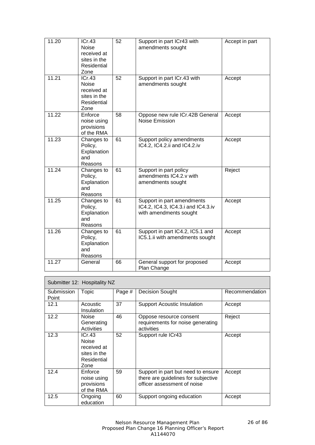| 11.20 | ICr.43<br><b>Noise</b><br>received at<br>sites in the<br>Residential<br>Zone | 52 | Support in part ICr43 with<br>amendments sought                                            | Accept in part |
|-------|------------------------------------------------------------------------------|----|--------------------------------------------------------------------------------------------|----------------|
| 11.21 | ICr.43<br><b>Noise</b><br>received at<br>sites in the<br>Residential<br>Zone | 52 | Support in part ICr.43 with<br>amendments sought                                           | Accept         |
| 11.22 | Enforce<br>noise using<br>provisions<br>of the RMA                           | 58 | Oppose new rule ICr.42B General<br><b>Noise Emission</b>                                   | Accept         |
| 11.23 | Changes to<br>Policy,<br>Explanation<br>and<br>Reasons                       | 61 | Support policy amendments<br>IC4.2, IC4.2.ii and IC4.2.iv                                  | Accept         |
| 11.24 | Changes to<br>Policy,<br>Explanation<br>and<br>Reasons                       | 61 | Support in part policy<br>amendments IC4.2.v with<br>amendments sought                     | Reject         |
| 11.25 | Changes to<br>Policy,<br>Explanation<br>and<br>Reasons                       | 61 | Support in part amendments<br>IC4.2, IC4.3, IC4.3.i and IC4.3.iv<br>with amendments sought | Accept         |
| 11.26 | Changes to<br>Policy,<br>Explanation<br>and<br>Reasons                       | 61 | Support in part IC4.2, IC5.1 and<br>IC5.1.ii with amendments sought                        | Accept         |
| 11.27 | General                                                                      | 66 | General support for proposed<br>Plan Change                                                | Accept         |

| Submitter 12: Hospitality NZ |                                                                              |        |                                                                                                          |                |  |
|------------------------------|------------------------------------------------------------------------------|--------|----------------------------------------------------------------------------------------------------------|----------------|--|
| Submission<br>Point          | Topic                                                                        | Page # | <b>Decision Sought</b>                                                                                   | Recommendation |  |
| 12.1                         | Acoustic<br>Insulation                                                       | 37     | <b>Support Acoustic Insulation</b>                                                                       | Accept         |  |
| 12.2                         | <b>Noise</b><br>Generating<br>Activities                                     | 46     | Oppose resource consent<br>requirements for noise generating<br>activities                               | Reject         |  |
| 12.3                         | ICr.43<br><b>Noise</b><br>received at<br>sites in the<br>Residential<br>Zone | 52     | Support rule ICr43                                                                                       | Accept         |  |
| 12.4                         | Enforce<br>noise using<br>provisions<br>of the RMA                           | 59     | Support in part but need to ensure<br>there are guidelines for subjective<br>officer assessment of noise | Accept         |  |
| 12.5                         | Ongoing<br>education                                                         | 60     | Support ongoing education                                                                                | Accept         |  |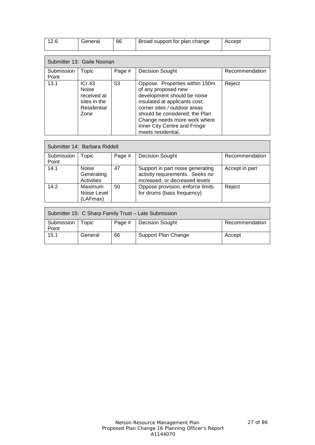| 12.6                | General                                                               | 66     | Broad support for plan change                                                                                                                                                                                                                           | Accept         |
|---------------------|-----------------------------------------------------------------------|--------|---------------------------------------------------------------------------------------------------------------------------------------------------------------------------------------------------------------------------------------------------------|----------------|
|                     | Submitter 13: Gaile Noonan                                            |        |                                                                                                                                                                                                                                                         |                |
| Submission<br>Point | Topic                                                                 | Page # | <b>Decision Sought</b>                                                                                                                                                                                                                                  | Recommendation |
| 13.1                | ICr.43<br>Noise<br>received at<br>sites in the<br>Residential<br>Zone | 53     | Oppose. Properties within 150m<br>of any proposed new<br>development should be noise<br>insulated at applicants cost;<br>corner sites / outdoor areas<br>should be considered; the Plan<br>Change needs more work where<br>Inner City Centre and Fringe | Reject         |

| Submitter 14: Barbara Riddell |                                          |        |                                                                                                       |                |  |  |
|-------------------------------|------------------------------------------|--------|-------------------------------------------------------------------------------------------------------|----------------|--|--|
| Submission<br>Point           | Topic                                    | Page # | <b>Decision Sought</b>                                                                                | Recommendation |  |  |
| 14.1                          | <b>Noise</b><br>Generating<br>Activities | 47     | Support in part noise generating<br>activity requirements. Seeks no<br>increased, or decreased levels | Accept in part |  |  |
| 14.2                          | Maximum<br>Noise Level<br>(LAFmax)       | 50     | Oppose provision, enforce limits<br>for drums (bass frequency)                                        | Reject         |  |  |

meets residential.

| Submitter 15: C Sharp Family Trust - Late Submission |         |        |                        |                |  |
|------------------------------------------------------|---------|--------|------------------------|----------------|--|
| Submission<br>Point                                  | Topic   | Page # | <b>Decision Sought</b> | Recommendation |  |
| 15.1                                                 | General | 66     | Support Plan Change    | Accept         |  |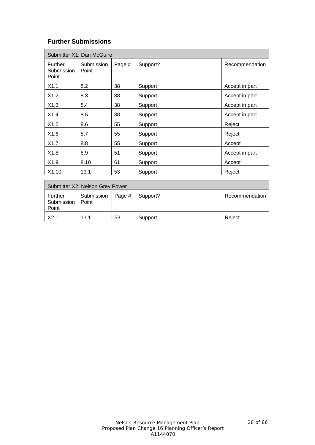## **Further Submissions**

|                                | Submitter X1: Dan McGuire |        |          |                |
|--------------------------------|---------------------------|--------|----------|----------------|
| Further<br>Submission<br>Point | Submission<br>Point       | Page # | Support? | Recommendation |
| X1.1                           | 8.2                       | 38     | Support  | Accept in part |
| X1.2                           | 8.3                       | 38     | Support  | Accept in part |
| X1.3                           | 8.4                       | 38     | Support  | Accept in part |
| X1.4                           | 8.5                       | 38     | Support  | Accept in part |
| X1.5                           | 8.6                       | 55     | Support  | Reject         |
| X1.6                           | 8.7                       | 55     | Support  | Reject         |
| X1.7                           | 8.8                       | 55     | Support  | Accept         |
| X1.8                           | 8.9                       | 51     | Support  | Accept in part |
| X <sub>1.9</sub>               | 8.10                      | 61     | Support  | Accept         |
| X1.10                          | 13.1                      | 53     | Support  | Reject         |

| Submitter X2: Nelson Grey Power |                                |    |          |                |  |  |
|---------------------------------|--------------------------------|----|----------|----------------|--|--|
| Further<br>Submission<br>Point  | Submission   Page #  <br>Point |    | Support? | Recommendation |  |  |
| X2.1                            | 13.1                           | 53 | Support  | Reiect         |  |  |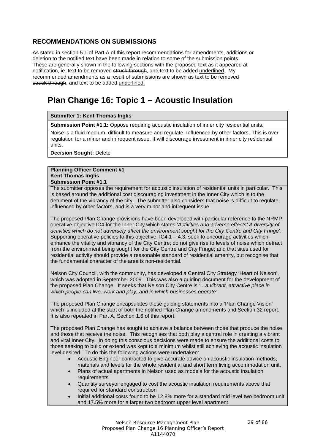## **RECOMMENDATIONS ON SUBMISSIONS**

As stated in section 5.1 of Part A of this report recommendations for amendments, additions or deletion to the notified text have been made in relation to some of the submission points. These are generally shown in the following sections with the proposed text as it appeared at notification, ie. text to be removed struck through, and text to be added underlined. My recommended amendments as a result of submissions are shown as text to be removed struck through, and text to be added underlined.

# **Plan Change 16: Topic 1 – Acoustic Insulation**

**Submitter 1: Kent Thomas Inglis**

**Submission Point #1.1:** Oppose requiring acoustic insulation of inner city residential units.

Noise is a fluid medium, difficult to measure and regulate. Influenced by other factors. This is over regulation for a minor and infrequent issue. It will discourage investment in inner city residential units.

**Decision Sought:** Delete

#### **Planning Officer Comment #1 Kent Thomas Inglis Submission Point #1.1**

The submitter opposes the requirement for acoustic insulation of residential units in particular. This is based around the additional cost discouraging investment in the Inner City which is to the detriment of the vibrancy of the city. The submitter also considers that noise is difficult to regulate, influenced by other factors, and is a very minor and infrequent issue.

The proposed Plan Change provisions have been developed with particular reference to the NRMP operative objective IC4 for the Inner City which states '*Activities and adverse effects' A diversity of activities which do not adversely affect the environment sought for the City Centre and City Fringe*'. Supporting operative policies to this objective,  $IC4.1 - 4.3$ , seek to encourage activities which: enhance the vitality and vibrancy of the City Centre; do not give rise to levels of noise which detract from the environment being sought for the City Centre and City Fringe; and that sites used for residential activity should provide a reasonable standard of residential amenity, but recognise that the fundamental character of the area is non-residential.

Nelson City Council, with the community, has developed a Central City Strategy 'Heart of Nelson', which was adopted in September 2009. This was also a guiding document for the development of the proposed Plan Change. It seeks that Nelson City Centre is *'…a vibrant, attractive place in which people can live, work and play, and in which businesses operate'*.

The proposed Plan Change encapsulates these guiding statements into a 'Plan Change Vision' which is included at the start of both the notified Plan Change amendments and Section 32 report. It is also repeated in Part A, Section 1.6 of this report.

The proposed Plan Change has sought to achieve a balance between those that produce the noise and those that receive the noise. This recognises that both play a central role in creating a vibrant and vital Inner City. In doing this conscious decisions were made to ensure the additional costs to those seeking to build or extend was kept to a minimum whilst still achieving the acoustic insulation level desired. To do this the following actions were undertaken:

- Acoustic Engineer contracted to give accurate advice on acoustic insulation methods, materials and levels for the whole residential and short term living accommodation unit.
- Plans of actual apartments in Nelson used as models for the acoustic insulation requirements
- Quantity surveyor engaged to cost the acoustic insulation requirements above that required for standard construction
- Initial additional costs found to be 12.8% more for a standard mid level two bedroom unit and 17.5% more for a larger two bedroom upper level apartment.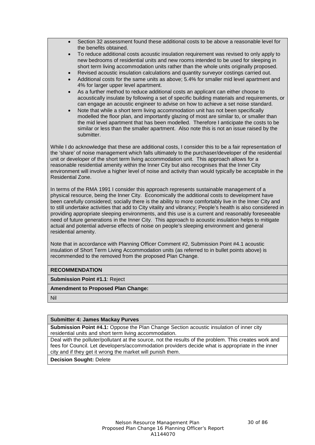- Section 32 assessment found these additional costs to be above a reasonable level for the benefits obtained.
- To reduce additional costs acoustic insulation requirement was revised to only apply to new bedrooms of residential units and new rooms intended to be used for sleeping in short term living accommodation units rather than the whole units originally proposed.
- Revised acoustic insulation calculations and quantity surveyor costings carried out.
- Additional costs for the same units as above; 5.4% for smaller mid level apartment and 4% for larger upper level apartment.
- As a further method to reduce additional costs an applicant can either choose to acoustically insulate by following a set of specific building materials and requirements, or can engage an acoustic engineer to advise on how to achieve a set noise standard.
- Note that while a short term living accommodation unit has not been specifically modelled the floor plan, and importantly glazing of most are similar to, or smaller than the mid level apartment that has been modelled. Therefore I anticipate the costs to be similar or less than the smaller apartment. Also note this is not an issue raised by the submitter.

While I do acknowledge that these are additional costs, I consider this to be a fair representation of the 'share' of noise management which falls ultimately to the purchaser/developer of the residential unit or developer of the short term living accommodation unit. This approach allows for a reasonable residential amenity within the Inner City but also recognises that the Inner City environment will involve a higher level of noise and activity than would typically be acceptable in the Residential Zone.

In terms of the RMA 1991 I consider this approach represents sustainable management of a physical resource, being the Inner City. Economically the additional costs to development have been carefully considered; socially there is the ability to more comfortably live in the Inner City and to still undertake activities that add to City vitality and vibrancy; People's health is also considered in providing appropriate sleeping environments, and this use is a current and reasonably foreseeable need of future generations in the Inner City. This approach to acoustic insulation helps to mitigate actual and potential adverse effects of noise on people's sleeping environment and general residential amenity.

Note that in accordance with Planning Officer Comment #2, Submission Point #4.1 acoustic insulation of Short Term Living Accommodation units (as referred to in bullet points above) is recommended to the removed from the proposed Plan Change.

#### **RECOMMENDATION**

**Submission Point #1.1**: Reject

**Amendment to Proposed Plan Change:**

Nil

#### **Submitter 4: James Mackay Purves**

**Submission Point #4.1:** Oppose the Plan Change Section acoustic insulation of inner city residential units and short term living accommodation.

Deal with the polluter/pollutant at the source, not the results of the problem. This creates work and fees for Council. Let developers/accommodation providers decide what is appropriate in the inner city and if they get it wrong the market will punish them.

**Decision Sought:** Delete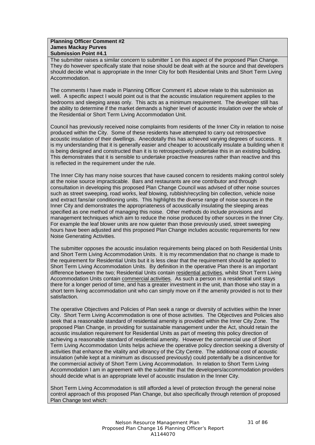#### **Planning Officer Comment #2 James Mackay Purves Submission Point #4.1**

The submitter raises a similar concern to submitter 1 on this aspect of the proposed Plan Change. They do however specifically state that noise should be dealt with at the source and that developers should decide what is appropriate in the Inner City for both Residential Units and Short Term Living Accommodation.

The comments I have made in Planning Officer Comment #1 above relate to this submission as well. A specific aspect I would point out is that the acoustic insulation requirement applies to the bedrooms and sleeping areas only. This acts as a minimum requirement. The developer still has the ability to determine if the market demands a higher level of acoustic insulation over the whole of the Residential or Short Term Living Accommodation Unit.

Council has previously received noise complaints from residents of the Inner City in relation to noise produced within the City. Some of these residents have attempted to carry out retrospective acoustic insulation of their dwellings. Anecdotally this has achieved varying degrees of success. It is my understanding that it is generally easier and cheaper to acoustically insulate a building when it is being designed and constructed than it is to retrospectively undertake this in an existing building. This demonstrates that it is sensible to undertake proactive measures rather than reactive and this is reflected in the requirement under the rule.

The Inner City has many noise sources that have caused concern to residents making control solely at the noise source impracticable. Bars and restaurants are one contributor and through consultation in developing this proposed Plan Change Council was advised of other noise sources such as street sweeping, road works, leaf blowing, rubbish/recycling bin collection, vehicle noise and extract fans/air conditioning units. This highlights the diverse range of noise sources in the Inner City and demonstrates the appropriateness of acoustically insulating the sleeping areas specified as one method of managing this noise. Other methods do include provisions and management techniques which aim to reduce the noise produced by other sources in the Inner City. For example the leaf blower units are now quieter than those previously used, street sweeping hours have been adjusted and this proposed Plan Change includes acoustic requirements for new Noise Generating Activities.

The submitter opposes the acoustic insulation requirements being placed on both Residential Units and Short Term Living Accommodation Units. It is my recommendation that no change is made to the requirement for Residential Units but it is less clear that the requirement should be applied to Short Term Living Accommodation Units. By definition in the operative Plan there is an important difference between the two; Residential Units contain residential activities, whilst Short Term Living Accommodation Units contain commercial activities. As such a person in a residential unit stays there for a longer period of time, and has a greater investment in the unit, than those who stay in a short term living accommodation unit who can simply move on if the amenity provided is not to their satisfaction.

The operative Objectives and Policies of Plan seek a range or diversity of activities within the Inner City. Short Term Living Accommodation is one of those activities. The Objectives and Policies also seek that a reasonable standard of residential amenity is provided within the Inner City Zone. The proposed Plan Change, in providing for sustainable management under the Act, should retain the acoustic insulation requirement for Residential Units as part of meeting this policy direction of achieving a reasonable standard of residential amenity. However the commercial use of Short Term Living Accommodation Units helps achieve the operative policy direction seeking a diversity of activities that enhance the vitality and vibrancy of the City Centre. The additional cost of acoustic insulation (while kept at a minimum as discussed previously) could potentially be a disincentive for the commercial activity of Short Term Living Accommodation. In relation to Short Term Living Accommodation I am in agreement with the submitter that the developers/accommodation providers should decide what is an appropriate level of acoustic insulation in the Inner City.

Short Term Living Accommodation is still afforded a level of protection through the general noise control approach of this proposed Plan Change, but also specifically through retention of proposed Plan Change text which: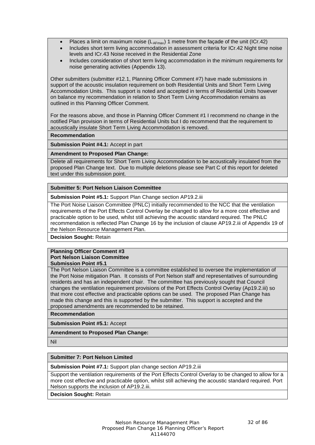- Places a limit on maximum noise  $(L_{AFmax})$  1 metre from the façade of the unit (ICr.42)
- Includes short term living accommodation in assessment criteria for ICr.42 Night time noise levels and ICr.43 Noise received in the Residential Zone
- Includes consideration of short term living accommodation in the minimum requirements for noise generating activities (Appendix 13).

Other submitters (submitter #12.1, Planning Officer Comment #7) have made submissions in support of the acoustic insulation requirement on both Residential Units and Short Term Living Accommodation Units. This support is noted and accepted in terms of Residential Units however on balance my recommendation in relation to Short Term Living Accommodation remains as outlined in this Planning Officer Comment.

For the reasons above, and those in Planning Officer Comment #1 I recommend no change in the notified Plan provision in terms of Residential Units but I do recommend that the requirement to acoustically insulate Short Term Living Accommodation is removed.

#### **Recommendation**

**Submission Point #4.1:** Accept in part

#### **Amendment to Proposed Plan Change:**

Delete all requirements for Short Term Living Accommodation to be acoustically insulated from the proposed Plan Change text. Due to multiple deletions please see Part C of this report for deleted text under this submission point.

#### **Submitter 5: Port Nelson Liaison Committee**

**Submission Point #5.1:** Support Plan Change section AP19.2.iii

The Port Noise Liaison Committee (PNLC) initially recommended to the NCC that the ventilation requirements of the Port Effects Control Overlay be changed to allow for a more cost effective and practicable option to be used, whilst still achieving the acoustic standard required. The PNLC recommendation is reflected Plan Change 16 by the inclusion of clause AP19.2.iii of Appendix 19 of the Nelson Resource Management Plan.

**Decision Sought:** Retain

#### **Planning Officer Comment #3 Port Nelson Liaison Committee Submission Point #5.1**

The Port Nelson Liaison Committee is a committee established to oversee the implementation of the Port Noise mitigation Plan. It consists of Port Nelson staff and representatives of surrounding residents and has an independent chair. The committee has previously sought that Council changes the ventilation requirement provisions of the Port Effects Control Overlay (Ap19.2.iii) so that more cost effective and practicable options can be used. The proposed Plan Change has made this change and this is supported by the submitter. This support is accepted and the proposed amendments are recommended to be retained.

**Recommendation**

**Submission Point #5.1:** Accept

**Amendment to Proposed Plan Change:**

Nil

#### **Submitter 7: Port Nelson Limited**

**Submission Point #7.1:** Support plan change section AP19.2.iii

Support the ventilation requirements of the Port Effects Control Overlay to be changed to allow for a more cost effective and practicable option, whilst still achieving the acoustic standard required. Port Nelson supports the inclusion of AP19.2.iii.

**Decision Sought:** Retain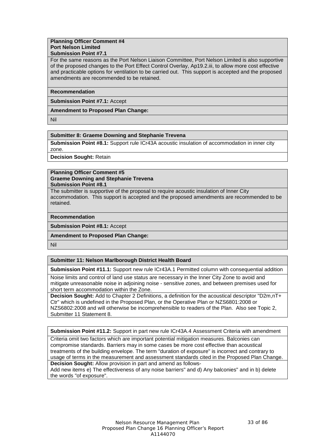#### **Planning Officer Comment #4 Port Nelson Limited Submission Point #7.1**

For the same reasons as the Port Nelson Liaison Committee, Port Nelson Limited is also supportive of the proposed changes to the Port Effect Control Overlay, Ap19.2.iii, to allow more cost effective and practicable options for ventilation to be carried out. This support is accepted and the proposed amendments are recommended to be retained.

#### **Recommendation**

**Submission Point #7.1:** Accept

**Amendment to Proposed Plan Change:**

Nil

#### **Submitter 8: Graeme Downing and Stephanie Trevena**

**Submission Point #8.1:** Support rule ICr43A acoustic insulation of accommodation in inner city zone.

**Decision Sought:** Retain

#### **Planning Officer Comment #5 Graeme Downing and Stephanie Trevena Submission Point #8.1**

The submitter is supportive of the proposal to require acoustic insulation of Inner City accommodation. This support is accepted and the proposed amendments are recommended to be retained.

#### **Recommendation**

**Submission Point #8.1:** Accept

#### **Amendment to Proposed Plan Change:**

Nil

#### **Submitter 11: Nelson Marlborough District Health Board**

**Submission Point #11.1:** Support new rule ICr43A.1 Permitted column with consequential addition

Noise limits and control of land use status are necessary in the Inner City Zone to avoid and mitigate unreasonable noise in adjoining noise - sensitive zones, and between premises used for short term accommodation within the Zone.

**Decision Sought:** Add to Chapter 2 Definitions, a definition for the acoustical descriptor "D2m,nT+ Ctr" which is undefined in the Proposed Plan, or the Operative Plan or NZS6801:2008 or NZS6802:2008 and will otherwise be incomprehensible to readers of the Plan. Also see Topic 2, Submitter 11 Statement 8.

**Submission Point #11.2:** Support in part new rule ICr43A.4 Assessment Criteria with amendment

Criteria omit two factors which are important potential mitigation measures. Balconies can compromise standards. Barriers may in some cases be more cost effective than acoustical treatments of the building envelope. The term "duration of exposure" is incorrect and contrary to usage of terms in the measurement and assessment standards cited in the Proposed Plan Change. **Decision Sought:** Allow provision in part and amend as follows-

Add new items e) The effectiveness of any noise barriers" and d) Any balconies" and in b) delete the words "of exposure".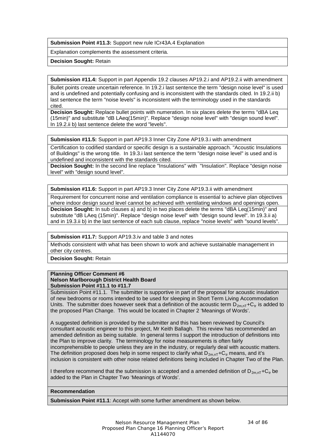**Submission Point #11.3:** Support new rule ICr43A.4 Explanation

Explanation complements the assessment criteria.

**Decision Sought:** Retain

**Submission #11.4:** Support in part Appendix 19.2 clauses AP19.2.i and AP19.2.ii with amendment

Bullet points create uncertain reference. In 19.2.i last sentence the term "design noise level" is used and is undefined and potentially confusing and is inconsistent with the standards cited. In 19.2.ii b) last sentence the term "noise levels" is inconsistent with the terminology used in the standards cited.

**Decision Sought:** Replace bullet points with numeration. In six places delete the terms "dBA Leq (15min)" and substitute "dB LAeq(15min)". Replace "design noise level" with "design sound level". In 19.2.ii b) last sentence delete the word "levels".

**Submission #11.5:** Support in part AP19.3 Inner City Zone AP19.3.i with amendment

Certification to codified standard or specific design is a sustainable approach. "Acoustic Insulations of Buildings" is the wrong title. In 19.3.i last sentence the term "design noise level" is used and is undefined and inconsistent with the standards cited.

**Decision Sought:** In the second line replace "Insulations" with "Insulation". Replace "design noise level" with "design sound level".

**Submission #11.6:** Support in part AP19.3 Inner City Zone AP19.3.ii with amendment

Requirement for concurrent noise and ventilation compliance is essential to achieve plan objectives where indoor design sound level cannot be achieved with ventilating windows and openings open. **Decision Sought:** In sub clauses a) and b) in two places delete the terms "dBA Leq(15min)" and substitute "dB LAeq (15min)". Replace "design noise level" with "design sound level". In 19.3.ii a) and in 19.3.ii b) in the last sentence of each sub clause, replace "noise levels" with "sound levels".

**Submission #11.7:** Support AP19.3.iv and table 3 and notes

Methods consistent with what has been shown to work and achieve sustainable management in other city centres.

**Decision Sought:** Retain

#### **Planning Officer Comment #6 Nelson Marlborough District Health Board Submission Point #11.1 to #11.7**

Submission Point #11.1. The submitter is supportive in part of the proposal for acoustic insulation of new bedrooms or rooms intended to be used for sleeping in Short Term Living Accommodation Units. The submitter does however seek that a definition of the acoustic term  $D_{2m,nT}$ +C<sub>tr</sub> is added to the proposed Plan Change. This would be located in Chapter 2 'Meanings of Words'.

A suggested definition is provided by the submitter and this has been reviewed by Council's consultant acoustic engineer to this project, Mr Keith Ballagh. This review has recommended an amended definition as being suitable. In general terms I support the introduction of definitions into the Plan to improve clarity. The terminology for noise measurements is often fairly incomprehensible to people unless they are in the industry, or regularly deal with acoustic matters. The definition proposed does help in some respect to clarify what  $D_{2m,nT}+C_{tr}$  means, and it's inclusion is consistent with other noise related definitions being included in Chapter Two of the Plan.

I therefore recommend that the submission is accepted and a amended definition of  $D_{2m,nT}+C_{tr}$  be added to the Plan in Chapter Two 'Meanings of Words'.

#### **Recommendation**

**Submission Point #11.1**: Accept with some further amendment as shown below.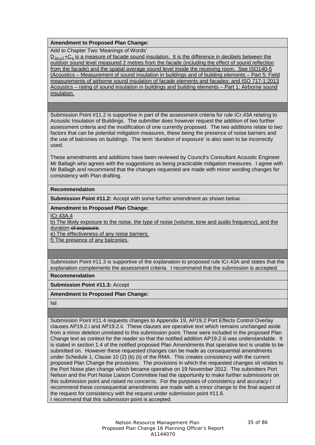#### **Amendment to Proposed Plan Change:**

Add to Chapter Two 'Meanings of Words'

 $D_{2m,nT}$ +C<sub>tr</sub> is a measure of facade sound insulation. It is the difference in decibels between the outdoor sound level measured 2 metres from the facade (including the effect of sound reflection from the facade) and the spatial average sound level inside the receiving room. See ISO140-5 (Acoustics – Measurement of sound insulation in buildings and of building elements – Part 5: Field measurements of airborne sound insulation of facade elements and facades; and ISO 717-1:2013 Acoustics – rating of sound insulation in buildings and building elements – Part 1: Airborne sound insulation.

Submission Point #11.2 is supportive in part of the assessment criteria for rule ICr.43A relating to Acoustic Insulation of Buildings. The submitter does however request the addition of two further assessment criteria and the modification of one currently proposed. The two additions relate to two factors that can be potential mitigation measures, these being the presence of noise barriers and the use of balconies on buildings. The term 'duration of exposure' is also seen to be incorrectly used.

These amendments and additions have been reviewed by Council's Consultant Acoustic Engineer Mr Ballagh who agrees with the suggestions as being practicable mitigation measures. I agree with Mr Ballagh and recommend that the changes requested are made with minor wording changes for consistency with Plan drafting.

#### **Recommendation**

**Submission Point #11.2:** Accept with some further amendment as shown below.

#### **Amendment to Proposed Plan Change:**

ICr.43A.4

b) The likely exposure to the noise, the type of noise (volume, tone and audio frequency), and the duration of exposure.

e) The effectiveness of any noise barriers.

f) The presence of any balconies.

Submission Point #11.3 is supportive of the explanation to proposed rule ICr.43A and states that the explanation complements the assessment criteria. I recommend that the submission is accepted.

**Recommendation**

**Submission Point #11.3:** Accept

#### **Amendment to Proposed Plan Change:**

Nil

Submission Point #11.4 requests changes to Appendix 19, AP19.2 Port Effects Control Overlay clauses AP19.2.i and AP19.2.ii. These clauses are operative text which remains unchanged aside from a minor deletion unrelated to this submission point. These were included in the proposed Plan Change text as context for the reader so that the notified addition AP19.2.iii was understandable. It is stated in section 1.4 of the notified proposed Plan Amendments that operative text is unable to be submitted on. However these requested changes can be made as consequential amendments under Schedule 1, Clause 10 (2) (b) (ii) of the RMA. This creates consistency with the current proposed Plan Change the provisions. The provisions in which the requested changes sit relates to the Port Noise plan change which became operative on 19 November 2012. The submitters Port Nelson and the Port Noise Liaison Committee had the opportunity to make further submissions on this submission point and raised no concerns. For the purposes of consistency and accuracy I recommend these consequential amendments are made with a minor change to the final aspect of the request for consistency with the request under submission point #11.6. I recommend that this submission point is accepted.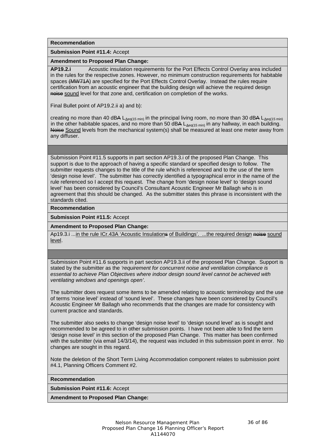**Recommendation**

**Submission Point #11.4:** Accept

**Amendment to Proposed Plan Change:**

**AP19.2.i** Acoustic insulation requirements for the Port Effects Control Overlay area included in the rules for the respective zones. However, no minimum construction requirements for habitable spaces (MW71A) are specified for the Port Effects Control Overlay. Instead the rules require certification from an acoustic engineer that the building design will achieve the required design noise sound level for that zone and, certification on completion of the works.

Final Bullet point of AP19.2.ii a) and b):

creating no more than 40 dBA  $L_{Aeq(15 min)}$  in the principal living room, no more than 30 dBA  $L_{Aeq(15 min)}$ in the other habitable spaces, and no more than 50 dBA  $L_{Aeq(15 min)}$  in any hallway, in each building. Noise Sound levels from the mechanical system(s) shall be measured at least one meter away from any diffuser.

Submission Point #11.5 supports in part section AP19.3.i of the proposed Plan Change. This support is due to the approach of having a specific standard or specified design to follow. The submitter requests changes to the title of the rule which is referenced and to the use of the term 'design noise level'. The submitter has correctly identified a typographical error in the name of the rule referenced so I accept this request. The change from 'design noise level' to 'design sound level' has been considered by Council's Consultant Acoustic Engineer Mr Ballagh who is in agreement that this should be changed. As the submitter states this phrase is inconsistent with the standards cited.

**Recommendation**

**Submission Point #11.5:** Accept

**Amendment to Proposed Plan Change:**

Ap19.3.i ...in the rule ICr.43A 'Acoustic Insulations of Buildings'. ...the required design noise sound level.

Submission Point #11.6 supports in part section AP19.3.ii of the proposed Plan Change. Support is stated by the submitter as the *'requirement for concurrent noise and ventilation compliance is essential to achieve Plan Objectives where indoor design sound level cannot be achieved with ventilating windows and openings open'*.

The submitter does request some items to be amended relating to acoustic terminology and the use of terms 'noise level' instead of 'sound level'. These changes have been considered by Council's Acoustic Engineer Mr Ballagh who recommends that the changes are made for consistency with current practice and standards.

The submitter also seeks to change 'design noise level' to 'design sound level' as is sought and recommended to be agreed to in other submission points. I have not been able to find the term 'design noise level' in this section of the proposed Plan Change. This matter has been confirmed with the submitter (via email 14/3/14), the request was included in this submission point in error. No changes are sought in this regard.

Note the deletion of the Short Term Living Accommodation component relates to submission point #4.1, Planning Officers Comment #2.

**Recommendation**

**Submission Point #11.6:** Accept

**Amendment to Proposed Plan Change:**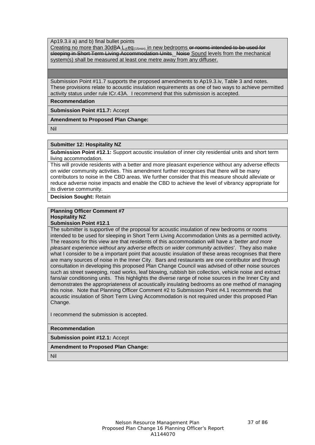Ap19.3.ii a) and b) final bullet points

Creating no more than  $30dBA \perp_Aeq_{(15min)}$  in new bedrooms or rooms intended to be used for sleeping in Short Term Living Accommodation Units. Noise Sound levels from the mechanical system(s) shall be measured at least one metre away from any diffuser.

Submission Point #11.7 supports the proposed amendments to Ap19.3.iv, Table 3 and notes. These provisions relate to acoustic insulation requirements as one of two ways to achieve permitted activity status under rule ICr.43A. I recommend that this submission is accepted.

**Recommendation**

**Submission Point #11.7:** Accept

**Amendment to Proposed Plan Change:**

Nil

#### **Submitter 12: Hospitality NZ**

**Submission Point #12.1:** Support acoustic insulation of inner city residential units and short term living accommodation.

This will provide residents with a better and more pleasant experience without any adverse effects on wider community activities. This amendment further recognises that there will be many contributors to noise in the CBD areas. We further consider that this measure should alleviate or reduce adverse noise impacts and enable the CBD to achieve the level of vibrancy appropriate for its diverse community.

**Decision Sought:** Retain

# **Planning Officer Comment #7 Hospitality NZ**

**Submission Point #12.1**

The submitter is supportive of the proposal for acoustic insulation of new bedrooms or rooms intended to be used for sleeping in Short Term Living Accommodation Units as a permitted activity. The reasons for this view are that residents of this accommodation will have a '*better and more pleasant experience without any adverse effects on wider community activities*'. They also make what I consider to be a important point that acoustic insulation of these areas recognises that there are many sources of noise in the Inner City. Bars and restaurants are one contributor and through consultation in developing this proposed Plan Change Council was advised of other noise sources such as street sweeping, road works, leaf blowing, rubbish bin collection, vehicle noise and extract fans/air conditioning units. This highlights the diverse range of noise sources in the Inner City and demonstrates the appropriateness of acoustically insulating bedrooms as one method of managing this noise. Note that Planning Officer Comment #2 to Submission Point #4.1 recommends that acoustic insulation of Short Term Living Accommodation is not required under this proposed Plan Change.

I recommend the submission is accepted.

# **Recommendation**

#### **Submission point #12.1:** Accept

#### **Amendment to Proposed Plan Change:**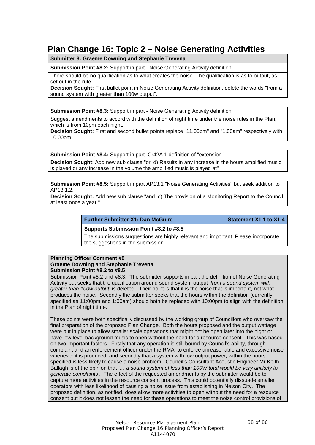# **Plan Change 16: Topic 2 – Noise Generating Activities**

**Submitter 8: Graeme Downing and Stephanie Trevena**

**Submission Point #8.2:** Support in part - Noise Generating Activity definition

There should be no qualification as to what creates the noise. The qualification is as to output, as set out in the rule.

**Decision Sought:** First bullet point in Noise Generating Activity definition, delete the words "from a sound system with greater than 100w output".

**Submission Point #8.3:** Support in part - Noise Generating Activity definition

Suggest amendments to accord with the definition of night time under the noise rules in the Plan, which is from 10pm each night.

**Decision Sought:** First and second bullet points replace "11.00pm" and "1.00am" respectively with 10.00pm.

**Submission Point #8.4:** Support in part ICr42A.1 definition of "extension"

**Decision Sought**: Add new sub clause "or d) Results in any increase in the hours amplified music is played or any increase in the volume the amplified music is played at"

**Submission Point #8.5:** Support in part AP13.1 "Noise Generating Activities" but seek addition to AP<sub>13</sub>.1.2

**Decision Sought:** Add new sub clause "and c) The provision of a Monitoring Report to the Council at least once a year."

# **Further Submitter X1: Dan McGuire Statement X1.1** to X1.4

**Supports Submission Point #8.2 to #8.5**

The submissions suggestions are highly relevant and important. Please incorporate the suggestions in the submission

# **Planning Officer Comment #8 Graeme Downing and Stephanie Trevena Submission Point #8.2 to #8.5**

Submission Point #8.2 and #8.3. The submitter supports in part the definition of Noise Generating Activity but seeks that the qualification around sound system output '*from a sound system with greater than 100w output*' is deleted. Their point is that it is the noise that is important, not what produces the noise. Secondly the submitter seeks that the hours within the definition (currently specified as 11:00pm and 1:00am) should both be replaced with 10:00pm to align with the definition in the Plan of night time.

These points were both specifically discussed by the working group of Councillors who oversaw the final preparation of the proposed Plan Change. Both the hours proposed and the output wattage were put in place to allow smaller scale operations that might not be open later into the night or have low level background music to open without the need for a resource consent. This was based on two important factors. Firstly that any operation is still bound by Council's ability, through complaint and an enforcement officer under the RMA, to enforce unreasonable and excessive noise whenever it is produced; and secondly that a system with low output power, within the hours specified is less likely to cause a noise problem. Council's Consultant Acoustic Engineer Mr Keith Ballagh is of the opinion that *'… a sound system of less than 100W total would be very unlikely to generate complaints'*. The effect of the requested amendments by the submitter would be to capture more activities in the resource consent process. This could potentially dissuade smaller operators with less likelihood of causing a noise issue from establishing in Nelson City. The proposed definition, as notified, does allow more activities to open without the need for a resource consent but it does not lessen the need for these operations to meet the noise control provisions of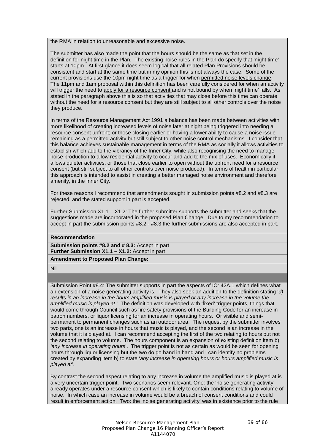the RMA in relation to unreasonable and excessive noise.

The submitter has also made the point that the hours should be the same as that set in the definition for night time in the Plan. The existing noise rules in the Plan do specify that 'night time' starts at 10pm. At first glance it does seem logical that all related Plan Provisions should be consistent and start at the same time but in my opinion this is not always the case. Some of the current provisions use the 10pm night time as a trigger for when permitted noise levels change. The 11pm and 1am proposal within this definition has been carefully considered for when an activity will trigger the need to apply for a resource consent and is not bound by when 'night time' falls. As stated in the paragraph above this is so that activities that may close before this time can operate without the need for a resource consent but they are still subject to all other controls over the noise they produce.

In terms of the Resource Management Act 1991 a balance has been made between activities with more likelihood of creating increased levels of noise later at night being triggered into needing a resource consent upfront; or those closing earlier or having a lower ability to cause a noise issue remaining as a permitted activity but still subject to other noise control mechanisms. I consider that this balance achieves sustainable management in terms of the RMA as socially it allows activities to establish which add to the vibrancy of the Inner City, while also recognising the need to manage noise production to allow residential activity to occur and add to the mix of uses. Economically it allows quieter activities, or those that close earlier to open without the upfront need for a resource consent (but still subject to all other controls over noise produced). In terms of health in particular this approach is intended to assist in creating a better managed noise environment and therefore amenity, in the Inner City.

For these reasons I recommend that amendments sought in submission points #8.2 and #8.3 are rejected, and the stated support in part is accepted.

Further Submission  $X1.1 - X1.2$ : The further submitter supports the submitter and seeks that the suggestions made are incorporated in the proposed Plan Change. Due to my recommendation to accept in part the submission points #8.2 - #8.3 the further submissions are also accepted in part.

**Recommendation**

**Submission points #8.2 and # 8.3:** Accept in part **Further Submission X1.1 – X1.2:** Accept in part

**Amendment to Proposed Plan Change:**

Nil

Submission Point #8.4: The submitter supports in part the aspects of ICr.42A.1 which defines what an extension of a noise generating activity is. They also seek an addition to the definition stating '*d) results in an increase in the hours amplified music is played or any increase in the volume the amplified music is played at*.' The definition was developed with 'fixed' trigger points, things that would come through Council such as fire safety provisions of the Building Code for an increase in patron numbers, or liquor licensing for an increase in operating hours. Or visible and semipermanent to permanent changes such as an outdoor area. The request by the submitter involves two parts, one is an increase in hours that music is played, and the second is an increase in the volume that it is played at. I can recommend accepting the first of the two relating to hours but not the second relating to volume. The hours component is an expansion of existing definition item b) *'any increase in operating hours*'. The trigger point is not as certain as would be seen for opening hours through liquor licensing but the two do go hand in hand and I can identify no problems created by expanding item b) to state '*any increase in operating hours or hours amplified music is played at*'.

By contrast the second aspect relating to any increase in volume the amplified music is played at is a very uncertain trigger point. Two scenarios seem relevant. One: the 'noise generating activity' already operates under a resource consent which is likely to contain conditions relating to volume of noise. In which case an increase in volume would be a breach of consent conditions and could result in enforcement action. Two: the 'noise generating activity' was in existence prior to the rule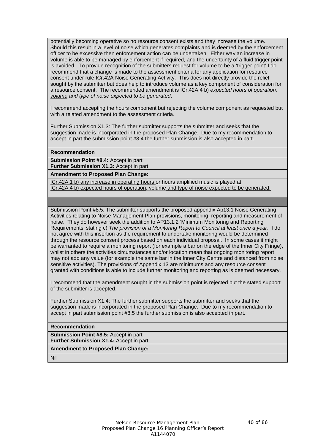potentially becoming operative so no resource consent exists and they increase the volume. Should this result in a level of noise which generates complaints and is deemed by the enforcement officer to be excessive then enforcement action can be undertaken. Either way an increase in volume is able to be managed by enforcement if required, and the uncertainty of a fluid trigger point is avoided. To provide recognition of the submitters request for volume to be a 'trigger point' I do recommend that a change is made to the assessment criteria for any application for resource consent under rule ICr.42A Noise Generating Activity. This does not directly provide the relief sought by the submitter but does help to introduce volume as a key component of consideration for a resource consent. The recommended amendment is ICr.42A.4 b) *expected hours of operation, volume and type of noise expected to be generated*.

I recommend accepting the hours component but rejecting the volume component as requested but with a related amendment to the assessment criteria.

Further Submission X1.3: The further submitter supports the submitter and seeks that the suggestion made is incorporated in the proposed Plan Change. Due to my recommendation to accept in part the submission point #8.4 the further submission is also accepted in part.

#### **Recommendation**

**Submission Point #8.4:** Accept in part **Further Submission X1.3:** Accept in part

**Amendment to Proposed Plan Change:**

ICr.42A.1 b) any increase in operating hours or hours amplified music is played at ICr.42A.4 b) expected hours of operation, volume and type of noise expected to be generated.

Submission Point #8.5. The submitter supports the proposed appendix Ap13.1 Noise Generating Activities relating to Noise Management Plan provisions, monitoring, reporting and measurement of noise. They do however seek the addition to AP13.1.2 'Minimum Monitoring and Reporting Requirements' stating c) *The provision of a Monitoring Report to Council at least once a year*. I do not agree with this insertion as the requirement to undertake monitoring would be determined through the resource consent process based on each individual proposal. In some cases it might be warranted to require a monitoring report (for example a bar on the edge of the Inner City Fringe), whilst in others the activities circumstances and/or location mean that ongoing monitoring report may not add any value (for example the same bar in the Inner City Centre and distanced from noise sensitive activities). The provisions of Appendix 13 are minimums and any resource consent granted with conditions is able to include further monitoring and reporting as is deemed necessary.

I recommend that the amendment sought in the submission point is rejected but the stated support of the submitter is accepted.

Further Submission X1.4: The further submitter supports the submitter and seeks that the suggestion made is incorporated in the proposed Plan Change. Due to my recommendation to accept in part submission point #8.5 the further submission is also accepted in part.

## **Recommendation**

**Submission Point #8.5:** Accept in part **Further Submission X1.4:** Accept in part

# **Amendment to Proposed Plan Change:**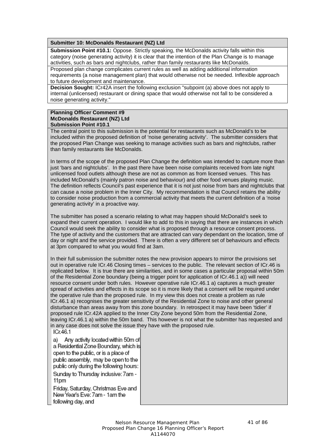# **Submitter 10: McDonalds Restaurant (NZ) Ltd**

**Submission Point #10.1:** Oppose. Strictly speaking, the McDonalds activity falls within this category (noise generating activity) it is clear that the intention of the Plan Change is to manage activities, such as bars and nightclubs, rather than family restaurants like McDonalds.

Proposed plan change complicates current rules as well as adding additional information requirements (a noise management plan) that would otherwise not be needed. Inflexible approach to future development and maintenance.

**Decision Sought:** ICr42A insert the following exclusion "subpoint (a) above does not apply to internal (unlicensed) restaurant or dining space that would otherwise not fall to be considered a noise generating activity."

#### **Planning Officer Comment #9 McDonalds Restaurant (NZ) Ltd Submission Point #10.1**

The central point to this submission is the potential for restaurants such as McDonald's to be included within the proposed definition of 'noise generating activity'. The submitter considers that the proposed Plan Change was seeking to manage activities such as bars and nightclubs, rather than family restaurants like McDonalds.

In terms of the scope of the proposed Plan Change the definition was intended to capture more than just 'bars and nightclubs'. In the past there have been noise complaints received from late night unlicensed food outlets although these are not as common as from licensed venues. This has included McDonald's (mainly patron noise and behaviour) and other food venues playing music. The definition reflects Council's past experience that it is not just noise from bars and nightclubs that can cause a noise problem in the Inner City. My recommendation is that Council retains the ability to consider noise production from a commercial activity that meets the current definition of a 'noise generating activity' in a proactive way.

The submitter has posed a scenario relating to what may happen should McDonald's seek to expand their current operation. I would like to add to this in saying that there are instances in which Council would seek the ability to consider what is proposed through a resource consent process. The type of activity and the customers that are attracted can vary dependant on the location, time of day or night and the service provided. There is often a very different set of behaviours and effects at 3pm compared to what you would find at 3am.

In their full submission the submitter notes the new provision appears to mirror the provisions set out in operative rule ICr.46 Closing times – services to the public. The relevant section of ICr.46 is replicated below. It is true there are similarities, and in some cases a particular proposal within 50m of the Residential Zone boundary (being a trigger point for application of ICr.46.1 a)) will need resource consent under both rules. However operative rule ICr.46.1 a) captures a much greater spread of activities and effects in its scope so it is more likely that a consent will be required under the operative rule than the proposed rule. In my view this does not create a problem as rule ICr.46.1 a) recognises the greater sensitivity of the Residential Zone to noise and other general disturbance than areas away from this zone boundary. In retrospect it may have been 'tidier' if proposed rule ICr.42A applied to the Inner City Zone beyond 50m from the Residential Zone, leaving ICr.46.1 a) within the 50m band. This however is not what the submitter has requested and in any case does not solve the issue they have with the proposed rule.ICr.46.1

Any activity located within 50m of a) a Residential Zone Boundary, which is open to the public, or is a place of public assembly, may be open to the public only during the following hours: Sunday to Thursday inclusive: 7am -11pm

Friday, Saturday, Christmas Eve and New Year's Eve: 7am - 1am the following day, and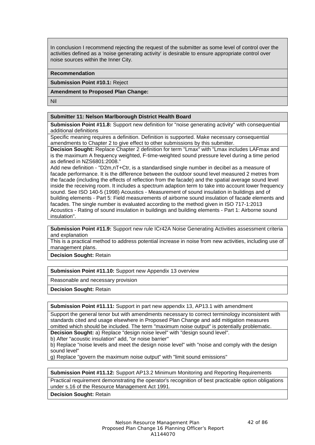In conclusion I recommend rejecting the request of the submitter as some level of control over the activities defined as a 'noise generating activity' is desirable to ensure appropriate control over noise sources within the Inner City.

#### **Recommendation**

**Submission Point #10.1:** Reject

#### **Amendment to Proposed Plan Change:**

Nil

## **Submitter 11: Nelson Marlborough District Health Board**

**Submission Point #11.8:** Support new definition for "noise generating activity" with consequential additional definitions

Specific meaning requires a definition. Definition is supported. Make necessary consequential amendments to Chapter 2 to give effect to other submissions by this submitter.

**Decision Sought:** Replace Chapter 2 definition for term "Lmax" with "Lmax includes LAFmax and is the maximum A frequency weighted, F-time-weighted sound pressure level during a time period as defined in NZS6801:2008."

Add new definition - "D2m,nT+Ctr, is a standardised single number in decibel as a measure of facade performance. It is the difference between the outdoor sound level measured 2 metres from the facade (including the effects of reflection from the facade) and the spatial average sound level inside the receiving room. It includes a spectrum adaption term to take into account lower frequency sound. See ISO 140-5 (1998) Acoustics - Measurement of sound insulation in buildings and of building elements - Part 5: Field measurements of airborne sound insulation of facade elements and facades. The single number is evaluated according to the method given in ISO 717-1:2013 Acoustics - Rating of sound insulation in buildings and building elements - Part 1: Airborne sound insulation".

**Submission Point #11.9:** Support new rule ICr42A Noise Generating Activities assessment criteria and explanation

This is a practical method to address potential increase in noise from new activities, including use of management plans.

# **Decision Sought:** Retain

**Submission Point #11.10:** Support new Appendix 13 overview

Reasonable and necessary provision

**Decision Sought:** Retain

**Submission Point #11.11:** Support in part new appendix 13, AP13.1 with amendment

Support the general tenor but with amendments necessary to correct terminology inconsistent with standards cited and usage elsewhere in Proposed Plan Change and add mitigation measures omitted which should be included. The term "maximum noise output" is potentially problematic.

**Decision Sought:** a) Replace "design noise level" with "design sound level".

b) After "acoustic insulation" add, "or noise barrier"

b) Replace "noise levels and meet the design noise level" with "noise and comply with the design sound level"

g) Replace "govern the maximum noise output" with "limit sound emissions"

**Submission Point #11.12:** Support AP13.2 Minimum Monitoring and Reporting Requirements

Practical requirement demonstrating the operator's recognition of best practicable option obligations under s.16 of the Resource Management Act 1991.

**Decision Sought:** Retain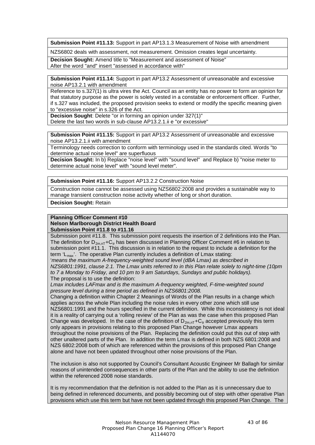**Submission Point #11.13:** Support in part AP13.1.3 Measurement of Noise with amendment

NZS6802 deals with assessment, not measurement. Omission creates legal uncertainty.

**Decision Sought:** Amend title to "Measurement and assessment of Noise" After the word "and" insert "assessed in accordance with"

**Submission Point #11.14:** Support in part AP13.2 Assessment of unreasonable and excessive noise AP13.2.1 with amendment

Reference to s.327(1) is ultra vires the Act. Council as an entity has no power to form an opinion for that statutory purpose as the power is solely vested in a constable or enforcement officer. Further, if s.327 was included, the proposed provision seeks to extend or modify the specific meaning given to "excessive noise" in s.326 of the Act.

**Decision Sought**: Delete "or in forming an opinion under 327(1)" Delete the last two words in sub-clause AP13.2.1.ii e "or excessive"

**Submission Point #11.15:** Support in part AP13.2 Assessment of unreasonable and excessive noise AP13.2.1.ii with amendment

Terminology needs correction to conform with terminology used in the standards cited. Words "to determine actual noise level" are superfluous

**Decision Sought:** In b) Replace "noise level" with "sound level" and Replace b) "noise meter to determine actual noise level" with "sound level meter".

**Submission Point #11.16:** Support AP13.2.2 Construction Noise

Construction noise cannot be assessed using NZS6802:2008 and provides a sustainable way to manage transient construction noise activity whether of long or short duration.

**Decision Sought:** Retain

#### **Planning Officer Comment #10 Nelson Marlborough District Health Board Submission Point #11.8 to #11.16**

Submission point #11.8. This submission point requests the insertion of 2 definitions into the Plan. The definition for  $D_{2m,nT}$ +C<sub>tr</sub> has been discussed in Planning Officer Comment #6 in relation to submission point #11.1. This discussion is in relation to the request to include a definition for the term  $'L_{\text{max}}$ . The operative Plan currently includes a definition of Lmax stating:

'*means the maximum A-frequency-weighted sound level (dBA Lmax) as described in NZS6801:1991, clause 2.1. The Lmax units referred to in this Plan relate solely to night-time (10pm to 7 a Monday to Friday, and 10 pm to 9 am Saturdays, Sundays and public holidays).* The proposal is to use the definition:

*Lmax includes LAFmax and is the maximum A-frequency weighted, F-time-weighted sound pressure level during a time period as defined in NZS6801:2008.*

Changing a definition within Chapter 2 Meanings of Words of the Plan results in a change which applies across the whole Plan including the noise rules in every other zone which still use NZS6801:1991 and the hours specified in the current definition. While this inconsistency is not ideal it is a reality of carrying out a 'rolling review' of the Plan as was the case when this proposed Plan Change was developed. In the case of the definition of  $D_{2m,nT}$ +C<sub>tr</sub> accepted previously this term only appears in provisions relating to this proposed Plan Change however Lmax appears throughout the noise provisions of the Plan. Replacing the definition could put this out of step with other unaltered parts of the Plan. In addition the term Lmax is defined in both NZS 6801:2008 and NZS 6802:2008 both of which are referenced within the provisions of this proposed Plan Change alone and have not been updated throughout other noise provisions of the Plan.

The inclusion is also not supported by Council's Consultant Acoustic Engineer Mr Ballagh for similar reasons of unintended consequences in other parts of the Plan and the ability to use the definition within the referenced 2008 noise standards.

It is my recommendation that the definition is not added to the Plan as it is unnecessary due to being defined in referenced documents, and possibly becoming out of step with other operative Plan provisions which use this term but have not been updated through this proposed Plan Change. The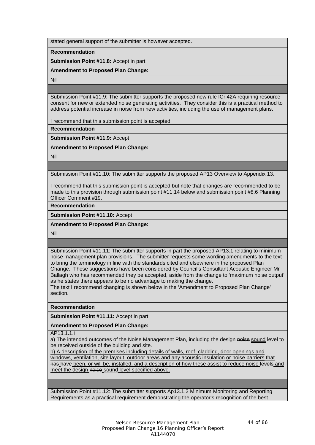stated general support of the submitter is however accepted.

**Recommendation**

**Submission Point #11.8:** Accept in part

**Amendment to Proposed Plan Change:**

Nil

Submission Point #11.9: The submitter supports the proposed new rule ICr.42A requiring resource consent for new or extended noise generating activities. They consider this is a practical method to address potential increase in noise from new activities, including the use of management plans.

I recommend that this submission point is accepted.

**Recommendation**

**Submission Point #11.9:** Accept

**Amendment to Proposed Plan Change:**

Nil

Submission Point #11.10: The submitter supports the proposed AP13 Overview to Appendix 13.

I recommend that this submission point is accepted but note that changes are recommended to be made to this provision through submission point #11.14 below and submission point #8.6 Planning Officer Comment #19.

**Recommendation**

**Submission Point #11.10:** Accept

**Amendment to Proposed Plan Change:**

Nil

Submission Point #11.11: The submitter supports in part the proposed AP13.1 relating to minimum noise management plan provisions. The submitter requests some wording amendments to the text to bring the terminology in line with the standards cited and elsewhere in the proposed Plan Change. These suggestions have been considered by Council's Consultant Acoustic Engineer Mr Ballagh who has recommended they be accepted, aside from the change to 'maximum noise output' as he states there appears to be no advantage to making the change.

The text I recommend changing is shown below in the 'Amendment to Proposed Plan Change' section.

**Recommendation**

**Submission Point #11.11:** Accept in part

**Amendment to Proposed Plan Change:**

AP13.1.1.i

a) The intended outcomes of the Noise Management Plan, including the design noise sound level to be received outside of the building and site.

b) A description of the premises including details of walls, roof, cladding, door openings and windows, ventilation, site layout, outdoor areas and any acoustic insulation or noise barriers that has have been, or will be, installed, and a description of how these assist to reduce noise levels and meet the design noise sound level specified above.

Submission Point #11.12: The submitter supports Ap13.1.2 Minimum Monitoring and Reporting Requirements as a practical requirement demonstrating the operator's recognition of the best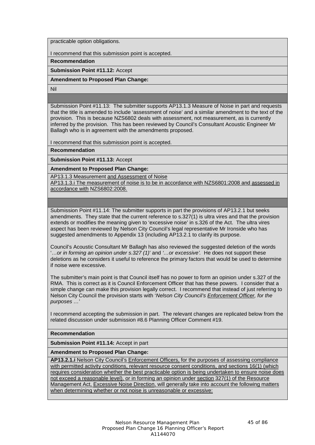practicable option obligations.

I recommend that this submission point is accepted.

**Recommendation**

**Submission Point #11.12:** Accept

**Amendment to Proposed Plan Change:**

Nil

Submission Point #11.13: The submitter supports AP13.1.3 Measure of Noise in part and requests that the title is amended to include 'assessment of noise' and a similar amendment to the text of the provision. This is because NZS6802 deals with assessment, not measurement, as is currently inferred by the provision. This has been reviewed by Council's Consultant Acoustic Engineer Mr Ballagh who is in agreement with the amendments proposed.

I recommend that this submission point is accepted.

**Recommendation**

**Submission Point #11.13:** Accept

**Amendment to Proposed Plan Change:**

AP13.1.3 Measurement and Assessment of Noise

AP13.1.3.i The measurement of noise is to be in accordance with NZS6801:2008 and assessed in accordance with NZS6802:2008.

Submission Point #11.14: The submitter supports in part the provisions of AP13.2.1 but seeks amendments. They state that the current reference to s.327(1) is ultra vires and that the provision extends or modifies the meaning given to 'excessive noise' in s.326 of the Act. The ultra vires aspect has been reviewed by Nelson City Council's legal representative Mr Ironside who has suggested amendments to Appendix 13 (including AP13.2.1 to clarify its purpose.

Council's Acoustic Consultant Mr Ballagh has also reviewed the suggested deletion of the words '…*or in forming an opinion under s.327 (1)*' and *'…or excessive'.* He does not support these deletions as he considers it useful to reference the primary factors that would be used to determine if noise were excessive.

The submitter's main point is that Council itself has no power to form an opinion under s.327 of the RMA. This is correct as it is Council Enforcement Officer that has these powers. I consider that a simple change can make this provision legally correct. I recommend that instead of just referring to Nelson City Council the provision starts with '*Nelson City Council's Enforcement Officer, for the purposes …*'

I recommend accepting the submission in part. The relevant changes are replicated below from the related discussion under submission #8.6 Planning Officer Comment #19.

# **Recommendation**

**Submission Point #11.14:** Accept in part

# **Amendment to Proposed Plan Change:**

**AP13.2.1.i** Nelson City Council's Enforcement Officers, for the purposes of assessing compliance with permitted activity conditions, relevant resource consent conditions, and sections 16(1) (which requires consideration whether the best practicable option is being undertaken to ensure noise does not exceed a reasonable level), or in forming an opinion under section 327(1) of the Resource Management Act, Excessive Noise Direction, will generally take into account the following matters when determining whether or not noise is unreasonable or excessive: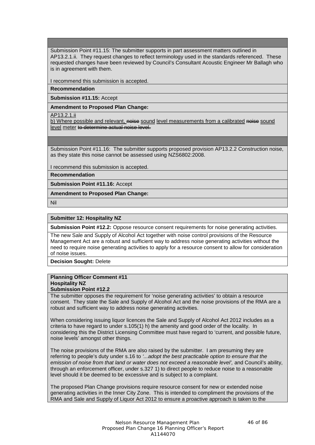Submission Point #11.15: The submitter supports in part assessment matters outlined in AP13.2.1.ii. They request changes to reflect terminology used in the standards referenced. These requested changes have been reviewed by Council's Consultant Acoustic Engineer Mr Ballagh who is in agreement with them.

I recommend this submission is accepted.

# **Recommendation**

**Submission #11.15:** Accept

# **Amendment to Proposed Plan Change:**

AP13.2.1.ii

b) Where possible and relevant, noise sound level measurements from a calibrated noise sound level meter to determine actual noise level.

Submission Point #11.16: The submitter supports proposed provision AP13.2.2 Construction noise, as they state this noise cannot be assessed using NZS6802:2008.

I recommend this submission is accepted.

**Recommendation**

**Submission Point #11.16:** Accept

**Amendment to Proposed Plan Change:**

Nil

# **Submitter 12: Hospitality NZ**

**Submission Point #12.2:** Oppose resource consent requirements for noise generating activities.

The new Sale and Supply of Alcohol Act together with noise control provisions of the Resource Management Act are a robust and sufficient way to address noise generating activities without the need to require noise generating activities to apply for a resource consent to allow for consideration of noise issues.

**Decision Sought:** Delete

#### **Planning Officer Comment #11 Hospitality NZ**

# **Submission Point #12.2**

The submitter opposes the requirement for 'noise generating activities' to obtain a resource consent. They state the Sale and Supply of Alcohol Act and the noise provisions of the RMA are a robust and sufficient way to address noise generating activities.

When considering issuing liquor licences the Sale and Supply of Alcohol Act 2012 includes as a criteria to have regard to under s.105(1) h) the amenity and good order of the locality. In considering this the District Licensing Committee must have regard to 'current, and possible future, noise levels' amongst other things.

The noise provisions of the RMA are also raised by the submitter. I am presuming they are referring to people's duty under s.16 to *'...adopt the best practicable option to ensure that the*  emission of noise from that land or water does not exceed a reasonable level', and Council's ability, through an enforcement officer, under s.327 1) to direct people to reduce noise to a reasonable level should it be deemed to be excessive and is subject to a complaint.

The proposed Plan Change provisions require resource consent for new or extended noise generating activities in the Inner City Zone. This is intended to compliment the provisions of the RMA and Sale and Supply of Liquor Act 2012 to ensure a proactive approach is taken to the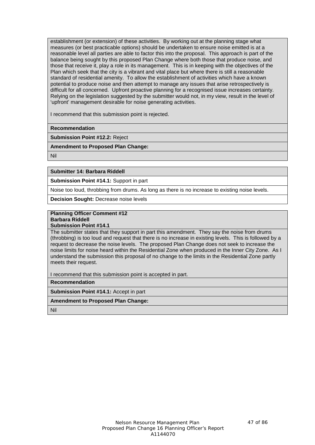establishment (or extension) of these activities. By working out at the planning stage what measures (or best practicable options) should be undertaken to ensure noise emitted is at a reasonable level all parties are able to factor this into the proposal. This approach is part of the balance being sought by this proposed Plan Change where both those that produce noise, and those that receive it, play a role in its management. This is in keeping with the objectives of the Plan which seek that the city is a vibrant and vital place but where there is still a reasonable standard of residential amenity. To allow the establishment of activities which have a known potential to produce noise and then attempt to manage any issues that arise retrospectively is difficult for all concerned. Upfront proactive planning for a recognised issue increases certainty. Relying on the legislation suggested by the submitter would not, in my view, result in the level of 'upfront' management desirable for noise generating activities.

I recommend that this submission point is rejected.

**Recommendation**

**Submission Point #12.2:** Reject

**Amendment to Proposed Plan Change:**

Nil

# **Submitter 14: Barbara Riddell**

**Submission Point #14.1:** Support in part

Noise too loud, throbbing from drums. As long as there is no increase to existing noise levels.

**Decision Sought:** Decrease noise levels

#### **Planning Officer Comment #12 Barbara Riddell**

**Submission Point #14.1**

The submitter states that they support in part this amendment. They say the noise from drums (throbbing) is too loud and request that there is no increase in existing levels. This is followed by a request to decrease the noise levels. The proposed Plan Change does not seek to increase the noise limits for noise heard within the Residential Zone when produced in the Inner City Zone. As I understand the submission this proposal of no change to the limits in the Residential Zone partly meets their request.

I recommend that this submission point is accepted in part.

**Recommendation**

**Submission Point #14.1:** Accept in part

# **Amendment to Proposed Plan Change:**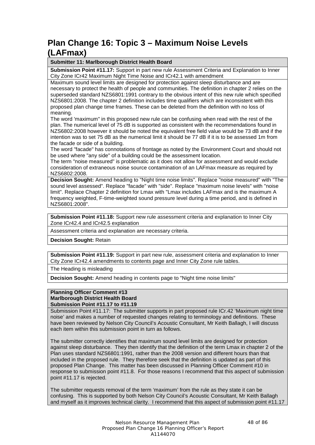# **Plan Change 16: Topic 3 – Maximum Noise Levels (LAFmax)**

# **Submitter 11: Marlborough District Health Board**

**Submission Point #11.17:** Support in part new rule Assessment Criteria and Explanation to Inner City Zone ICr42 Maximum Night Time Noise and ICr42.1 with amendment

Maximum sound level limits are designed for protection against sleep disturbance and are necessary to protect the health of people and communities. The definition in chapter 2 relies on the superseded standard NZS6801:1991 contrary to the obvious intent of this new rule which specified NZS6801:2008. The chapter 2 definition includes time qualifiers which are inconsistent with this proposed plan change time frames. These can be deleted from the definition with no loss of meaning.

The word 'maximum" in this proposed new rule can be confusing when read with the rest of the plan. The numerical level of 75 dB is supported as consistent with the recommendations found in NZS6802:2008 however it should be noted the equivalent free field value would be 73 dB and if the intention was to set 75 dB as the numerical limit it should be 77 dB if it is to be assessed 1m from the facade or side of a building.

The word "facade" has connotations of frontage as noted by the Environment Court and should not be used where "any side" of a building could be the assessment location.

The term "noise measured" is problematic as it does not allow for assessment and would exclude consideration of extraneous noise source contamination of an LAFmax measure as required by NZS6802:2008.

**Decision Sought:** Amend heading to "Night time noise limits". Replace "noise measured" with "The sound level assessed". Replace "facade" with "side". Replace "maximum noise levels" with "noise limit". Replace Chapter 2 definition for Lmax with "Lmax includes LAFmax and is the maximum A frequency weighted, F-time-weighted sound pressure level during a time period, and is defined in NZS6801:2008".

**Submission Point #11.18:** Support new rule assessment criteria and explanation to Inner City Zone ICr42.4 and ICr42.5 explanation

Assessment criteria and explanation are necessary criteria.

**Decision Sought:** Retain

**Submission Point #11.19:** Support in part new rule, assessment criteria and explanation to Inner City Zone ICr42.4 amendments to contents page and Inner City Zone rule tables.

The Heading is misleading

**Decision Sought:** Amend heading in contents page to "Night time noise limits"

# **Planning Officer Comment #13 Marlborough District Health Board Submission Point #11.17 to #11.19**

Submission Point #11.17: The submitter supports in part proposed rule ICr.42 'Maximum night time noise' and makes a number of requested changes relating to terminology and definitions. These have been reviewed by Nelson City Council's Acoustic Consultant, Mr Keith Ballagh, I will discuss each item within this submission point in turn as follows.

The submitter correctly identifies that maximum sound level limits are designed for protection against sleep disturbance. They then identify that the definition of the term Lmax in chapter 2 of the Plan uses standard NZS6801:1991, rather than the 2008 version and different hours than that included in the proposed rule. They therefore seek that the definition is updated as part of this proposed Plan Change. This matter has been discussed in Planning Officer Comment #10 in response to submission point #11.8. For those reasons I recommend that this aspect of submission point #11.17 is rejected.

The submitter requests removal of the term 'maximum' from the rule as they state it can be confusing. This is supported by both Nelson City Council's Acoustic Consultant, Mr Keith Ballagh and myself as it improves technical clarity. I recommend that this aspect of submission point #11.17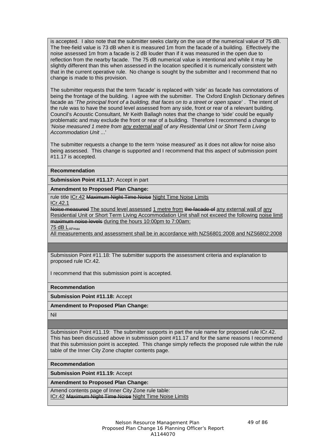is accepted. I also note that the submitter seeks clarity on the use of the numerical value of 75 dB. The free-field value is 73 dB when it is measured 1m from the facade of a building. Effectively the noise assessed 1m from a facade is 2 dB louder than if it was measured in the open due to reflection from the nearby facade. The 75 dB numerical value is intentional and while it may be slightly different than this when assessed in the location specified it is numerically consistent with that in the current operative rule. No change is sought by the submitter and I recommend that no change is made to this provision.

The submitter requests that the term 'facade' is replaced with 'side' as facade has connotations of being the frontage of the building. I agree with the submitter. The Oxford English Dictionary defines facade as '*The principal front of a building, that faces on to a street or open space*' . The intent of the rule was to have the sound level assessed from any side, front or rear of a relevant building. Council's Acoustic Consultant, Mr Keith Ballagh notes that the change to 'side' could be equally problematic and may exclude the front or rear of a building. Therefore I recommend a change to *'Noise measured 1 metre from any external wall of any Residential Unit or Short Term Living Accommodation Unit* ...'

The submitter requests a change to the term 'noise measured' as it does not allow for noise also being assessed. This change is supported and I recommend that this aspect of submission point #11.17 is accepted.

## **Recommendation**

**Submission Point #11.17:** Accept in part

#### **Amendment to Proposed Plan Change:**

rule title ICr.42 Maximum Night Time Noise Night Time Noise Limits

ICr.42.1

Noise measured The sound level assessed 1 metre from the facade of any external wall of any Residential Unit or Short Term Living Accommodation Unit shall not exceed the following noise limit maximum noise levels during the hours 10:00pm to 7:00am:

75 dB LAFmax

All measurements and assessment shall be in accordance with NZS6801:2008 and NZS6802:2008

Submission Point #11.18: The submitter supports the assessment criteria and explanation to proposed rule ICr.42.

I recommend that this submission point is accepted.

**Recommendation**

**Submission Point #11.18:** Accept

**Amendment to Proposed Plan Change:**

Nil

Submission Point #11.19: The submitter supports in part the rule name for proposed rule ICr.42. This has been discussed above in submission point #11.17 and for the same reasons I recommend that this submission point is accepted. This change simply reflects the proposed rule within the rule table of the Inner City Zone chapter contents page.

**Recommendation**

**Submission Point #11.19:** Accept

**Amendment to Proposed Plan Change:**

Amend contents page of Inner City Zone rule table: ICr.42 Maximum Night Time Noise Night Time Noise Limits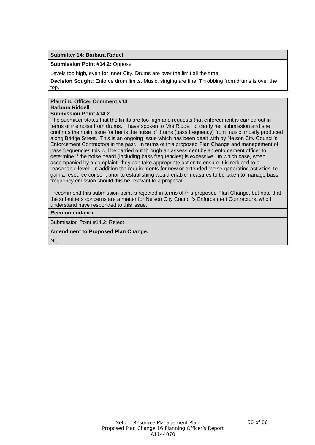## **Submitter 14: Barbara Riddell**

**Submission Point #14.2:** Oppose

Levels too high, even for Inner City. Drums are over the limit all the time.

**Decision Sought:** Enforce drum limits. Music, singing are fine. Throbbing from drums is over the top.

#### **Planning Officer Comment #14 Barbara Riddell Submission Point #14.2**

The submitter states that the limits are too high and requests that enforcement is carried out in terms of the noise from drums. I have spoken to Mrs Riddell to clarify her submission and she confirms the main issue for her is the noise of drums (bass frequency) from music, mostly produced along Bridge Street. This is an ongoing issue which has been dealt with by Nelson City Council's Enforcement Contractors in the past. In terms of this proposed Plan Change and management of bass frequencies this will be carried out through an assessment by an enforcement officer to determine if the noise heard (including bass frequencies) is excessive. In which case, when accompanied by a complaint, they can take appropriate action to ensure it is reduced to a reasonable level. In addition the requirements for new or extended 'noise generating activities' to gain a resource consent prior to establishing would enable measures to be taken to manage bass frequency emission should this be relevant to a proposal.

I recommend this submission point is rejected in terms of this proposed Plan Change, but note that the submitters concerns are a matter for Nelson City Council's Enforcement Contractors, who I understand have responded to this issue.

# **Recommendation**

Submission Point #14.2: Reject

#### **Amendment to Proposed Plan Change:**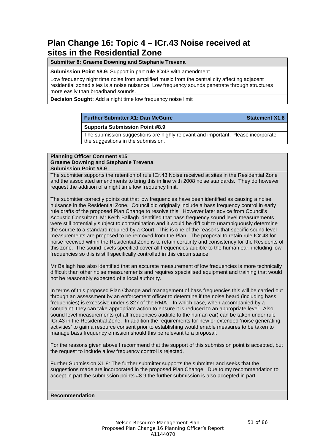# **Plan Change 16: Topic 4 – ICr.43 Noise received at sites in the Residential Zone**

# **Submitter 8: Graeme Downing and Stephanie Trevena**

**Submission Point #8.9:** Support in part rule ICr43 with amendment

Low frequency night time noise from amplified music from the central city affecting adjacent residential zoned sites is a noise nuisance. Low frequency sounds penetrate through structures more easily than broadband sounds.

**Decision Sought:** Add a night time low frequency noise limit

# **Further Submitter X1: Dan McGuire Statement X1.8**

## **Supports Submission Point #8.9**

The submission suggestions are highly relevant and important. Please incorporate the suggestions in the submission.

## **Planning Officer Comment #15 Graeme Downing and Stephanie Trevena Submission Point #8.9**

The submitter supports the retention of rule ICr.43 Noise received at sites in the Residential Zone and the associated amendments to bring this in line with 2008 noise standards. They do however request the addition of a night time low frequency limit.

The submitter correctly points out that low frequencies have been identified as causing a noise nuisance in the Residential Zone. Council did originally include a bass frequency control in early rule drafts of the proposed Plan Change to resolve this. However later advice from Council's Acoustic Consultant, Mr Keith Ballagh identified that bass frequency sound level measurements were still potentially subject to contamination and it would be difficult to unambiguously determine the source to a standard required by a Court. This is one of the reasons that specific sound level measurements are proposed to be removed from the Plan. The proposal to retain rule ICr.43 for noise received within the Residential Zone is to retain certainty and consistency for the Residents of this zone. The sound levels specified cover all frequencies audible to the human ear, including low frequencies so this is still specifically controlled in this circumstance.

Mr Ballagh has also identified that an accurate measurement of low frequencies is more technically difficult than other noise measurements and requires specialised equipment and training that would not be reasonably expected of a local authority.

In terms of this proposed Plan Change and management of bass frequencies this will be carried out through an assessment by an enforcement officer to determine if the noise heard (including bass frequencies) is excessive under s.327 of the RMA.. In which case, when accompanied by a complaint, they can take appropriate action to ensure it is reduced to an appropriate level. Also sound level measurements (of all frequencies audible to the human ear) can be taken under rule ICr.43 in the Residential Zone. In addition the requirements for new or extended 'noise generating activities' to gain a resource consent prior to establishing would enable measures to be taken to manage bass frequency emission should this be relevant to a proposal.

For the reasons given above I recommend that the support of this submission point is accepted, but the request to include a low frequency control is rejected.

Further Submission X1.8: The further submitter supports the submitter and seeks that the suggestions made are incorporated in the proposed Plan Change. Due to my recommendation to accept in part the submission points #8.9 the further submission is also accepted in part.

#### **Recommendation**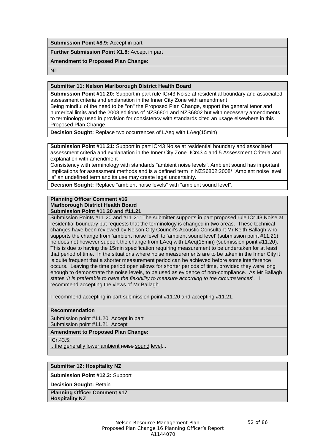**Submission Point #8.9:** Accept in part

**Further Submission Point X1.8:** Accept in part

# **Amendment to Proposed Plan Change:**

Nil

## **Submitter 11: Nelson Marlborough District Health Board**

**Submission Point #11.20:** Support in part rule ICr43 Noise at residential boundary and associated assessment criteria and explanation in the Inner City Zone with amendment

Being mindful of the need to be "on" the Proposed Plan Change, support the general tenor and numerical limits and the 2008 editions of NZS6801 and NZS6802 but with necessary amendments to terminology used in provision for consistency with standards cited an usage elsewhere in this Proposed Plan Change.

**Decision Sought:** Replace two occurrences of LAeq with LAeq(15min)

**Submission Point #11.21:** Support in part ICr43 Noise at residential boundary and associated assessment criteria and explanation in the Inner City Zone. ICr43.4 and 5 Assessment Criteria and explanation with amendment

Consistency with terminology with standards "ambient noise levels". Ambient sound has important implications for assessment methods and is a defined term in NZS6802:2008/ "Ambient noise level is" an undefined term and its use may create legal uncertainty.

**Decision Sought:** Replace "ambient noise levels" with "ambient sound level".

#### **Planning Officer Comment #16 Marlborough District Health Board Submission Point #11.20 and #11.21**

Submission Points #11.20 and #11.21: The submitter supports in part proposed rule ICr.43 Noise at residential boundary but requests that the terminology is changed in two areas. These technical changes have been reviewed by Nelson City Council's Acoustic Consultant Mr Keith Ballagh who supports the change from 'ambient noise level' to 'ambient sound level' (submission point #11.21) he does not however support the change from LAeq with LAeq(15min) (submission point #11.20). This is due to having the 15min specification requiring measurement to be undertaken for at least that period of time. In the situations where noise measurements are to be taken in the Inner City it is quite frequent that a shorter measurement period can be achieved before some interference occurs. Leaving the time period open allows for shorter periods of time, provided they were long enough to demonstrate the noise levels, to be used as evidence of non-compliance. As Mr Ballagh states *'It is preferable to have the flexibility to measure according to the circumstances*'. I recommend accepting the views of Mr Ballagh

I recommend accepting in part submission point #11.20 and accepting #11.21.

### **Recommendation**

Submission point #11.20: Accept in part Submission point #11.21: Accept

# **Amendment to Proposed Plan Change:**

ICr.43.5:

...the generally lower ambient noise sound level...

# **Submitter 12: Hospitality NZ**

**Submission Point #12.3:** Support

**Decision Sought:** Retain

**Planning Officer Comment #17 Hospitality NZ**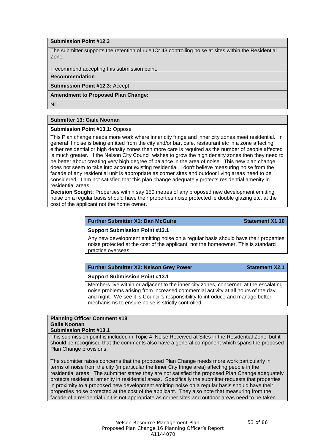# **Submission Point #12.3**

The submitter supports the retention of rule ICr.43 controlling noise at sites within the Residential Zone.

I recommend accepting this submission point.

#### **Recommendation**

**Submission Point #12.3:** Accept

#### **Amendment to Proposed Plan Change:**

Nil

#### **Submitter 13: Gaile Noonan**

**Submission Point #13.1:** Oppose

This Plan change needs more work where inner city fringe and inner city zones meet residential. In general if noise is being emitted from the city and/or bar, cafe, restaurant etc in a zone affecting either residential or high density zones then more care is required as the number of people affected is much greater. If the Nelson City Council wishes to grow the high density zones then they need to be better about creating very high degree of balance in the area of noise. This new plan change does not seem to take into account existing residential. I don't believe measuring noise from the facade of any residential unit is appropriate as corner sites and outdoor living areas need to be considered. I am not satisfied that this plan change adequately protects residential amenity in residential areas.

**Decision Sought:** Properties within say 150 metres of any proposed new development emitting noise on a regular basis should have their properties noise protected ie double glazing etc, at the cost of the applicant not the home owner.

#### **Further Submitter X1: Dan McGuire Statement X1.10**

#### **Support Submission Point #13.1**

Any new development emitting noise on a regular basis should have their properties noise protected at the cost of the applicant, not the homeowner. This is standard practice overseas.

| <b>Further Submitter X2: Nelson Grey Power</b> | <b>Statement X2.1</b> |
|------------------------------------------------|-----------------------|
|------------------------------------------------|-----------------------|

#### **Support Submission Point #13.1**

Members live within or adjacent to the inner city zones, concerned at the escalating noise problems arising from increased commercial activity at all hours of the day and night. We see it is Council's responsibility to introduce and manage better mechanisms to ensure noise is strictly controlled.

#### **Planning Officer Comment #18 Gaile Noonan Submission Point #13.1**

This submission point is included in Topic 4 'Noise Received at Sites in the Residential Zone' but it should be recognised that the comments also have a general component which spans the proposed Plan Change provisions.

The submitter raises concerns that the proposed Plan Change needs more work particularly in terms of noise from the city (in particular the Inner City fringe area) affecting people in the residential areas. The submitter states they are not satisfied the proposed Plan Change adequately protects residential amenity in residential areas. Specifically the submitter requests that properties in proximity to a proposed new development emitting noise on a regular basis should have their properties noise protected at the cost of the applicant. They also note that measuring from the facade of a residential unit is not appropriate as corner sites and outdoor areas need to be taken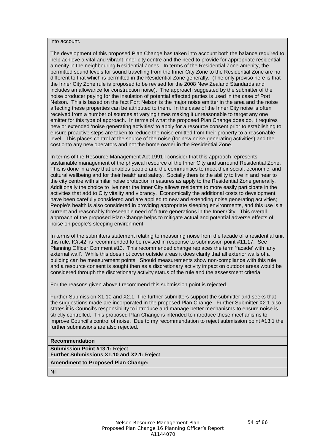into account.

The development of this proposed Plan Change has taken into account both the balance required to help achieve a vital and vibrant inner city centre and the need to provide for appropriate residential amenity in the neighbouring Residential Zones. In terms of the Residential Zone amenity, the permitted sound levels for sound travelling from the Inner City Zone to the Residential Zone are no different to that which is permitted in the Residential Zone generally. (The only proviso here is that the Inner City Zone rule is proposed to be revised for the 2008 New Zealand Standards and includes an allowance for construction noise). The approach suggested by the submitter of the noise producer paying for the insulation of potential affected parties is used in the case of Port Nelson. This is based on the fact Port Nelson is the major noise emitter in the area and the noise affecting these properties can be attributed to them. In the case of the Inner City noise is often received from a number of sources at varying times making it unreasonable to target any one emitter for this type of approach. In terms of what the proposed Plan Change does do, it requires new or extended 'noise generating activities' to apply for a resource consent prior to establishing to ensure proactive steps are taken to reduce the noise emitted from their property to a reasonable level. This places control at the source of the noise (for new noise generating activities) and the cost onto any new operators and not the home owner in the Residential Zone.

In terms of the Resource Management Act 1991 I consider that this approach represents sustainable management of the physical resource of the Inner City and surround Residential Zone. This is done in a way that enables people and the communities to meet their social, economic, and cultural wellbeing and for their health and safety. Socially there is the ability to live in and near to the city centre with similar noise protection measures as apply to the Residential Zone generally. Additionally the choice to live near the Inner City allows residents to more easily participate in the activities that add to City vitality and vibrancy. Economically the additional costs to development have been carefully considered and are applied to new and extending noise generating activities; People's health is also considered in providing appropriate sleeping environments, and this use is a current and reasonably foreseeable need of future generations in the Inner City. This overall approach of the proposed Plan Change helps to mitigate actual and potential adverse effects of noise on people's sleeping environment.

In terms of the submitters statement relating to measuring noise from the facade of a residential unit this rule, ICr.42, is recommended to be revised in response to submission point #11.17. See Planning Officer Comment #13. This recommended change replaces the term 'facade' with 'any external wall'. While this does not cover outside areas it does clarify that all exterior walls of a building can be measurement points. Should measurements show non-compliance with this rule and a resource consent is sought then as a discretionary activity impact on outdoor areas would be considered through the discretionary activity status of the rule and the assessment criteria.

For the reasons given above I recommend this submission point is rejected.

Further Submission X1.10 and X2.1: The further submitters support the submitter and seeks that the suggestions made are incorporated in the proposed Plan Change. Further Submitter X2.1 also states it is Council's responsibility to introduce and manage better mechanisms to ensure noise is strictly controlled. This proposed Plan Change is intended to introduce these mechanisms to improve Council's control of noise. Due to my recommendation to reject submission point #13.1 the further submissions are also rejected.

#### **Recommendation**

**Submission Point #13.1:** Reject

**Further Submissions X1.10 and X2.1:** Reject

**Amendment to Proposed Plan Change:**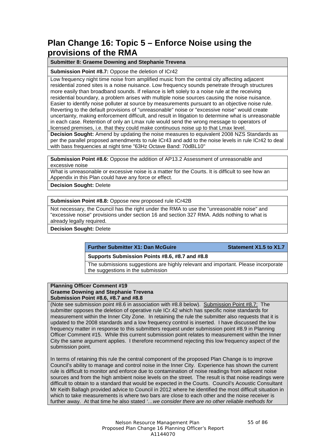# **Plan Change 16: Topic 5 – Enforce Noise using the provisions of the RMA**

# **Submitter 8: Graeme Downing and Stephanie Trevena**

**Submission Point #8.7:** Oppose the deletion of ICr42

Low frequency night time noise from amplified music from the central city affecting adjacent residential zoned sites is a noise nuisance. Low frequency sounds penetrate through structures more easily than broadband sounds. If reliance is left solely to a noise rule at the receiving residential boundary, a problem arises with multiple noise sources causing the noise nuisance. Easier to identify noise polluter at source by measurements pursuant to an objective noise rule. Reverting to the default provisions of "unreasonable" noise or "excessive noise" would create uncertainty, making enforcement difficult, and result in litigation to determine what is unreasonable in each case. Retention of only an Lmax rule would send the wrong message to operators of licensed premises, i.e. that they could make continuous noise up to that Lmax level.

**Decision Sought:** Amend by updating the noise measures to equivalent 2008 NZS Standards as per the parallel proposed amendments to rule ICr43 and add to the noise levels in rule ICr42 to deal with bass frequencies at night time "63Hz Octave Band: 70dBL10"

**Submission Point #8.6:** Oppose the addition of AP13.2 Assessment of unreasonable and excessive noise

What is unreasonable or excessive noise is a matter for the Courts. It is difficult to see how an Appendix in this Plan could have any force or effect.

**Decision Sought:** Delete

**Submission Point #8.8:** Oppose new proposed rule ICr42B

Not necessary, the Council has the right under the RMA to use the "unreasonable noise" and "excessive noise" provisions under section 16 and section 327 RMA. Adds nothing to what is already legally required.

**Decision Sought:** Delete

**Further Submitter X1: Dan McGuire Statement X1.5 to X1.7**

#### **Supports Submission Points #8.6, #8.7 and #8.8**

The submissions suggestions are highly relevant and important. Please incorporate the suggestions in the submission

# **Planning Officer Comment #19 Graeme Downing and Stephanie Trevena Submission Point #8.6, #8.7 and #8.8**

(Note see submission point #8.6 in association with #8.8 below). Submission Point #8.7: The submitter opposes the deletion of operative rule ICr.42 which has specific noise standards for measurement within the Inner City Zone. In retaining the rule the submitter also requests that it is updated to the 2008 standards and a low frequency control is inserted. I have discussed the low frequency matter in response to this submitters request under submission point #8.9 in Planning Officer Comment #15. While this current submission point relates to measurement within the Inner City the same argument applies. I therefore recommend rejecting this low frequency aspect of the submission point.

In terms of retaining this rule the central component of the proposed Plan Change is to improve Council's ability to manage and control noise in the Inner City. Experience has shown the current rule is difficult to monitor and enforce due to contamination of noise readings from adjacent noise sources and from the high ambient noise levels on the street. The result is that noise readings were difficult to obtain to a standard that would be expected in the Courts. Council's Acoustic Consultant Mr Keith Ballagh provided advice to Council in 2012 where he identified the most difficult situation in which to take measurements is where two bars are close to each other and the noise receiver is further away. At that time he also stated *'…we consider there are no other reliable methods for*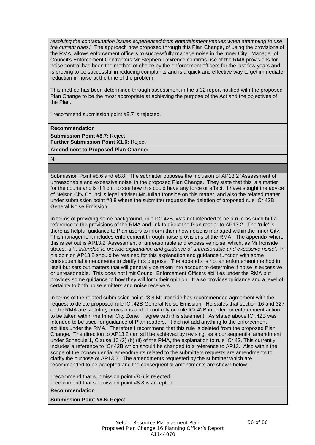*resolving the contamination issues experienced from entertainment venues when attempting to use the current rules*.' The approach now proposed through this Plan Change, of using the provisions of the RMA, allows enforcement officers to successfully manage noise in the Inner City. Manager of Council's Enforcement Contractors Mr Stephen Lawrence confirms use of the RMA provisions for noise control has been the method of choice by the enforcement officers for the last few years and is proving to be successful in reducing complaints and is a quick and effective way to get immediate reduction in noise at the time of the problem.

This method has been determined through assessment in the s.32 report notified with the proposed Plan Change to be the most appropriate at achieving the purpose of the Act and the objectives of the Plan.

I recommend submission point #8.7 is rejected.

**Recommendation**

**Submission Point #8.7:** Reject **Further Submission Point X1.6:** Reject

**Amendment to Proposed Plan Change:**

Nil

Submission Point #8.6 and #8.8: The submitter opposes the inclusion of AP13.2 'Assessment of unreasonable and excessive noise' in the proposed Plan Change. They state that this is a matter for the courts and is difficult to see how this could have any force or effect. I have sought the advice of Nelson City Council's legal adviser Mr Julian Ironside on this matter, and also the related matter under submission point #8.8 where the submitter requests the deletion of proposed rule ICr.42B General Noise Emission.

In terms of providing some background, rule ICr.42B, was not intended to be a rule as such but a reference to the provisions of the RMA and link to direct the Plan reader to AP13.2. The 'rule' is there as helpful guidance to Plan users to inform them how noise is managed within the Inner City. This management includes enforcement through noise provisions of the RMA. The appendix where this is set out is AP13.2 'Assessment of unreasonable and excessive noise' which, as Mr Ironside states, is *'…intended to provide explanation and guidance of unreasonable and excessive noise'*. In his opinion AP13.2 should be retained for this explanation and guidance function with some consequential amendments to clarify this purpose. The appendix is not an enforcement method in itself but sets out matters that will generally be taken into account to determine if noise is excessive or unreasonable. This does not limit Council Enforcement Officers abilities under the RMA but provides some guidance to how they will form their opinion. It also provides guidance and a level of certainty to both noise emitters and noise receivers

In terms of the related submission point #8.8 Mr Ironside has recommended agreement with the request to delete proposed rule ICr.42B General Noise Emission. He states that section 16 and 327 of the RMA are statutory provisions and do not rely on rule ICr.42B in order for enforcement action to be taken within the Inner City Zone. I agree with this statement. As stated above ICr.42B was intended to be used for guidance of Plan readers. It did not add anything to the enforcement abilities under the RMA. Therefore I recommend that this rule is deleted from the proposed Plan Change. The direction to AP13.2 can still be achieved by revising, as a consequential amendment under Schedule 1, Clause 10 (2) (b) (ii) of the RMA, the explanation to rule ICr.42. This currently includes a reference to ICr.42B which should be changed to a reference to AP13. Also within the scope of the consequential amendments related to the submitters requests are amendments to clarify the purpose of AP13.2. The amendments requested by the submitter which are recommended to be accepted and the consequential amendments are shown below.

I recommend that submission point #8.6 is rejected. I recommend that submission point #8.8 is accepted.

**Recommendation**

**Submission Point #8.6:** Reject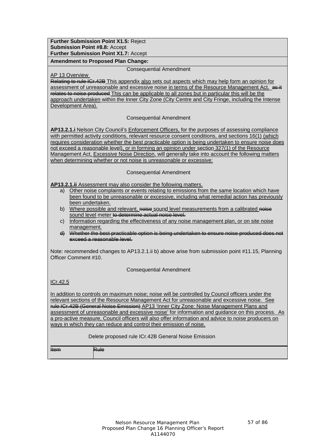**Further Submission Point X1.5:** Reject **Submission Point #8.8:** Accept **Further Submission Point X1.7:** Accept

**Amendment to Proposed Plan Change:**

Consequential Amendment

AP 13 Overview

Relating to rule ICr.42B This appendix also sets out aspects which may help form an opinion for assessment of unreasonable and excessive noise in terms of the Resource Management Act. as it relates to noise produced This can be applicable to all zones but in particular this will be the approach undertaken within the Inner City Zone (City Centre and City Fringe, including the Intense Development Area).

Consequential Amendment

**AP13.2.1.i** Nelson City Council's Enforcement Officers, for the purposes of assessing compliance with permitted activity conditions, relevant resource consent conditions, and sections 16(1) (which requires consideration whether the best practicable option is being undertaken to ensure noise does not exceed a reasonable level), or in forming an opinion under section 327(1) of the Resource Management Act, Excessive Noise Direction, will generally take into account the following matters when determining whether or not noise is unreasonable or excessive:

Consequential Amendment

**AP13.2.1.ii** Assessment may also consider the following matters.

- a) Other noise complaints or events relating to emissions from the same location which have been found to be unreasonable or excessive, including what remedial action has previously been undertaken.
- b) Where possible and relevant, noise sound level measurements from a calibrated noise sound level meter to determine actual noise level.
- c) Information regarding the effectiveness of any noise management plan, or on site noise management.
- d) Whether the best practicable option is being undertaken to ensure noise produced does not exceed a reasonable level.

Note: recommended changes to AP13.2.1.ii b) above arise from submission point #11.15, Planning Officer Comment #10.

Consequential Amendment

ICr.42.5

In addition to controls on maximum noise; noise will be controlled by Council officers under the relevant sections of the Resource Management Act for unreasonable and excessive noise. See rule ICr.42B (General Noise Emission) AP13 'Inner City Zone: Noise Management Plans and assessment of unreasonable and excessive noise' for information and guidance on this process. As a pro-active measure, Council officers will also offer information and advice to noise producers on ways in which they can reduce and control their emission of noise.

#### Delete proposed rule ICr.42B General Noise Emission

Item Rule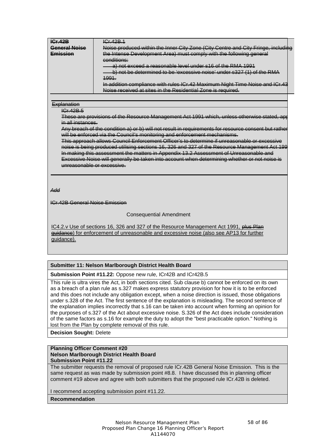| סמו יחו                   | $C_{\rm F}$ $10D$ $1$                                                                                                                                                             |  |
|---------------------------|-----------------------------------------------------------------------------------------------------------------------------------------------------------------------------------|--|
| Canaral Naica             | Noise produced within the Inner City Zene (City Centre and City Eringe, including<br><del>Nase proggesa within the limer oity cone (oity centre and oity i migo, incidently</del> |  |
| Emiccion<br>------------- | the Intense Development Area) must comply with the following general<br><del>meno Development Atea, maat Comply with the following general</del>                                  |  |
|                           | conditione:<br><del>oonamono.</del>                                                                                                                                               |  |
|                           | a) pot exceed a reasonable level under s16 of the RMA 1001<br><del>al nu uxuud a luasunauu iuvul unuu s lo ul inu riiki 1991</del>                                                |  |
|                           | b) not be determined to be 'excessive noise' under s327 (1) of the RMA                                                                                                            |  |
|                           | 1001<br><del>,</del>                                                                                                                                                              |  |
|                           | In addition compliance with rules ICr 42 Maximum Night Time Noise and ICr 43<br><del>in auunon compilance with rules ron. Iz maximum riturit rimo ricico and ron re</del>         |  |
|                           | loise received at sites in the Pesidential Zone is required                                                                                                                       |  |

#### **Explanation**

ICr.42B.5

These are provisions of the Resource Management Act 1991 which, unless otherwise stated, app in all instances.

Any breach of the condition a) or b) will not result in requirements for resource consent but rathe will be enforced via the Council's monitoring and enforcement mechanisms.

This approach allows Council Enforcement Officer's to determine if unreasonable or excessive noise is being produced utilising sections 16, 326 and 327 of the Resource Management Act 199 In making this assessment the matters in Appendix 13.2 Assessment of Unreasonable and Excessive Noise will generally be taken into account when determining whether or not noise is unreasonable or excessive.

*Add*

ICr.42B General Noise Emission

Consequential Amendment

IC4.2. v Use of sections 16, 326 and 327 of the Resource Management Act 1991, plus Plan guidance) for enforcement of unreasonable and excessive noise (also see AP13 for further quidance).

#### **Submitter 11: Nelson Marlborough District Health Board**

**Submission Point #11.22:** Oppose new rule, ICr42B and ICr42B.5

This rule is ultra vires the Act, in both sections cited. Sub clause b) cannot be enforced on its own as a breach of a plan rule as s.327 makes express statutory provision for how it is to be enforced and this does not include any obligation except, when a noise direction is issued, those obligations under s.328 of the Act. The first sentence of the explanation is misleading. The second sentence of the explanation implies incorrectly that s.16 can be taken into account when forming an opinion for the purposes of s.327 of the Act about excessive noise. S.326 of the Act does include consideration of the same factors as s.16 for example the duty to adopt the "best practicable option." Nothing is lost from the Plan by complete removal of this rule.

**Decision Sought:** Delete

#### **Planning Officer Comment #20 Nelson Marlborough District Health Board Submission Point #11.22**

The submitter requests the removal of proposed rule ICr.42B General Noise Emission. This is the same request as was made by submission point #8.8. I have discussed this in planning officer comment #19 above and agree with both submitters that the proposed rule ICr.42B is deleted.

I recommend accepting submission point #11.22.

#### **Recommendation**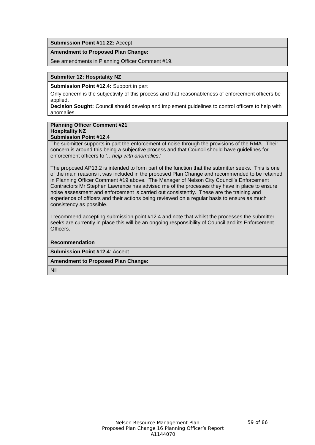**Submission Point #11.22:** Accept

#### **Amendment to Proposed Plan Change:**

See amendments in Planning Officer Comment #19.

## **Submitter 12: Hospitality NZ**

**Submission Point #12.4:** Support in part

Only concern is the subjectivity of this process and that reasonableness of enforcement officers be applied.

**Decision Sought:** Council should develop and implement guidelines to control officers to help with anomalies.

#### **Planning Officer Comment #21 Hospitality NZ Submission Point #12.4**

The submitter supports in part the enforcement of noise through the provisions of the RMA. Their concern is around this being a subjective process and that Council should have guidelines for enforcement officers to *'…help with anomalies*.'

The proposed AP13.2 is intended to form part of the function that the submitter seeks. This is one of the main reasons it was included in the proposed Plan Change and recommended to be retained in Planning Officer Comment #19 above. The Manager of Nelson City Council's Enforcement Contractors Mr Stephen Lawrence has advised me of the processes they have in place to ensure noise assessment and enforcement is carried out consistently. These are the training and experience of officers and their actions being reviewed on a regular basis to ensure as much consistency as possible.

I recommend accepting submission point #12.4 and note that whilst the processes the submitter seeks are currently in place this will be an ongoing responsibility of Council and its Enforcement Officers.

**Recommendation**

**Submission Point #12.4**: Accept

**Amendment to Proposed Plan Change:**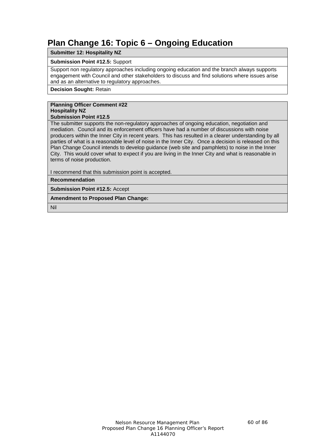# **Plan Change 16: Topic 6 – Ongoing Education**

**Submitter 12: Hospitality NZ**

# **Submission Point #12.5:** Support

Support non regulatory approaches including ongoing education and the branch always supports engagement with Council and other stakeholders to discuss and find solutions where issues arise and as an alternative to regulatory approaches.

**Decision Sought:** Retain

# **Planning Officer Comment #22 Hospitality NZ**

# **Submission Point #12.5**

The submitter supports the non-regulatory approaches of ongoing education, negotiation and mediation. Council and its enforcement officers have had a number of discussions with noise producers within the Inner City in recent years. This has resulted in a clearer understanding by all parties of what is a reasonable level of noise in the Inner City. Once a decision is released on this Plan Change Council intends to develop guidance (web site and pamphlets) to noise in the Inner City. This would cover what to expect if you are living in the Inner City and what is reasonable in terms of noise production.

I recommend that this submission point is accepted.

**Recommendation**

**Submission Point #12.5:** Accept

**Amendment to Proposed Plan Change:**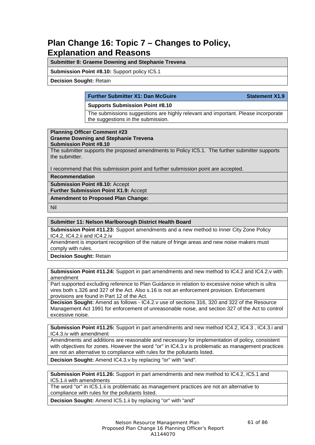# **Plan Change 16: Topic 7 – Changes to Policy, Explanation and Reasons**

**Submitter 8: Graeme Downing and Stephanie Trevena**

**Submission Point #8.10:** Support policy IC5.1

**Decision Sought:** Retain

## **Further Submitter X1: Dan McGuire Statement X1.9**

# **Supports Submission Point #8.10**

The submissions suggestions are highly relevant and important. Please incorporate the suggestions in the submission.

#### **Planning Officer Comment #23 Graeme Downing and Stephanie Trevena Submission Point #8.10**

The submitter supports the proposed amendments to Policy IC5.1. The further submitter supports the submitter.

I recommend that this submission point and further submission point are accepted.

**Recommendation**

**Submission Point #8.10:** Accept

**Further Submission Point X1.9:** Accept

**Amendment to Proposed Plan Change:**

Nil

## **Submitter 11: Nelson Marlborough District Health Board**

**Submission Point #11.23:** Support amendments and a new method to Inner City Zone Policy IC4.2, IC4.2.ii and IC4.2.iv

Amendment is important recognition of the nature of fringe areas and new noise makers must comply with rules.

**Decision Sought:** Retain

## **Submission Point #11.24:** Support in part amendments and new method to IC4.2 and IC4.2.v with amendment

Part supported excluding reference to Plan Guidance in relation to excessive noise which is ultra vires both s.326 and 327 of the Act. Also s.16 is not an enforcement provision. Enforcement provisions are found in Part 12 of the Act.

**Decision Sought:** Amend as follows - IC4.2.v use of sections 316, 320 and 322 of the Resource Management Act 1991 for enforcement of unreasonable noise, and section 327 of the Act to control excessive noise.

**Submission Point #11.25:** Support in part amendments and new method IC4.2, IC4.3 , IC4.3.i and IC4.3.iv with amendment

Amendments and additions are reasonable and necessary for implementation of policy, consistent with objectives for zones. However the word "or" in IC4.3.v is problematic as management practices are not an alternative to compliance with rules for the pollutants listed.

**Decision Sought:** Amend IC4.3.v by replacing "or" with "and".

**Submission Point #11.26:** Support in part amendments and new method to IC4.2, IC5.1 and IC5.1.ii with amendments

The word "or" in IC5.1.ii is problematic as management practices are not an alternative to compliance with rules for the pollutants listed.

**Decision Sought:** Amend IC5.1.ii by replacing "or" with "and"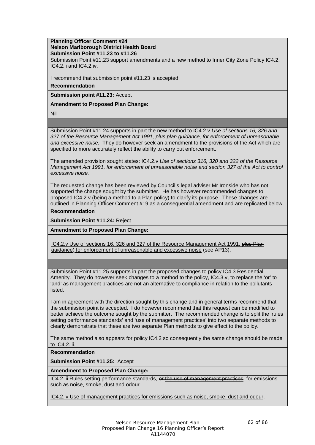# **Planning Officer Comment #24 Nelson Marlborough District Health Board Submission Point #11.23 to #11.26**

Submission Point #11.23 support amendments and a new method to Inner City Zone Policy IC4.2, IC4.2.ii and IC4.2.iv.

I recommend that submission point #11.23 is accepted

**Recommendation**

**Submission point #11.23:** Accept

**Amendment to Proposed Plan Change:**

Nil

Submission Point #11.24 supports in part the new method to IC4.2.v *Use of sections 16, 326 and 327 of the Resource Management Act 1991, plus plan guidance, for enforcement of unreasonable and excessive noise.* They do however seek an amendment to the provisions of the Act which are specified to more accurately reflect the ability to carry out enforcement.

The amended provision sought states: IC4.2.v *Use of sections 316, 320 and 322 of the Resource Management Act 1991, for enforcement of unreasonable noise and section 327 of the Act to control excessive noise.*

The requested change has been reviewed by Council's legal adviser Mr Ironside who has not supported the change sought by the submitter. He has however recommended changes to proposed IC4.2.v (being a method to a Plan policy) to clarify its purpose. These changes are outlined in Planning Officer Comment #19 as a consequential amendment and are replicated below.

**Recommendation**

**Submission Point #11.24:** Reject

**Amendment to Proposed Plan Change:**

IC4.2.v Use of sections 16, 326 and 327 of the Resource Management Act 1991, plus Plan guidance) for enforcement of unreasonable and excessive noise (see AP13).

Submission Point #11.25 supports in part the proposed changes to policy IC4.3 Residential Amenity. They do however seek changes to a method to the policy, IC4.3.v, to replace the 'or' to 'and' as management practices are not an alternative to compliance in relation to the pollutants listed.

I am in agreement with the direction sought by this change and in general terms recommend that the submission point is accepted. I do however recommend that this request can be modified to better achieve the outcome sought by the submitter. The recommended change is to split the 'rules setting performance standards' and 'use of management practices' into two separate methods to clearly demonstrate that these are two separate Plan methods to give effect to the policy.

The same method also appears for policy IC4.2 so consequently the same change should be made to IC4.2.iii.

**Recommendation**

**Submission Point #11.25:** Accept

# **Amendment to Proposed Plan Change:**

IC4.2.iii Rules setting performance standards, or the use of management practices, for emissions such as noise, smoke, dust and odour.

IC4.2.iv Use of management practices for emissions such as noise, smoke, dust and odour.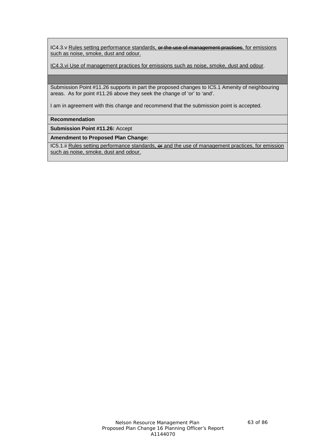IC4.3. v Rules setting performance standards, or the use of management practices, for emissions such as noise, smoke, dust and odour.

IC4.3.vi Use of management practices for emissions such as noise, smoke, dust and odour.

Submission Point #11.26 supports in part the proposed changes to IC5.1 Amenity of neighbouring areas. As for point #11.26 above they seek the change of 'or' to 'and'.

I am in agreement with this change and recommend that the submission point is accepted.

**Recommendation**

**Submission Point #11.26:** Accept

**Amendment to Proposed Plan Change:**

IC5.1.ii Rules setting performance standards, or and the use of management practices, for emission such as noise, smoke, dust and odour.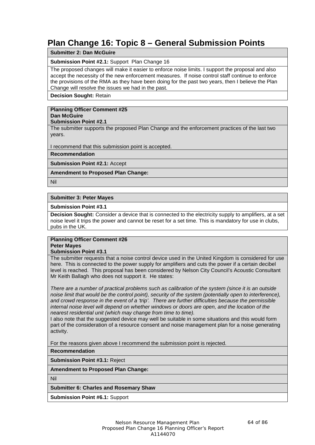# **Plan Change 16: Topic 8 – General Submission Points**

# **Submitter 2: Dan McGuire**

# **Submission Point #2.1:** Support Plan Change 16

The proposed changes will make it easier to enforce noise limits. I support the proposal and also accept the necessity of the new enforcement measures. If noise control staff continue to enforce the provisions of the RMA as they have been doing for the past two years, then I believe the Plan Change will resolve the issues we had in the past.

**Decision Sought:** Retain

#### **Planning Officer Comment #25 Dan McGuire**

#### **Submission Point #2.1**

The submitter supports the proposed Plan Change and the enforcement practices of the last two years.

I recommend that this submission point is accepted.

**Recommendation**

**Submission Point #2.1:** Accept

# **Amendment to Proposed Plan Change:**

Nil

## **Submitter 3: Peter Mayes**

## **Submission Point #3.1**

**Decision Sought:** Consider a device that is connected to the electricity supply to amplifiers, at a set noise level it trips the power and cannot be reset for a set time. This is mandatory for use in clubs, pubs in the UK.

#### **Planning Officer Comment #26 Peter Mayes**

#### **Submission Point #3.1**

The submitter requests that a noise control device used in the United Kingdom is considered for use here. This is connected to the power supply for amplifiers and cuts the power if a certain decibel level is reached. This proposal has been considered by Nelson City Council's Acoustic Consultant Mr Keith Ballagh who does not support it. He states:

*There are a number of practical problems such as calibration of the system (since it is an outside noise limit that would be the control point), security of the system (potentially open to interference), and crowd response in the event of a 'trip'. There are further difficulties because the permissible internal noise level will depend on whether windows or doors are open, and the location of the nearest residential unit (which may change from time to time).*

I also note that the suggested device may well be suitable in some situations and this would form part of the consideration of a resource consent and noise management plan for a noise generating activity.

For the reasons given above I recommend the submission point is rejected.

**Recommendation**

**Submission Point #3.1:** Reject

**Amendment to Proposed Plan Change:**

Nil

# **Submitter 6: Charles and Rosemary Shaw**

**Submission Point #6.1:** Support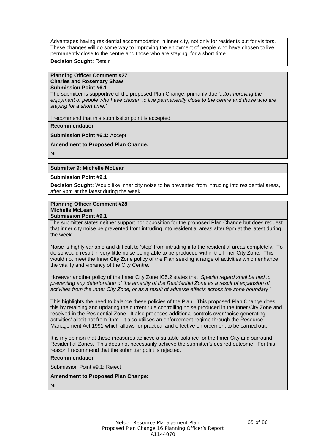Advantages having residential accommodation in inner city, not only for residents but for visitors. These changes will go some way to improving the enjoyment of people who have chosen to live permanently close to the centre and those who are staying for a short time.

**Decision Sought:** Retain

#### **Planning Officer Comment #27 Charles and Rosemary Shaw Submission Point #6.1**

The submitter is supportive of the proposed Plan Change, primarily due *'...to improving the enjoyment of people who have chosen to live permanently close to the centre and those who are staying for a short time.'* 

I recommend that this submission point is accepted.

## **Recommendation**

**Submission Point #6.1:** Accept

**Amendment to Proposed Plan Change:**

Nil

## **Submitter 9: Michelle McLean**

## **Submission Point #9.1**

**Decision Sought:** Would like inner city noise to be prevented from intruding into residential areas, after 9pm at the latest during the week.

# **Planning Officer Comment #28 Michelle McLean**

**Submission Point #9.1**

The submitter states neither support nor opposition for the proposed Plan Change but does request that inner city noise be prevented from intruding into residential areas after 9pm at the latest during the week.

Noise is highly variable and difficult to 'stop' from intruding into the residential areas completely. To do so would result in very little noise being able to be produced within the Inner City Zone. This would not meet the Inner City Zone policy of the Plan seeking a range of activities which enhance the vitality and vibrancy of the City Centre.

However another policy of the Inner City Zone IC5.2 states that '*Special regard shall be had to preventing any deterioration of the amenity of the Residential Zone as a result of expansion of activities from the Inner City Zone, or as a result of adverse effects across the zone boundary*.'

This highlights the need to balance these policies of the Plan. This proposed Plan Change does this by retaining and updating the current rule controlling noise produced in the Inner City Zone and received in the Residential Zone. It also proposes additional controls over 'noise generating activities' albeit not from 9pm. It also utilises an enforcement regime through the Resource Management Act 1991 which allows for practical and effective enforcement to be carried out.

It is my opinion that these measures achieve a suitable balance for the Inner City and surround Residential Zones. This does not necessarily achieve the submitter's desired outcome. For this reason I recommend that the submitter point is rejected.

#### **Recommendation**

Submission Point #9.1: Reject

# **Amendment to Proposed Plan Change:**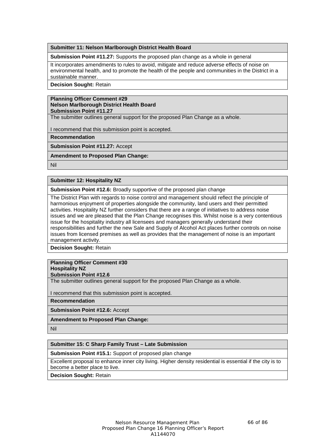**Submitter 11: Nelson Marlborough District Health Board**

**Submission Point #11.27:** Supports the proposed plan change as a whole in general

It incorporates amendments to rules to avoid, mitigate and reduce adverse effects of noise on environmental health, and to promote the health of the people and communities in the District in a sustainable manner.

**Decision Sought:** Retain

#### **Planning Officer Comment #29 Nelson Marlborough District Health Board Submission Point #11.27**

The submitter outlines general support for the proposed Plan Change as a whole.

I recommend that this submission point is accepted.

**Recommendation**

**Submission Point #11.27:** Accept

**Amendment to Proposed Plan Change:**

Nil

# **Submitter 12: Hospitality NZ**

**Submission Point #12.6:** Broadly supportive of the proposed plan change

The District Plan with regards to noise control and management should reflect the principle of harmonious enjoyment of properties alongside the community, land users and their permitted activities. Hospitality NZ further considers that there are a range of initiatives to address noise issues and we are pleased that the Plan Change recognises this. Whilst noise is a very contentious issue for the hospitality industry all licensees and managers generally understand their responsibilities and further the new Sale and Supply of Alcohol Act places further controls on noise issues from licensed premises as well as provides that the management of noise is an important management activity.

**Decision Sought:** Retain

# **Planning Officer Comment #30 Hospitality NZ**

**Submission Point #12.6**

The submitter outlines general support for the proposed Plan Change as a whole.

I recommend that this submission point is accepted.

**Recommendation**

**Submission Point #12.6:** Accept

**Amendment to Proposed Plan Change:**

Nil

# **Submitter 15: C Sharp Family Trust – Late Submission**

**Submission Point #15.1:** Support of proposed plan change

Excellent proposal to enhance inner city living. Higher density residential is essential if the city is to become a better place to live.

**Decision Sought:** Retain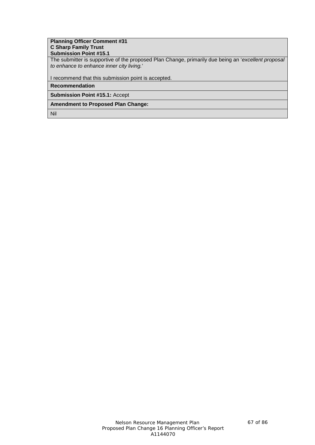## **Planning Officer Comment #31 C Sharp Family Trust Submission Point #15.1**

The submitter is supportive of the proposed Plan Change, primarily due being an '*excellent proposal to enhance to enhance inner city living.*'

I recommend that this submission point is accepted.

**Recommendation**

**Submission Point #15.1:** Accept

**Amendment to Proposed Plan Change:**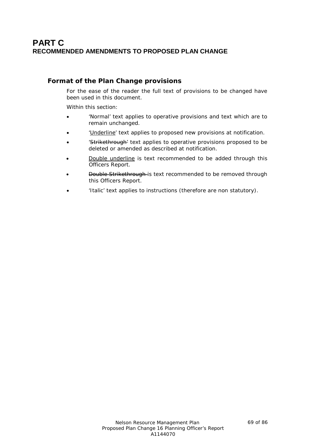# **PART C RECOMMENDED AMENDMENTS TO PROPOSED PLAN CHANGE**

# **Format of the Plan Change provisions**

For the ease of the reader the full text of provisions to be changed have been used in this document.

Within this section:

- 'Normal' text applies to operative provisions and text which are to remain unchanged.
- 'Underline' text applies to proposed new provisions at notification.
- 'Strikethrough' text applies to operative provisions proposed to be deleted or amended as described at notification.
- Double underline is text recommended to be added through this Officers Report.
- **Double Strikethrough-** is text recommended to be removed through this Officers Report.
- '*Italic*' text applies to instructions (therefore are non statutory).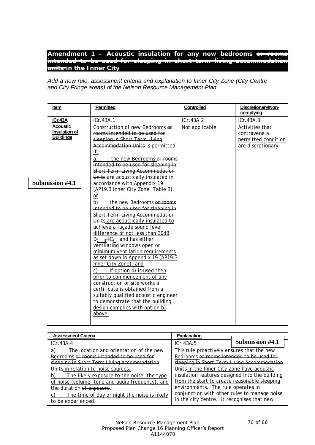# Amendment 1 – Acoustic insulation for any new bedrooms  $\overline{\Theta}$ *intended to be used for sleeping in short term living accommodation units in the Inner City*

*Add a new rule, assessment criteria and explanation to Inner City Zone (City Centre and City Fringe areas) of the Nelson Resource Management Plan*

| Item                                                                                      | Permitted                                                                                                                                                                                                                                                                                                                                                                                                                                                                                                                                                                                                                                                                                                                                                                                                                                                                                                                                                                                 | Controlled                  | Discretionary/Non-<br>complying                                                           |
|-------------------------------------------------------------------------------------------|-------------------------------------------------------------------------------------------------------------------------------------------------------------------------------------------------------------------------------------------------------------------------------------------------------------------------------------------------------------------------------------------------------------------------------------------------------------------------------------------------------------------------------------------------------------------------------------------------------------------------------------------------------------------------------------------------------------------------------------------------------------------------------------------------------------------------------------------------------------------------------------------------------------------------------------------------------------------------------------------|-----------------------------|-------------------------------------------------------------------------------------------|
| <b>ICr.43A</b><br><b>Acoustic</b><br>Insulation of<br><b>Buildings</b><br>Submission #4.1 | ICr.43A.1<br>Construction of new Bedrooms of<br>rooms intended to be used for<br>sleeping in Short-Term Living<br>Accommodation Units is permitted<br>if:<br>a)<br>the new Bedrooms or rooms<br>intended to be used for sleeping in<br>Short Term Living Accommodation<br>Units are acoustically insulated in<br>accordance with Appendix 19<br>(AP19.3 Inner City Zone, Table 3),<br>$or$<br>b)<br>the new Bedrooms or rooms<br>intended to be used for sleeping in<br><b>Short Term Living Accommodation</b><br>Units are acoustically insulated to<br>achieve a façade sound level<br>difference of not less than 30dB<br>$D_{2m,nT}$ +C <sub>tr</sub> , and has either<br>ventilating windows open or<br>minimum ventilation requirements<br>as set down in Appendix 19 (AP19.3<br>Inner City Zone), and<br>If option b) is used then<br>C)<br>prior to commencement of any<br>construction or site works a<br>certificate is obtained from a<br>suitably qualified acoustic engineer | ICr.43A.2<br>Not applicable | ICr.43A.3<br>Activities that<br>contravene a<br>permitted condition<br>are discretionary. |
|                                                                                           | to demonstrate that the building<br>design complies with option b)<br>above.                                                                                                                                                                                                                                                                                                                                                                                                                                                                                                                                                                                                                                                                                                                                                                                                                                                                                                              |                             |                                                                                           |

| <b>Assessment Criteria</b>                                                                 | <b>Explanation</b>                             |                 |
|--------------------------------------------------------------------------------------------|------------------------------------------------|-----------------|
| ICr.43A.4                                                                                  | ICr.43A.5                                      | Submission #4.1 |
| The location and orientation of the new<br>a                                               | This rule proactively ensures that the new     |                 |
| Bedrooms or rooms intended to be used for<br>Bedrooms or rooms intended to be used for     |                                                |                 |
| sleeping in Short Term Living Accommodation<br>sleeping in Short Term Living Accommodation |                                                |                 |
| Units in relation to noise sources.                                                        | Units in the Inner City Zone have acoustic     |                 |
| The likely exposure to the noise, the type<br>b)                                           | insulation features designed into the building |                 |
| of noise (volume, tone and audio frequency), and                                           | from the start to create reasonable sleeping   |                 |
| the duration of exposure.                                                                  | environments. The rule operates in             |                 |
| The time of day or night the noise is likely                                               | conjunction with other rules to manage noise   |                 |
| be experienced.                                                                            | in the city centre. It recognises that new     |                 |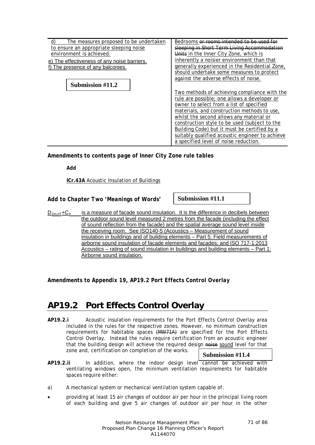| The measures proposed to be undertaken<br>to ensure an appropriate sleeping noise | Bedrooms or rooms intended to be used for<br>sleeping in Short Term Living Accommodation |
|-----------------------------------------------------------------------------------|------------------------------------------------------------------------------------------|
| environment is achieved.                                                          | Units in the Inner City Zone, which is                                                   |
| e) The effectiveness of any noise barriers.                                       | inherently a noisier environment than that                                               |
| f) The presence of any balconies.                                                 | generally experienced in the Residential Zone,                                           |
|                                                                                   | should undertake some measures to protect                                                |
|                                                                                   | against the adverse effects of noise.                                                    |
| Submission #11.2                                                                  |                                                                                          |
|                                                                                   | Two methods of achieving compliance with the                                             |
|                                                                                   | rule are possible; one allows a developer or                                             |
|                                                                                   | owner to select from a list of specified                                                 |
|                                                                                   | materials, and construction methods to use,                                              |
|                                                                                   | whilst the second allows any material or                                                 |
|                                                                                   | construction style to be used (subject to the                                            |
|                                                                                   | Building Code) but it must be certified by a                                             |
|                                                                                   | suitably qualified acoustic engineer to achieve                                          |
|                                                                                   | a specified level of noise reduction.                                                    |

*Amendments to contents page of Inner City Zone rule tables*

*Add*

**ICr.43A** Acoustic Insulation of Buildings

*Add to Chapter Two 'Meanings of Words'*

**Submission #11.1**

 $D_{2m,nT}$ +C<sub>tr</sub> is a measure of facade sound insulation. It is the difference in decibels between the outdoor sound level measured 2 metres from the facade (including the effect of sound reflection from the facade) and the spatial average sound level inside the receiving room. See ISO140-5 (Acoustics – Measurement of sound insulation in buildings and of building elements – Part 5: Field measurements of airborne sound insulation of facade elements and facades; and ISO 717-1:2013 Acoustics – rating of sound insulation in buildings and building elements – Part 1: Airborne sound insulation.

*Amendments to Appendix 19, AP19.2 Port Effects Control Overlay*

# **AP19.2 Port Effects Control Overlay**

**AP19.2.i** Acoustic insulation requirements for the Port Effects Control Overlay area included in the rules for the respective zones. However, no minimum construction requirements for habitable spaces (MW71A) are specified for the Port Effects Control Overlay. Instead the rules require certification from an acoustic engineer that the building design will achieve the required design noise sound level for that zone and, certification on completion of the works.

# **Submission #11.4**

- **AP19.2.ii** In addition, where the indoor design level cannot be achieved with ventilating windows open, the minimum ventilation requirements for habitable spaces require either:
- a) A mechanical system or mechanical ventilation system capable of:
- providing at least 15 air changes of outdoor air per hour in the principal living room of each building and give 5 air changes of outdoor air per hour in the other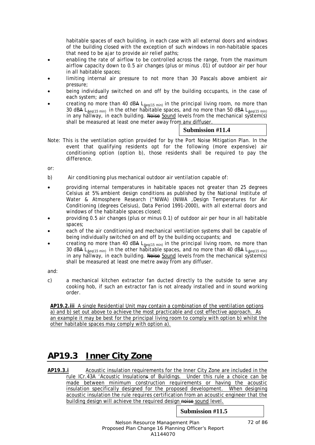habitable spaces of each building, in each case with all external doors and windows of the building closed with the exception of such windows in non-habitable spaces that need to be ajar to provide air relief paths;

- enabling the rate of airflow to be controlled across the range, from the maximum airflow capacity down to 0.5 air changes (plus or minus .01) of outdoor air per hour in all habitable spaces;
- limiting internal air pressure to not more than 30 Pascals above ambient air pressure;
- being individually switched on and off by the building occupants, in the case of each system; and
- creating no more than 40 dBA  $L_{\underline{A}eq(15\text{ min})}$  in the principal living room, no more than 30 dBA L<sub>Aeq(15 min)</sub> in the other habitable spaces, and no more than 50 dBA L<sub>Aeq(15 min)</sub> in any hallway, in each building. Noise Sound levels from the mechanical system(s) shall be measured at least one meter away from any diffuser.

# **Submission #11.4**

Note: This is the ventilation option provided for by the Port Noise Mitigation Plan. In the event that qualifying residents opt for the following (more expensive) air conditioning option (option b), those residents shall be required to pay the difference.

or:

- b) Air conditioning plus mechanical outdoor air ventilation capable of:
- providing internal temperatures in habitable spaces not greater than 25 degrees Celsius at 5% ambient design conditions as published by the National Institute of Water & Atmosphere Research ("NIWA) (NIWA ,Design Temperatures for Air Conditioning (degrees Celsius), Data Period 1991-2000), with all external doors and windows of the habitable spaces closed;
- providing 0.5 air changes (plus or minus 0.1) of outdoor air per hour in all habitable spaces;
- each of the air conditioning and mechanical ventilation systems shall be capable of being individually switched on and off by the building occupants; and
- creating no more than 40 dBA  $L_{Aeq(15 min)}$  in the principal living room, no more than 30 dBA L<sub>Aeq(15 min)</sub> in the other habitable spaces, and no more than 40 dBA L<sub>Aeq(15 min)</sub> in any hallway, in each building. Noise Sound levels from the mechanical system(s) shall be measured at least one metre away from any diffuser.

and:

c) a mechanical kitchen extractor fan ducted directly to the outside to serve any cooking hob, if such an extractor fan is not already installed and in sound working order.

**AP19.2.iii** A single Residential Unit may contain a combination of the ventilation options a) and b) set out above to achieve the most practicable and cost effective approach. As an example it may be best for the principal living room to comply with option b) whilst the other habitable spaces may comply with option a).

# **AP19.3 Inner City Zone**

**AP19.3.i** Acoustic insulation requirements for the Inner City Zone are included in the rule ICr.43A 'Acoustic Insulations of Buildings. Under this rule a choice can be made between minimum construction requirements or having the acoustic insulation specifically designed for the proposed development. When designing acoustic insulation the rule requires certification from an acoustic engineer that the building design will achieve the required design noise sound level.

# **Submission #11.5**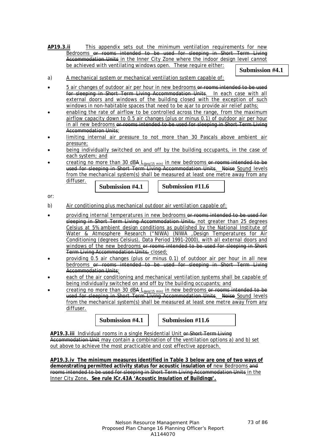**AP19.3.ii** This appendix sets out the minimum ventilation requirements for new Bedrooms <del>or rooms intended to be used for sleeping in Short</del> Accommodation Units in the Inner City Zone where the indoor design level cannot be achieved with ventilating windows open. These require either:

**Submission #4.1**

- a) A mechanical system or mechanical ventilation system capable of:
- 5 air changes of outdoor air per hour in new bedrooms or rooms intended to be used for sleeping in Short Term Living Accommodation Units. In each case with all external doors and windows of the building closed with the exception of such windows in non-habitable spaces that need to be ajar to provide air relief paths;
- enabling the rate of airflow to be controlled across the range, from the maximum airflow capacity down to 0.5 air changes (plus or minus 0.1) of outdoor air per hour in all new bedrooms or rooms intended to be used for sleeping in Short Term Living Accommodation Units;
- limiting internal air pressure to not more than 30 Pascals above ambient air pressure;
- being individually switched on and off by the building occupants, in the case of each system; and
- creating no more than 30 dBA  $L_{\text{deg}(15 \text{ min})}$  in new bedrooms or rooms intended to be used for sleeping in Short Term Living Accommodation Units. Noise Sound levels from the mechanical system(s) shall be measured at least one metre away from any diffuser.

**Submission #4.1 Submission #11.6**

or:

- b) Air conditioning plus mechanical outdoor air ventilation capable of:
- providing internal temperatures in new bedrooms or rooms intended to be used for sleeping in Short Term Living Accommodation Units, not greater than 25 degrees Celsius at 5% ambient design conditions as published by the National Institute of Water & Atmosphere Research ("NIWA) (NIWA ,Design Temperatures for Air Conditioning (degrees Celsius), Data Period 1991-2000), with all external doors and windows of the new bedrooms or rooms intended to be used for sleeping in Short Term Living Accommodation Units, closed;
- providing 0.5 air changes (plus or minus 0.1) of outdoor air per hour in all new bedrooms or rooms intended to be used for sleeping in Short Term Living Accommodation Units:
- each of the air conditioning and mechanical ventilation systems shall be capable of being individually switched on and off by the building occupants; and
- creating no more than 30 dBA  $L_{Aeq(15 min)}$  in new bedrooms or rooms intended to be used for sleeping in Short Term Living Accommodation Units. Noise Sound levels from the mechanical system(s) shall be measured at least one metre away from any diffuser.

**Submission #4.1 Submission #11.6**

AP19.3.iii Individual rooms in a single Residential Unit or Short Term Living Accommodation Unit may contain a combination of the ventilation options a) and b) set out above to achieve the most practicable and cost effective approach.

**AP19.3.iv The minimum measures identified in Table 3 below are one of two ways of**  demonstrating permitted activity status for acoustic insulation of new Bedrooms and rooms intended to be used for sleeping in Short Term Living Accommodation Units in the Inner City Zone**. See rule ICr.43A 'Acoustic Insulation of Buildings'.**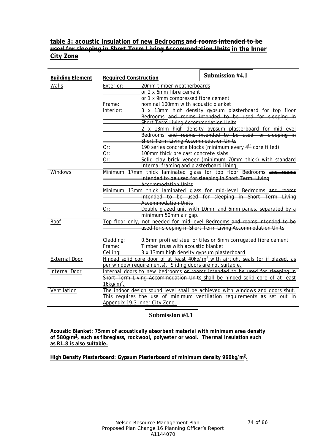## **table 3: acoustic insulation of new Bedrooms and rooms intended to be used for sleeping in Short Term Living Accommodation Units in the Inner City Zone**

| <b>Building Element</b> | <b>Required Construction</b>                                                                                              | Submission #4.1 |  |
|-------------------------|---------------------------------------------------------------------------------------------------------------------------|-----------------|--|
| Walls                   | 20mm timber weatherboards<br>Exterior:                                                                                    |                 |  |
|                         | or 2 x 6mm fibre cement                                                                                                   |                 |  |
|                         | or 1 x 9mm compressed fibre cement                                                                                        |                 |  |
|                         | nominal 100mm with acoustic blanket<br>Frame:                                                                             |                 |  |
|                         | Interior:<br>3 x 13mm high density gypsum plasterboard for top floor                                                      |                 |  |
|                         | Bedrooms and rooms intended to be used for sleeping in                                                                    |                 |  |
|                         | <b>Short Term Living Accommodation Units</b>                                                                              |                 |  |
|                         | 2 x 13mm high density gypsum plasterboard for mid-level                                                                   |                 |  |
|                         | Bedrooms and rooms intended to be used for sleeping in                                                                    |                 |  |
|                         | <b>Short Term Living Accommodation Units</b><br>190 series concrete blocks (minimum every 4 <sup>th</sup> core filled)    |                 |  |
|                         | Or:<br>Or:<br>100mm thick pre cast concrete slabs                                                                         |                 |  |
|                         | Or:<br>Solid clay brick veneer (minimum 70mm thick) with standard                                                         |                 |  |
|                         | internal framing and plasterboard lining.                                                                                 |                 |  |
| Windows                 | Minimum 17mm thick laminated glass for top floor Bedrooms and rooms                                                       |                 |  |
|                         | intended to be used for sleeping in Short Term Living                                                                     |                 |  |
|                         | <b>Accommodation Units</b>                                                                                                |                 |  |
|                         | Minimum 13mm thick laminated glass for mid-level Bedrooms and reoms                                                       |                 |  |
|                         | intended to be used for sleeping in Short Term Living                                                                     |                 |  |
|                         | <b>Accommodation Units</b>                                                                                                |                 |  |
|                         | Double glazed unit with 10mm and 6mm panes, separated by a<br>Or:                                                         |                 |  |
|                         | minimum 50mm air gap.                                                                                                     |                 |  |
| Roof                    | Top floor only, not needed for mid-level Bedrooms and rooms intended to be                                                |                 |  |
|                         | used for sleeping in Short Term Living Accommodation Units                                                                |                 |  |
|                         |                                                                                                                           |                 |  |
|                         | 0.5mm profiled steel or tiles or 6mm corrugated fibre cement<br>Cladding:<br>Timber truss with acoustic blanket<br>Frame: |                 |  |
|                         | Ceiling:<br>3 x 13mm high density gypsum plasterboard                                                                     |                 |  |
| <b>External Door</b>    | Hinged solid core door of at least $40\text{kg/m}^2$ with airtight seals (or if glazed, as                                |                 |  |
|                         | per window requirements). Sliding doors are not suitable.                                                                 |                 |  |
| Internal Door           | Internal doors to new bedrooms or rooms intended to be used for sleeping in                                               |                 |  |
|                         | Short Term Living Accommodation Units shall be hinged solid core of at least                                              |                 |  |
|                         | 16kg/ $m2$ .                                                                                                              |                 |  |
| Ventilation             | The indoor design sound level shall be achieved with windows and doors shut.                                              |                 |  |
|                         | This requires the use of minimum ventilation requirements as set out in                                                   |                 |  |
|                         | Appendix 19.3 Inner City Zone.                                                                                            |                 |  |

**Submission #4.1**

**Acoustic Blanket: 75mm of acoustically absorbent material with minimum area density**  of 580g/m<sup>2</sup>, such as fibreglass, rockwool, polyester or wool. Thermal insulation such **as R1.8 is also suitable.**

**High Density Plasterboard: Gypsum Plasterboard of minimum density 960kg/m<sup>3</sup> .**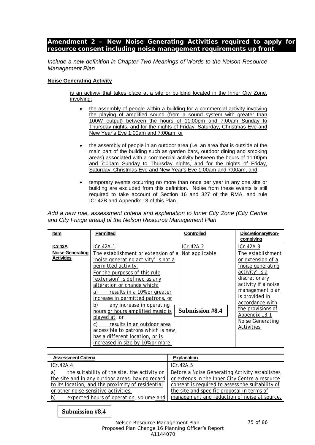## *Amendment 2 – New Noise Generating Activities required to apply for resource consent including noise management requirements up front*

*Include a new definition in Chapter Two Meanings of Words to the Nelson Resource Management Plan*

#### **Noise Generating Activity**

is an activity that takes place at a site or building located in the Inner City Zone, involving:

- the assembly of people within a building for a commercial activity involving the playing of amplified sound (from a sound system with greater than 100W output) between the hours of 11:00pm and 7:00am Sunday to Thursday nights, and for the nights of Friday, Saturday, Christmas Eve and New Year's Eve 1:00am and 7:00am, or
- the assembly of people in an outdoor area (i.e. an area that is outside of the main part of the building such as garden bars, outdoor dining and smoking areas) associated with a commercial activity between the hours of 11:00pm and 7:00am Sunday to Thursday nights, and for the nights of Friday, Saturday, Christmas Eve and New Year's Eve 1:00am and 7:00am, and
- temporary events occurring no more than once per year in any one site or building are excluded from this definition. Noise from these events is still required to take account of Section 16 and 327 of the RMA, and rule ICr.42B and Appendix 13 of this Plan.

*Add a new rule, assessment criteria and explanation to Inner City Zone (City Centre and City Fringe areas) of the Nelson Resource Management Plan*

| Item                                                    | <b>Permitted</b>                                                                                                                                                                                                                                                                                                   | <b>Controlled</b>           | Discretionary/Non-<br>complying                                                                                                                       |
|---------------------------------------------------------|--------------------------------------------------------------------------------------------------------------------------------------------------------------------------------------------------------------------------------------------------------------------------------------------------------------------|-----------------------------|-------------------------------------------------------------------------------------------------------------------------------------------------------|
| ICr.42A<br><b>Noise Generating</b><br><b>Activities</b> | ICr.42A.1<br>The establishment or extension of al<br>'noise generating activity' is not a<br>permitted activity.<br>For the purposes of this rule<br>'extension' is defined as any<br>alteration or change which:                                                                                                  | ICr.42A.2<br>Not applicable | ICr.42A.3<br>The establishment<br>or extension of a<br>'noise generating<br>activity' is a<br>discretionary<br>activity if a noise<br>management plan |
|                                                         | results in a 10% or greater<br>a)<br>increase in permitted patrons, or<br>any increase in operating<br>b)<br>hours or hours amplified music is<br>played at, or<br>results in an outdoor area<br>C)<br>accessible to patrons which is new.<br>has a different location, or is<br>increased in size by 10% or more. | <b>Submission #8.4</b>      | is provided in<br>accordance with<br>the provisions of<br>Appendix 13.1<br>Noise Generating<br>Activities.                                            |

| <b>Assessment Criteria</b>                         | <b>Explanation</b>                               |
|----------------------------------------------------|--------------------------------------------------|
| ICr.42A.4                                          | ICr.42A.5                                        |
| a)<br>the suitability of the site, the activity on | Before a Noise Generating Activity establishes   |
| the site and in any outdoor areas, having regard   | or extends in the Inner City Centre a resource   |
| to its location, and the proximity of residential  | consent is required to assess the suitability of |
| or other noise-sensitive activities.               | the site and specific proposal in terms of       |
| b)<br>expected hours of operation, volume and      | management and reduction of noise at source.     |

**Submission #8.4**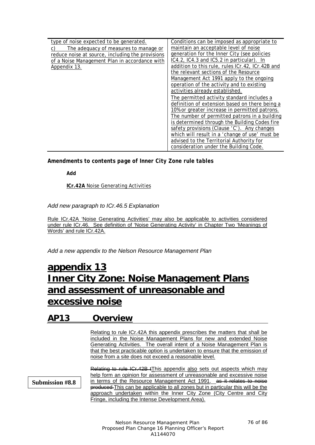| type of noise expected to be generated.          | Conditions can be imposed as appropriate to      |
|--------------------------------------------------|--------------------------------------------------|
| The adequacy of measures to manage or            | maintain an acceptable level of noise            |
| reduce noise at source, including the provisions | generation for the Inner City (see policies      |
| of a Noise Management Plan in accordance with    | IC4.2, IC4.3 and IC5.2 in particular). In        |
| Appendix 13.                                     | addition to this rule, rules ICr.42, ICr.42B and |
|                                                  | the relevant sections of the Resource            |
|                                                  | Management Act 1991 apply to the ongoing         |
|                                                  | operation of the activity and to existing        |
|                                                  | activities already established.                  |
|                                                  | The permitted activity standard includes a       |
|                                                  | definition of extension based on there being a   |
|                                                  | 10% or greater increase in permitted patrons.    |
|                                                  | The number of permitted patrons in a building    |
|                                                  | is determined through the Building Codes fire    |
|                                                  | safety provisions (Clause 'C'). Any changes      |
|                                                  | which will result in a 'change of use' must be   |
|                                                  | advised to the Territorial Authority for         |
|                                                  | consideration under the Building Code.           |

*Amendments to contents page of Inner City Zone rule tables*

*Add*

**ICr.42A** Noise Generating Activities

*Add new paragraph to ICr.46.5 Explanation*

Rule ICr.42A 'Noise Generating Activities' may also be applicable to activities considered under rule ICr.46. See definition of 'Noise Generating Activity' in Chapter Two 'Meanings of Words' and rule ICr.42A.

*Add a new appendix to the Nelson Resource Management Plan*

# **appendix 13 Inner City Zone: Noise Management Plans and assessment of unreasonable and excessive noise**

## **AP13 Overview**

Relating to rule ICr.42A this appendix prescribes the matters that shall be included in the Noise Management Plans for new and extended Noise Generating Activities. The overall intent of a Noise Management Plan is that the best practicable option is undertaken to ensure that the emission of noise from a site does not exceed a reasonable level.

**Submission #8.8**

Relating to rule ICr.42B tThis appendix also sets out aspects which may help form an opinion for assessment of unreasonable and excessive noise in terms of the Resource Management Act 1991. as it relates to noise produced This can be applicable to all zones but in particular this will be the approach undertaken within the Inner City Zone (City Centre and City Fringe, including the Intense Development Area).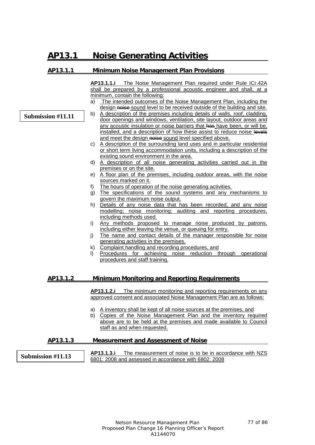# **AP13.1 Noise Generating Activities**

**Submission #11.11**

## **AP13.1.1 Minimum Noise Management Plan Provisions**

**AP13.1.1.i** The Noise Management Plan required under Rule ICr.42A shall be prepared by a professional acoustic engineer and shall, at a minimum, contain the following:

- a) The intended outcomes of the Noise Management Plan, including the design noise sound level to be received outside of the building and site.
- b) A description of the premises including details of walls, roof, cladding, door openings and windows, ventilation, site layout, outdoor areas and any acoustic insulation or noise barriers that has have been, or will be, installed, and a description of how these assist to reduce noise levels and meet the design noise sound level specified above.
- c) A description of the surrounding land uses and in particular residential or short term living accommodation units, including a description of the existing sound environment in the area.
- d) A description of all noise generating activities carried out in the premises or on the site.
- e) A floor plan of the premises, including outdoor areas, with the noise sources marked on it.
- f) The hours of operation of the noise generating activities.
- g) The specifications of the sound systems and any mechanisms to govern the maximum noise output.
- h) Details of any noise data that has been recorded, and any noise modelling; noise monitoring; auditing and reporting procedures, including methods used.
- i) Any methods proposed to manage noise produced by patrons, including either leaving the venue, or queuing for entry.
- j) The name and contact details of the manager responsible for noise generating activities in the premises.
- k) Complaint handling and recording procedures, and
- l) Procedures for achieving noise reduction through operational procedures and staff training.

## **AP13.1.2 Minimum Monitoring and Reporting Requirements**

**AP13.1.2.i** The minimum monitoring and reporting requirements on any approved consent and associated Noise Management Plan are as follows:

- a) A inventory shall be kept of all noise sources at the premises, and
- b) Copies of the Noise Management Plan and the inventory required above are to be held at the premises and made available to Council staff as and when requested.

## **AP13.1.3 Measurement and Assessment of Noise**

**AP13.1.3.i** The measurement of noise is to be in accordance with NZS 6801: 2008 and assessed in accordance with 6802: 2008 **Submission #11.13**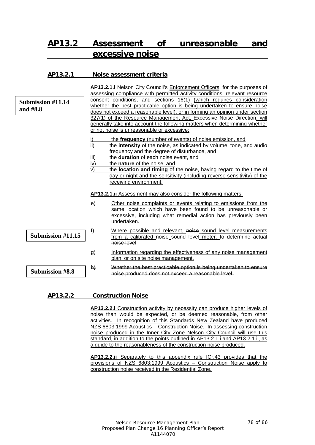# **AP13.2 Assessment of unreasonable and excessive noise**

| AP13.2.1                             |                                | Noise assessment criteria                                                                                                                                                                                                                                                                                                                                                                                                                                                                                                                                                                        |
|--------------------------------------|--------------------------------|--------------------------------------------------------------------------------------------------------------------------------------------------------------------------------------------------------------------------------------------------------------------------------------------------------------------------------------------------------------------------------------------------------------------------------------------------------------------------------------------------------------------------------------------------------------------------------------------------|
| <b>Submission #11.14</b><br>and #8.8 |                                | AP13.2.1.i Nelson City Council's Enforcement Officers, for the purposes of<br>assessing compliance with permitted activity conditions, relevant resource<br>consent conditions, and sections 16(1) (which requires consideration<br>whether the best practicable option is being undertaken to ensure noise<br>does not exceed a reasonable level), or in forming an opinion under section<br>327(1) of the Resource Management Act, Excessive Noise Direction, will<br>generally take into account the following matters when determining whether<br>or not noise is unreasonable or excessive: |
|                                      | i)<br>ii)<br>iii)<br>iv)<br>V) | the frequency (number of events) of noise emission, and<br>the <b>intensity</b> of the noise, as indicated by volume, tone, and audio<br>frequency and the degree of disturbance, and<br>the duration of each noise event, and<br>the nature of the noise, and<br>the location and timing of the noise, having regard to the time of<br>day or night and the sensitivity (including reverse sensitivity) of the<br>receiving environment.                                                                                                                                                        |
|                                      |                                | AP13.2.1. ii Assessment may also consider the following matters.                                                                                                                                                                                                                                                                                                                                                                                                                                                                                                                                 |
|                                      | e)                             | Other noise complaints or events relating to emissions from the<br>same location which have been found to be unreasonable or<br>excessive, including what remedial action has previously been<br>undertaken.                                                                                                                                                                                                                                                                                                                                                                                     |
| Submission #11.15                    | f)                             | Where possible and relevant, noise sound level measurements<br>from a calibrated noise sound level meter. to determine actual<br>noise level                                                                                                                                                                                                                                                                                                                                                                                                                                                     |
|                                      | g)                             | Information regarding the effectiveness of any noise management<br>plan, or on site noise management.                                                                                                                                                                                                                                                                                                                                                                                                                                                                                            |
| <b>Submission #8.8</b>               | $\mathsf{h}$                   | Whether the best practicable option is being undertaken to en<br>noise produced does not exceed a reasonable level.                                                                                                                                                                                                                                                                                                                                                                                                                                                                              |

## **AP13.2.2 Construction Noise**

**AP13.2.2.i** Construction activity by necessity can produce higher levels of noise than would be expected, or be deemed reasonable, from other activities. In recognition of this Standards New Zealand have produced NZS 6803:1999 Acoustics – Construction Noise. In assessing construction noise produced in the Inner City Zone Nelson City Council will use this standard, in addition to the points outlined in AP13.2.1.i and AP13.2.1.ii, as a guide to the reasonableness of the construction noise produced.

**AP13.2.2.ii** Separately to this appendix rule ICr.43 provides that the provisions of NZS 6803:1999 Acoustics – Construction Noise apply to construction noise received in the Residential Zone.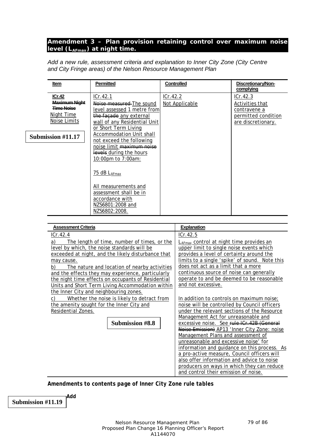## *Amendment 3 – Plan provision retaining control over maximum noise level (LAFmax) at night time.*

*Add a new rule, assessment criteria and explanation to Inner City Zone (City Centre and City Fringe areas) of the Nelson Resource Management Plan*

| Item                                                                       | <b>Permitted</b>                                                                                                                                                  | <b>Controlled</b>          | Discretionary/Non-<br>complying                                                          |
|----------------------------------------------------------------------------|-------------------------------------------------------------------------------------------------------------------------------------------------------------------|----------------------------|------------------------------------------------------------------------------------------|
| ICr.42<br>Maximum Night<br><b>Time Noise</b><br>Night Time<br>Noise Limits | ICr.42.1<br>Noise measured The sound<br>level assessed 1 metre from<br>the facade any external<br>wall of any Residential Unit                                    | ICr.42.2<br>Not Applicable | ICr.42.3<br>Activities that<br>contravene a<br>permitted condition<br>are discretionary. |
| Submission #11.17                                                          | or Short Term Living<br><b>Accommodation Unit shall</b><br>not exceed the following<br>noise limit maximum noise<br>levels during the hours<br>10:00pm to 7:00am: |                            |                                                                                          |
|                                                                            | 75 dB LAFmax<br>All measurements and<br>assessment shall be in<br>accordance with<br>NZS6801:2008 and<br>NZS6802:2008.                                            |                            |                                                                                          |

| <b>Assessment Criteria</b>                                                                                                                                                                                                                                                                                                                                                                | <b>Explanation</b>                                                                                                                                                                                                                                                                                                                                                                                                                                                                                                                                                                              |
|-------------------------------------------------------------------------------------------------------------------------------------------------------------------------------------------------------------------------------------------------------------------------------------------------------------------------------------------------------------------------------------------|-------------------------------------------------------------------------------------------------------------------------------------------------------------------------------------------------------------------------------------------------------------------------------------------------------------------------------------------------------------------------------------------------------------------------------------------------------------------------------------------------------------------------------------------------------------------------------------------------|
| ICr.42.4                                                                                                                                                                                                                                                                                                                                                                                  | ICr.42.5                                                                                                                                                                                                                                                                                                                                                                                                                                                                                                                                                                                        |
| a)<br>The length of time, number of times, or the<br>level by which, the noise standards will be<br>exceeded at night, and the likely disturbance that<br>may cause.<br>The nature and location of nearby activities<br>b)<br>and the effects they may experience, particularly<br>the night time effects on occupants of Residential<br>Units and Short Term Living Accommodation within | L <sub>AFmax</sub> control at night time provides an<br>upper limit to single noise events which<br>provides a level of certainty around the<br>limits to a single 'spike' of sound. Note this<br>does not act as a limit that a more<br>continuous source of noise can generally<br>operate to and be deemed to be reasonable<br>and not excessive.                                                                                                                                                                                                                                            |
| the Inner City and neighbouring zones.<br>Whether the noise is likely to detract from<br>C)<br>the amenity sought for the Inner City and<br>Residential Zones.<br>Submission #8.8                                                                                                                                                                                                         | In addition to controls on maximum noise;<br>noise will be controlled by Council officers<br>under the relevant sections of the Resource<br>Management Act for unreasonable and<br>excessive noise. See rule ICr.42B (General<br>Noise Emission) AP13 'Inner City Zone: noise<br>Management Plans and assessment of<br>unreasonable and excessive noise' for<br>information and guidance on this process. As<br>a pro-active measure, Council officers will<br>also offer information and advice to noise<br>producers on ways in which they can reduce<br>and control their emission of noise. |

*Amendments to contents page of Inner City Zone rule tables*

*Add* **Submission #11.19**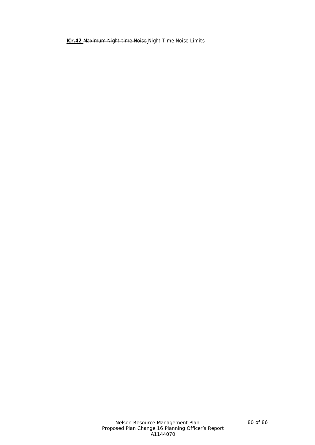**ICr.42** Maximum Night time Noise Night Time Noise Limits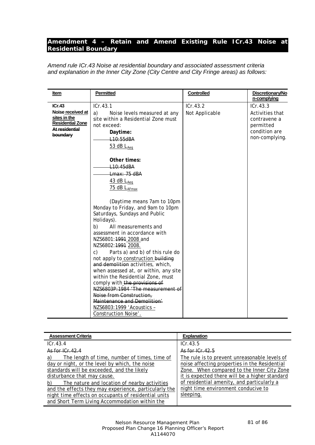## *Amendment 4 – Retain and Amend Existing Rule ICr.43 Noise at Residential Boundary*

*Amend rule ICr.43 Noise at residential boundary and associated assessment criteria and explanation in the Inner City Zone (City Centre and City Fringe areas) as follows:*

| <b>Assessment Criteria</b>                                                                                                                                                                                                                                                                                                                               | <b>Explanation</b>                                                                                                                                                                                                                                                                               |
|----------------------------------------------------------------------------------------------------------------------------------------------------------------------------------------------------------------------------------------------------------------------------------------------------------------------------------------------------------|--------------------------------------------------------------------------------------------------------------------------------------------------------------------------------------------------------------------------------------------------------------------------------------------------|
| ICr.43.4                                                                                                                                                                                                                                                                                                                                                 | ICr.43.5                                                                                                                                                                                                                                                                                         |
| As for $ Cr 42.4 $                                                                                                                                                                                                                                                                                                                                       | $A$ s for $I$ $C$ r $42.5$                                                                                                                                                                                                                                                                       |
| The length of time, number of times, time of<br>a)<br>day or night, or the level by which, the noise<br>standards will be exceeded, and the likely<br>disturbance that may cause.<br>The nature and location of nearby activities<br>b)<br>and the effects they may experience, particularly the<br>night time effects on occupants of residential units | The rule is to prevent unreasonable levels of<br>noise affecting properties in the Residential<br>Zone. When compared to the Inner City Zone<br>it is expected there will be a higher standard<br>of residential amenity, and particularly a<br>night time environment conducive to<br>sleeping. |
| and Short Term Living Accommodation within the                                                                                                                                                                                                                                                                                                           |                                                                                                                                                                                                                                                                                                  |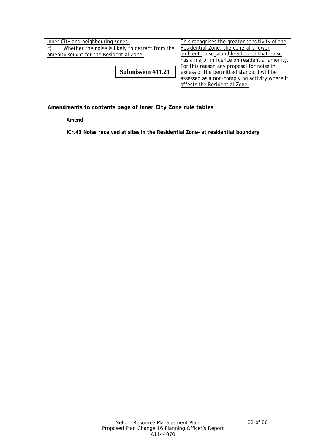| Inner City and neighbouring zones.              |                   | This recognises the greater sensitivity of the |
|-------------------------------------------------|-------------------|------------------------------------------------|
| Whether the noise is likely to detract from the |                   | Residential Zone, the generally lower          |
| amenity sought for the Residential Zone.        |                   | ambient noise sound levels, and that noise     |
|                                                 |                   | has a major influence on residential amenity.  |
|                                                 |                   | For this reason any proposal for noise in      |
|                                                 | Submission #11.21 | excess of the permitted standard will be       |
|                                                 |                   | assessed as a non-complying activity where it  |
|                                                 |                   | affects the Residential Zone.                  |
|                                                 |                   |                                                |

*Amendments to contents page of Inner City Zone rule tables*

*Amend*

**ICr.43 Noise received at sites in the Residential Zone– at residential boundary**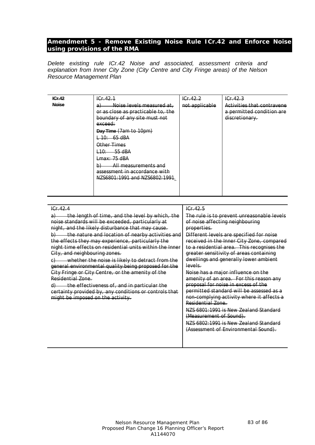## *Amendment 5 - Remove Existing Noise Rule ICr.42 and Enforce Noise using provisions of the RMA*

*Delete existing rule ICr.42 Noise and associated, assessment criteria and explanation from Inner City Zone (City Centre and City Fringe areas) of the Nelson Resource Management Plan*

| ICr.42       | IGF.42.1                                                                                                                                                                                                                                                                                                                              | IGF.42.2       | IGF.42.3                                                                  |
|--------------|---------------------------------------------------------------------------------------------------------------------------------------------------------------------------------------------------------------------------------------------------------------------------------------------------------------------------------------|----------------|---------------------------------------------------------------------------|
| <b>Noise</b> | Noise levels measured at .<br>a.<br>or as close as practicable to, the<br>boundary of any site must not<br>exceed:<br>Day Time (7am to 10pm)<br><del>10: - 65 dBA</del><br>Other Times<br>$\pm 10: 55 \text{ dBA}$<br>$Lmax: 75$ dBA<br>All measurements and<br>b)<br>assessment in accordance with<br>NZS6801:1991 and NZS6802:1991. | not applicable | Activities that contravene<br>a permitted condition are<br>discretionary. |
|              |                                                                                                                                                                                                                                                                                                                                       |                |                                                                           |

| ICr.42.4                                                               | ICr.42.5                                   |
|------------------------------------------------------------------------|--------------------------------------------|
| the length of time, and the level by which, the                        | The rule is to prevent unreasonable levels |
| noise standards will be exceeded, particularly at                      | of noise affecting neighbouring            |
| night, and the likely disturbance that may cause.                      | properties.                                |
| the nature and location of nearby activities and<br>$\upphi$ )         | Different levels are specified for noise   |
| the effects they may experience, particularly the                      | received in the Inner City Zone, compared  |
| night time effects on residential units within the Inner               | to a residential area. This recognises the |
| City, and neighbouring zones.                                          | greater sensitivity of areas containing    |
| whether the noise is likely to detract from the<br>C)                  | dwellings and generally lower ambient      |
| general environmental quality being proposed for the                   | levels.                                    |
| City Fringe or City Centre, or the amenity of the                      | Noise has a major influence on the         |
| Residential Zone.                                                      | amenity of an area. For this reason any    |
| the effectiveness of, and in particular the<br>$\left( \theta \right)$ | proposal for noise in excess of the        |
| certainty provided by, any conditions or controls that                 | permitted standard will be assessed as a   |
| might be imposed on the activity.                                      | non-complying activity where it affects a  |
|                                                                        | Residential Zone.                          |
|                                                                        | NZS 6801:1991 is New Zealand Standard      |
|                                                                        | (Measurement of Sound).                    |
|                                                                        | NZS 6802:1991 is New Zealand Standard      |
|                                                                        | (Assessment of Environmental Sound).       |
|                                                                        |                                            |
|                                                                        |                                            |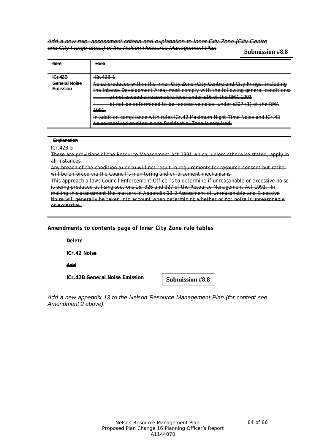*Add a new rule, assessment criteria and explanation to Inner City Zone (City Centre and City Fringe areas) of the Nelson Resource Management Plan*

**Submission #8.8**

| Item                          | Rule                                                                                                                                                                                                                                             |
|-------------------------------|--------------------------------------------------------------------------------------------------------------------------------------------------------------------------------------------------------------------------------------------------|
|                               |                                                                                                                                                                                                                                                  |
| ICF42B                        | $C_{\mathbf{r}}$ $A$<br>*******                                                                                                                                                                                                                  |
| Conoral Noise<br>Emiccion<br> | Noise produced within the Inner City Zone (City Centre and City Fringe, including<br>the Intense Development Area) must comply with the following general conditions:                                                                            |
|                               | <del>a) not exceed a reasonable level under s16 of the RMA 1991</del>                                                                                                                                                                            |
|                               | <del>b) not be determined to be 'excessive noise' under s327 (1) of the RMA</del>                                                                                                                                                                |
|                               | <del>1991.</del>                                                                                                                                                                                                                                 |
|                               | <u>In addition compliance with rules ICr. 42 Maximum Night Time Noise and ICr. 42</u><br><del> auunton connonance with rules for</del><br><del>uvunan maru illilo noloo aha</del><br>Noice received at cites in the Pesidential Zone is required |

#### **Explanation**

ICr.42B.5

These are provisions of the Resource Management Act 1991 which, unless otherwise stated, apply in all instances.

Any breach of the condition a) or b) will not result in requirements for resource consent but rather will be enforced via the Council's monitoring and enforcement mechanisms.

This approach allows Council Enforcement Officer's to determine if unreasonable or excessive noise is being produced utilising sections 16, 326 and 327 of the Resource Management Act 1991. In making this assessment the matters in Appendix 13.2 Assessment of Unreasonable and Excessive Noise will generally be taken into account when determining whether or not noise is unreasonable or excessive.

## *Amendments to contents page of Inner City Zone rule tables*

*Delete*

**ICr.42 Noise**

*Add*

**ICr.42B General Noise Emission**

**Submission #8.8**

*Add a new appendix 13 to the Nelson Resource Management Plan (for content see Amendment 2 above).*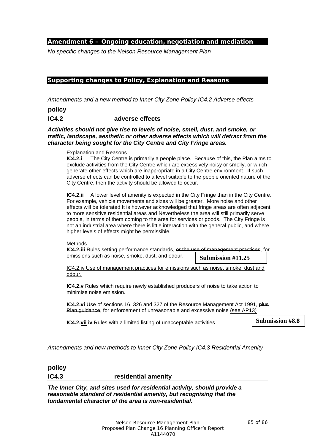## *Amendment 6 – Ongoing education, negotiation and mediation*

*No specific changes to the Nelson Resource Management Plan*

## *Supporting changes to Policy, Explanation and Reasons*

*Amendments and a new method to Inner City Zone Policy IC4.2 Adverse effects*

**policy** 

**IC4.2 adverse effects**

*Activities should not give rise to levels of noise, smell, dust, and smoke, or traffic, landscape, aesthetic or other adverse effects which will detract from the character being sought for the City Centre and City Fringe areas.* 

Explanation and Reasons

**IC4.2.i** The City Centre is primarily a people place. Because of this, the Plan aims to exclude activities from the City Centre which are excessively noisy or smelly, or which generate other effects which are inappropriate in a City Centre environment. If such adverse effects can be controlled to a level suitable to the people oriented nature of the City Centre, then the activity should be allowed to occur.

**IC4.2.ii** A lower level of amenity is expected in the City Fringe than in the City Centre. For example, vehicle movements and sizes will be greater. More noise and other effects will be tolerated It is however acknowledged that fringe areas are often adjacent to more sensitive residential areas and Nevertheless the area will still primarily serve people, in terms of them coming to the area for services or goods. The City Fringe is not an industrial area where there is little interaction with the general public, and where higher levels of effects might be permissible.

Methods

**IC4.2.iii** Rules setting performance standards, or the use of management practices, for emissions such as noise, smoke, dust, and odour. **Submission #11.25**

IC4.2.iv Use of management practices for emissions such as noise, smoke, dust and odour.

**IC4.2.v** Rules which require newly established producers of noise to take action to minimise noise emission.

**IC4.2.vi** Use of sections 16, 326 and 327 of the Resource Management Act 1991, **plus** Plan guidance, for enforcement of unreasonable and excessive noise (see AP13)

**IC4.2.vii iv** Rules with a limited listing of unacceptable activities.

**Submission #8.8**

*Amendments and new methods to Inner City Zone Policy IC4.3 Residential Amenity*

**policy IC4.3 residential amenity**

*The Inner City, and sites used for residential activity, should provide a reasonable standard of residential amenity, but recognising that the fundamental character of the area is non-residential.*